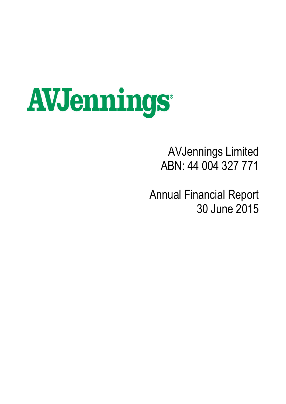# **AVJennings**

AVJennings Limited ABN: 44 004 327 771

Annual Financial Report 30 June 2015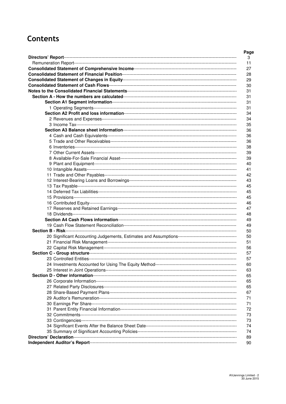# **Contents**

| Page |
|------|
| 3    |
| 11   |
| 27   |
| 28   |
| 29   |
| 30   |
| 31   |
| 31   |
| 31   |
| 31   |
| 34   |
| 34   |
| 35   |
| 36   |
| 36   |
| 36   |
| 38   |
| 39   |
| 39   |
| 40   |
| 41   |
| 42   |
| 43   |
| 45   |
| 45   |
| 45   |
| 46   |
| 47   |
| 48   |
| 49   |
| 49   |
| 50   |
| 50   |
| 51   |
| 56   |
| 57   |
| 57   |
| 60   |
| 63   |
| 65   |
| 65   |
| 65   |
| 67   |
| 71   |
|      |
| 71   |
| 72   |
| 73   |
| 73   |
| 74   |
| 74   |
| 89   |
| 90   |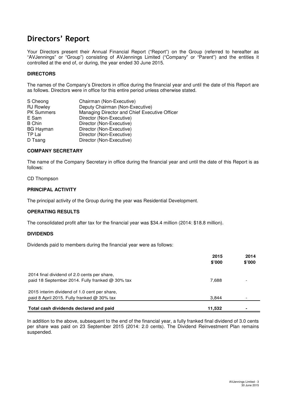Your Directors present their Annual Financial Report ("Report") on the Group (referred to hereafter as "AVJennings" or "Group") consisting of AVJennings Limited ("Company" or "Parent") and the entities it controlled at the end of, or during, the year ended 30 June 2015.

#### **DIRECTORS**

The names of the Company's Directors in office during the financial year and until the date of this Report are as follows. Directors were in office for this entire period unless otherwise stated.

| S Cheong          | Chairman (Non-Executive)                      |
|-------------------|-----------------------------------------------|
| <b>RJ Rowley</b>  | Deputy Chairman (Non-Executive)               |
| <b>PK Summers</b> | Managing Director and Chief Executive Officer |
| E Sam             | Director (Non-Executive)                      |
| <b>B</b> Chin     | Director (Non-Executive)                      |
| <b>BG Hayman</b>  | Director (Non-Executive)                      |
| TP Lai            | Director (Non-Executive)                      |
| D Tsang           | Director (Non-Executive)                      |

#### **COMPANY SECRETARY**

The name of the Company Secretary in office during the financial year and until the date of this Report is as follows:

CD Thompson

#### **PRINCIPAL ACTIVITY**

The principal activity of the Group during the year was Residential Development.

#### **OPERATING RESULTS**

The consolidated profit after tax for the financial year was \$34.4 million (2014: \$18.8 million).

#### **DIVIDENDS**

Dividends paid to members during the financial year were as follows:

|                                                        | 2015<br>\$'000 | 2014<br>\$'000 |
|--------------------------------------------------------|----------------|----------------|
| 2014 final dividend of 2.0 cents per share.            |                |                |
| paid 18 September 2014. Fully franked $\omega$ 30% tax | 7,688          |                |
| 2015 interim dividend of 1.0 cent per share,           |                |                |
| paid 8 April 2015. Fully franked $\omega$ 30% tax      | 3.844          | -              |
|                                                        |                |                |
| Total cash dividends declared and paid                 | 11,532         | $\blacksquare$ |

In addition to the above, subsequent to the end of the financial year, a fully franked final dividend of 3.0 cents per share was paid on 23 September 2015 (2014: 2.0 cents). The Dividend Reinvestment Plan remains suspended.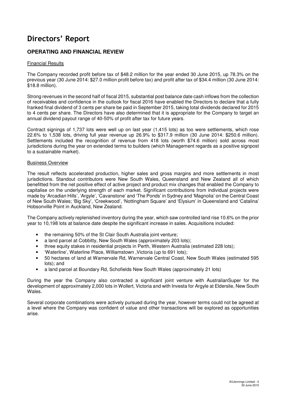## **OPERATING AND FINANCIAL REVIEW**

#### Financial Results

The Company recorded profit before tax of \$48.2 million for the year ended 30 June 2015, up 78.3% on the previous year (30 June 2014: \$27.0 million profit before tax) and profit after tax of \$34.4 million (30 June 2014: \$18.8 million).

Strong revenues in the second half of fiscal 2015, substantial post balance date cash inflows from the collection of receivables and confidence in the outlook for fiscal 2016 have enabled the Directors to declare that a fully franked final dividend of 3 cents per share be paid in September 2015, taking total dividends declared for 2015 to 4 cents per share. The Directors have also determined that it is appropriate for the Company to target an annual dividend payout range of 40-50% of profit after tax for future years.

Contract signings of 1,737 lots were well up on last year (1,415 lots) as too were settlements, which rose 22.6% to 1,538 lots, driving full year revenue up 26.9% to \$317.9 million (30 June 2014: \$250.6 million). Settlements included the recognition of revenue from 418 lots (worth \$74.6 million) sold across most jurisdictions during the year on extended terms to builders (which Management regards as a positive signpost to a sustainable market).

#### Business Overview

The result reflects accelerated production, higher sales and gross margins and more settlements in most jurisdictions. Standout contributors were New South Wales, Queensland and New Zealand all of which benefitted from the net positive effect of active project and product mix changes that enabled the Company to capitalise on the underlying strength of each market. Significant contributions from individual projects were made by 'Arcadian Hills', 'Argyle', 'Cavanstone' and 'The Ponds' in Sydney and 'Magnolia' on the Central Coast of New South Wales; 'Big Sky', 'Creekwood', 'Nottingham Square' and 'Elysium' in Queensland and 'Catalina' Hobsonville Point in Auckland, New Zealand.

The Company actively replenished inventory during the year, which saw controlled land rise 10.6% on the prior year to 10,198 lots at balance date despite the significant increase in sales. Acquisitions included:

- the remaining 50% of the St Clair South Australia joint venture;
- a land parcel at Cobbitty, New South Wales (approximately 203 lots);
- three equity stakes in residential projects in Perth, Western Australia (estimated 228 lots);
- 'Waterline', Waterline Place, Williamstown ,Victoria (up to 691 lots);
- 50 hectares of land at Warnervale Rd, Warnervale Central Coast, New South Wales (estimated 595 lots); and
- a land parcel at Boundary Rd, Schofields New South Wales (approximately 21 lots)

During the year the Company also contracted a significant joint venture with AustralianSuper for the development of approximately 2,000 lots in Wollert, Victoria and with Investa for Argyle at Elderslie, New South Wales.

Several corporate combinations were actively pursued during the year, however terms could not be agreed at a level where the Company was confident of value and other transactions will be explored as opportunities arise.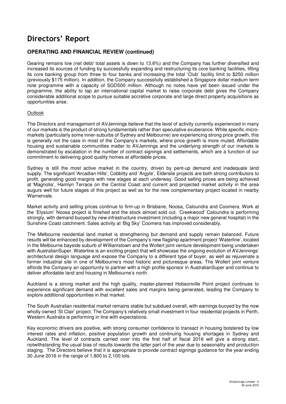## **OPERATING AND FINANCIAL REVIEW (continued)**

Gearing remains low (net debt/ total assets is down to 13.6%) and the Company has further diversified and increased its sources of funding by successfully expanding and restructuring its core banking facilities, lifting its core banking group from three to four banks and increasing the total 'Club' facility limit to \$250 million (previously \$175 million). In addition, the Company successfully established a Singapore dollar medium term note programme with a capacity of SGD500 million. Although no notes have yet been issued under the programme, the ability to tap an international capital market to raise corporate debt gives the Company considerable additional scope to pursue suitable accretive corporate and large direct property acquisitions as opportunities arise.

#### **Outlook**

The Directors and management of AVJennings believe that the level of activity currently experienced in many of our markets is the product of strong fundamentals rather than speculative exuberance. While specific micromarkets (particularly some inner-suburbs of Sydney and Melbourne) are experiencing strong price growth, this is generally not the case in most of the Company's markets, where price growth is more muted. Affordable housing and sustainable communities matter to AVJennings and the underlying strength of our markets is demonstrated by escalation in the number of contract signings and settlements, which are a function of our commitment to delivering good quality homes at affordable prices.

Sydney is still the most active market in the country, driven by pent-up demand and inadequate land supply. The significant 'Arcadian Hills', Cobbitty and 'Argyle', Elderslie projects are both strong contributors to profit, generating good margins with new stages at each underway. Good selling prices are being achieved at 'Magnolia', Hamlyn Terrace on the Central Coast and current and projected market activity in the area augurs well for future stages of this project as well as for the new complementary project located in nearby Warnervale.

Market activity and selling prices continue to firm-up in Brisbane, Noosa, Caloundra and Coomera. Work at the 'Elysium' Noosa project is finished and the stock almost sold out. 'Creekwood' Caloundra is performing strongly, with demand buoyed by new infrastructure investment (including a major new general hospital) in the Sunshine Coast catchment. Sales activity at 'Big Sky' Coomera has improved considerably.

The Melbourne residential land market is strengthening but demand and supply remain balanced. Future results will be enhanced by development of the Company's new flagship apartment project 'Waterline', located in the Melbourne bayside suburb of Williamstown and the Wollert joint venture development being undertaken with AustralianSuper. Waterline is an exciting project that will showcase the ongoing evolution of AVJennings' architectural design language and expose the Company to a different type of buyer, as well as rejuvenate a former industrial site in one of Melbourne's most historic and picturesque areas. The Wollert joint venture affords the Company an opportunity to partner with a high profile sponsor in AustralianSuper and continue to deliver affordable land and housing in Melbourne's north.

Auckland is a strong market and the high quality, master-planned Hobsonville Point project continues to experience significant demand with excellent sales and margins being generated, leading the Company to explore additional opportunities in that market.

The South Australian residential market remains stable but subdued overall, with earnings buoyed by the now wholly owned 'St Clair' project. The Company's relatively small investment in four residential projects in Perth, Western Australia is performing in line with expectations.

Key economic drivers are positive, with strong consumer confidence to transact in housing bolstered by low interest rates and inflation, positive population growth and continuing housing shortages in Sydney and Auckland. The level of contracts carried over into the first half of fiscal 2016 will give a strong start, notwithstanding the usual bias of results towards the latter part of the year due to seasonality and production staging. The Directors believe that it is appropriate to provide contract signings guidance for the year ending 30 June 2016 in the range of 1,800 to 2,100 lots.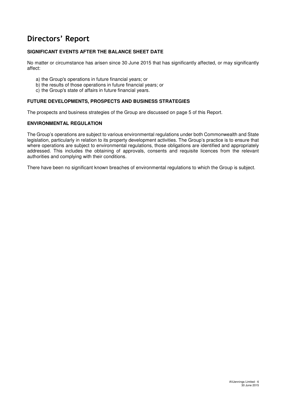## **SIGNIFICANT EVENTS AFTER THE BALANCE SHEET DATE**

No matter or circumstance has arisen since 30 June 2015 that has significantly affected, or may significantly affect:

- a) the Group's operations in future financial years; or
- b) the results of those operations in future financial years; or
- c) the Group's state of affairs in future financial years.

#### **FUTURE DEVELOPMENTS, PROSPECTS AND BUSINESS STRATEGIES**

The prospects and business strategies of the Group are discussed on page 5 of this Report.

## **ENVIRONMENTAL REGULATION**

The Group's operations are subject to various environmental regulations under both Commonwealth and State legislation, particularly in relation to its property development activities. The Group's practice is to ensure that where operations are subject to environmental regulations, those obligations are identified and appropriately addressed. This includes the obtaining of approvals, consents and requisite licences from the relevant authorities and complying with their conditions.

There have been no significant known breaches of environmental regulations to which the Group is subject.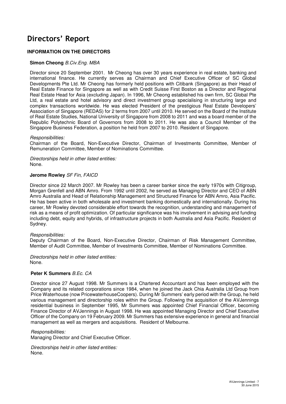## **INFORMATION ON THE DIRECTORS**

#### **Simon Cheong** B.Civ.Eng. MBA

Director since 20 September 2001. Mr Cheong has over 30 years experience in real estate, banking and international finance. He currently serves as Chairman and Chief Executive Officer of SC Global Developments Pte Ltd. Mr Cheong has formerly held positions with Citibank (Singapore) as their Head of Real Estate Finance for Singapore as well as with Credit Suisse First Boston as a Director and Regional Real Estate Head for Asia (excluding Japan). In 1996, Mr Cheong established his own firm, SC Global Pte Ltd, a real estate and hotel advisory and direct investment group specialising in structuring large and complex transactions worldwide. He was elected President of the prestigious Real Estate Developers' Association of Singapore (REDAS) for 2 terms from 2007 until 2010. He served on the Board of the Institute of Real Estate Studies, National University of Singapore from 2008 to 2011 and was a board member of the Republic Polytechnic Board of Governors from 2008 to 2011. He was also a Council Member of the Singapore Business Federation, a position he held from 2007 to 2010. Resident of Singapore.

#### Responsibilities:

Chairman of the Board, Non-Executive Director, Chairman of Investments Committee, Member of Remuneration Committee, Member of Nominations Committee.

Directorships held in other listed entities: None.

#### **Jerome Rowley** SF Fin, FAICD

Director since 22 March 2007. Mr Rowley has been a career banker since the early 1970s with Citigroup, Morgan Grenfell and ABN Amro. From 1992 until 2002, he served as Managing Director and CEO of ABN Amro Australia and Head of Relationship Management and Structured Finance for ABN Amro, Asia Pacific. He has been active in both wholesale and investment banking domestically and internationally. During his career, Mr Rowley devoted considerable effort towards the recognition, understanding and management of risk as a means of profit optimization. Of particular significance was his involvement in advising and funding including debt, equity and hybrids, of infrastructure projects in both Australia and Asia Pacific. Resident of Sydney.

#### Responsibilities:

Deputy Chairman of the Board, Non-Executive Director, Chairman of Risk Management Committee, Member of Audit Committee, Member of Investments Committee, Member of Nominations Committee.

Directorships held in other listed entities: None.

#### **Peter K Summers** B.Ec. CA

Director since 27 August 1998. Mr Summers is a Chartered Accountant and has been employed with the Company and its related corporations since 1984, when he joined the Jack Chia Australia Ltd Group from Price Waterhouse (now PricewaterhouseCoopers). During Mr Summers' early period with the Group, he held various management and directorship roles within the Group. Following the acquisition of the AVJennings residential business in September 1995, Mr Summers was appointed Chief Financial Officer, becoming Finance Director of AVJennings in August 1998. He was appointed Managing Director and Chief Executive Officer of the Company on 19 February 2009. Mr Summers has extensive experience in general and financial management as well as mergers and acquisitions. Resident of Melbourne.

#### Responsibilities:

Managing Director and Chief Executive Officer.

Directorships held in other listed entities: None.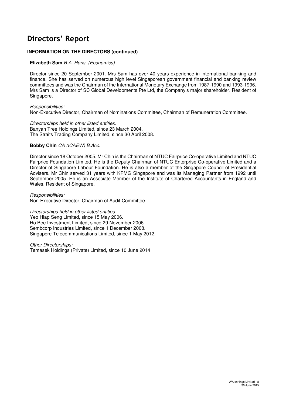## **INFORMATION ON THE DIRECTORS (continued)**

#### **Elizabeth Sam** B.A. Hons. (Economics)

Director since 20 September 2001. Mrs Sam has over 40 years experience in international banking and finance. She has served on numerous high level Singaporean government financial and banking review committees and was the Chairman of the International Monetary Exchange from 1987-1990 and 1993-1996. Mrs Sam is a Director of SC Global Developments Pte Ltd, the Company's major shareholder. Resident of Singapore.

#### Responsibilities:

Non-Executive Director, Chairman of Nominations Committee, Chairman of Remuneration Committee.

Directorships held in other listed entities: Banyan Tree Holdings Limited, since 23 March 2004. The Straits Trading Company Limited, since 30 April 2008.

#### **Bobby Chin** CA (ICAEW) B.Acc.

Director since 18 October 2005. Mr Chin is the Chairman of NTUC Fairprice Co-operative Limited and NTUC Fairprice Foundation Limited. He is the Deputy Chairman of NTUC Enterprise Co-operative Limited and a Director of Singapore Labour Foundation. He is also a member of the Singapore Council of Presidential Advisers. Mr Chin served 31 years with KPMG Singapore and was its Managing Partner from 1992 until September 2005. He is an Associate Member of the Institute of Chartered Accountants in England and Wales. Resident of Singapore.

Responsibilities:

Non-Executive Director, Chairman of Audit Committee.

Directorships held in other listed entities: Yeo Hiap Seng Limited, since 15 May 2006. Ho Bee Investment Limited, since 29 November 2006. Sembcorp Industries Limited, since 1 December 2008. Singapore Telecommunications Limited, since 1 May 2012.

Other Directorships: Temasek Holdings (Private) Limited, since 10 June 2014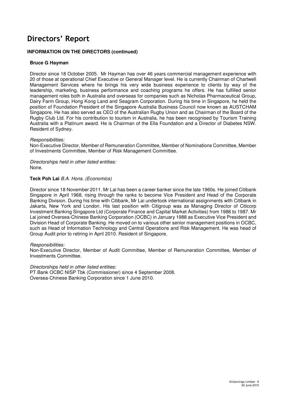### **INFORMATION ON THE DIRECTORS (continued)**

#### **Bruce G Hayman**

Director since 18 October 2005. Mr Hayman has over 46 years commercial management experience with 20 of those at operational Chief Executive or General Manager level. He is currently Chairman of Chartwell Management Services where he brings his very wide business experience to clients by way of the leadership, marketing, business performance and coaching programs he offers. He has fulfilled senior management roles both in Australia and overseas for companies such as Nicholas Pharmaceutical Group, Dairy Farm Group, Hong Kong Land and Seagram Corporation. During his time in Singapore, he held the position of Foundation President of the Singapore Australia Business Council now known as AUSTCHAM Singapore. He has also served as CEO of the Australian Rugby Union and as Chairman of the Board of the Rugby Club Ltd. For his contribution to tourism in Australia, he has been recognised by Tourism Training Australia with a Platinum award. He is Chairman of the Ella Foundation and a Director of Diabetes NSW. Resident of Sydney.

#### Responsibilities:

Non-Executive Director, Member of Remuneration Committee, Member of Nominations Committee, Member of Investments Committee, Member of Risk Management Committee.

Directorships held in other listed entities: None.

#### **Teck Poh Lai** B.A. Hons. (Economics)

Director since 18 November 2011. Mr Lai has been a career banker since the late 1960s. He joined Citibank Singapore in April 1968, rising through the ranks to become Vice President and Head of the Corporate Banking Division. During his time with Citibank, Mr Lai undertook international assignments with Citibank in Jakarta, New York and London. His last position with Citigroup was as Managing Director of Citicorp Investment Banking Singapore Ltd (Corporate Finance and Capital Market Activities) from 1986 to 1987. Mr Lai joined Oversea-Chinese Banking Corporation (OCBC) in January 1988 as Executive Vice President and Division Head of Corporate Banking. He moved on to various other senior management positions in OCBC, such as Head of Information Technology and Central Operations and Risk Management. He was head of Group Audit prior to retiring in April 2010. Resident of Singapore.

#### Responsibilities:

Non-Executive Director, Member of Audit Committee, Member of Remuneration Committee, Member of Investments Committee.

#### Directorships held in other listed entities:

PT Bank OCBC NISP Tbk (Commissioner) since 4 September 2008. Oversea-Chinese Banking Corporation since 1 June 2010.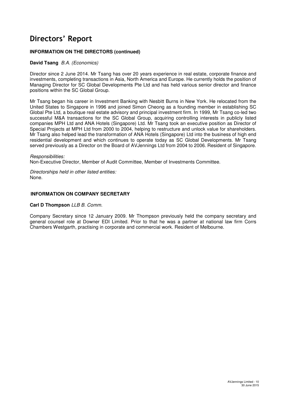## **INFORMATION ON THE DIRECTORS (continued)**

#### **David Tsang** B.A. (Economics)

Director since 2 June 2014. Mr Tsang has over 20 years experience in real estate, corporate finance and investments, completing transactions in Asia, North America and Europe. He currently holds the position of Managing Director for SC Global Developments Pte Ltd and has held various senior director and finance positions within the SC Global Group.

Mr Tsang began his career in Investment Banking with Nesbitt Burns in New York. He relocated from the United States to Singapore in 1996 and joined Simon Cheong as a founding member in establishing SC Global Pte Ltd, a boutique real estate advisory and principal investment firm. In 1999, Mr Tsang co-led two successful M&A transactions for the SC Global Group, acquiring controlling interests in publicly listed companies MPH Ltd and ANA Hotels (Singapore) Ltd. Mr Tsang took an executive position as Director of Special Projects at MPH Ltd from 2000 to 2004, helping to restructure and unlock value for shareholders. Mr Tsang also helped lead the transformation of ANA Hotels (Singapore) Ltd into the business of high end residential development and which continues to operate today as SC Global Developments. Mr Tsang served previously as a Director on the Board of AVJennings Ltd from 2004 to 2006. Resident of Singapore.

#### Responsibilities:

Non-Executive Director, Member of Audit Committee, Member of Investments Committee.

Directorships held in other listed entities: None.

#### **INFORMATION ON COMPANY SECRETARY**

#### **Carl D Thompson** LLB B. Comm.

Company Secretary since 12 January 2009. Mr Thompson previously held the company secretary and general counsel role at Downer EDI Limited. Prior to that he was a partner at national law firm Corrs Chambers Westgarth, practising in corporate and commercial work. Resident of Melbourne.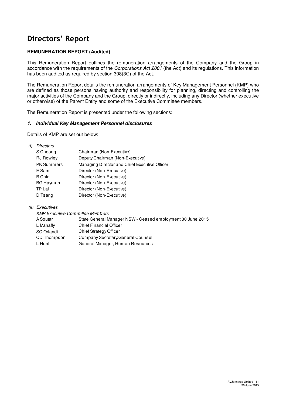## **REMUNERATION REPORT (Audited)**

This Remuneration Report outlines the remuneration arrangements of the Company and the Group in accordance with the requirements of the Corporations Act 2001 (the Act) and its regulations. This information has been audited as required by section 308(3C) of the Act.

The Remuneration Report details the remuneration arrangements of Key Management Personnel (KMP) who are defined as those persons having authority and responsibility for planning, directing and controlling the major activities of the Company and the Group, directly or indirectly, including any Director (whether executive or otherwise) of the Parent Entity and some of the Executive Committee members.

The Remuneration Report is presented under the following sections:

#### **1. Individual Key Management Personnel disclosures**

Details of KMP are set out below:

| Directors         |                                               |
|-------------------|-----------------------------------------------|
| S Cheong          | Chairman (Non-Executive)                      |
| <b>RJ Rowley</b>  | Deputy Chairman (Non-Executive)               |
| <b>PK Summers</b> | Managing Director and Chief Executive Officer |
| E Sam             | Director (Non-Executive)                      |
| <b>B</b> Chin     | Director (Non-Executive)                      |
| <b>BG Hayman</b>  | Director (Non-Executive)                      |
| TP Lai            | Director (Non-Executive)                      |
| D Tsang           | Director (Non-Executive)                      |

(ii) Executives

| <b>KMP Executive Committee Members</b> |                                                            |
|----------------------------------------|------------------------------------------------------------|
| A Soutar                               | State General Manager NSW - Ceased employment 30 June 2015 |
| L Mahaffy                              | <b>Chief Financial Officer</b>                             |
| SC Orlandi                             | Chief Strategy Officer                                     |
| CD Thompson                            | Company Secretary/General Counsel                          |
| L Hunt                                 | General Manager, Human Resources                           |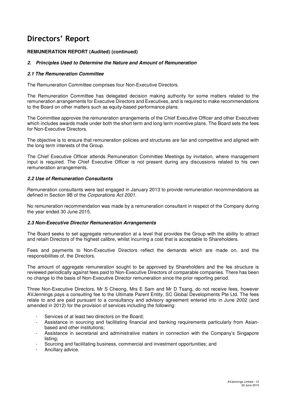## **REMUNERATION REPORT (Audited) (continued)**

#### **2. Principles Used to Determine the Nature and Amount of Remuneration**

#### **2.1 The Remuneration Committee**

The Remuneration Committee comprises four Non-Executive Directors.

The Remuneration Committee has delegated decision making authority for some matters related to the remuneration arrangements for Executive Directors and Executives, and is required to make recommendations to the Board on other matters such as equity-based performance plans.

The Committee approves the remuneration arrangements of the Chief Executive Officer and other Executives which includes awards made under both the short term and long term incentive plans. The Board sets the fees for Non-Executive Directors.

The objective is to ensure that remuneration policies and structures are fair and competitive and aligned with the long term interests of the Group.

The Chief Executive Officer attends Remuneration Committee Meetings by invitation, where management input is required. The Chief Executive Officer is not present during any discussions related to his own remuneration arrangements.

#### **2.2 Use of Remuneration Consultants**

Remuneration consultants were last engaged in January 2013 to provide remuneration recommendations as defined in Section 9B of the Corporations Act 2001.

No remuneration recommendation was made by a remuneration consultant in respect of the Company during the year ended 30 June 2015.

#### **2.3 Non-Executive Director Remuneration Arrangements**

The Board seeks to set aggregate remuneration at a level that provides the Group with the ability to attract and retain Directors of the highest calibre, whilst incurring a cost that is acceptable to Shareholders.

Fees and payments to Non-Executive Directors reflect the demands which are made on, and the responsibilities of, the Directors.

The amount of aggregate remuneration sought to be approved by Shareholders and the fee structure is reviewed periodically against fees paid to Non-Executive Directors of comparable companies. There has been no change to the basis of Non-Executive Director remuneration since the prior reporting period.

Three Non-Executive Directors, Mr S Cheong, Mrs E Sam and Mr D Tsang, do not receive fees, however AVJennings pays a consulting fee to the Ultimate Parent Entity, SC Global Developments Pte Ltd. The fees relate to and are paid pursuant to a consultancy and advisory agreement entered into in June 2002 (and amended in 2012) for the provision of services including the following:

- Services of at least two directors on the Board;
- Assistance in sourcing and facilitating financial and banking requirements particularly from Asianbased and other institutions;
- Assistance in secretarial and administrative matters in connection with the Company's Singapore listing;
- Sourcing and facilitating business, commercial and investment opportunities; and
- Ancillary advice.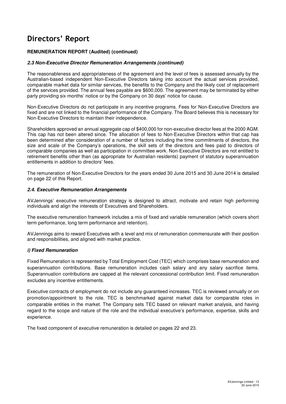## **REMUNERATION REPORT (Audited) (continued)**

#### **2.3 Non-Executive Director Remuneration Arrangements (continued)**

The reasonableness and appropriateness of the agreement and the level of fees is assessed annually by the Australian-based independent Non-Executive Directors taking into account the actual services provided, comparable market data for similar services, the benefits to the Company and the likely cost of replacement of the services provided. The annual fees payable are \$600,000. The agreement may be terminated by either party providing six months' notice or by the Company on 30 days' notice for cause.

Non-Executive Directors do not participate in any incentive programs. Fees for Non-Executive Directors are fixed and are not linked to the financial performance of the Company. The Board believes this is necessary for Non-Executive Directors to maintain their independence.

Shareholders approved an annual aggregate cap of \$400,000 for non-executive director fees at the 2000 AGM. This cap has not been altered since. The allocation of fees to Non-Executive Directors within that cap has been determined after consideration of a number of factors including the time commitments of directors, the size and scale of the Company's operations, the skill sets of the directors and fees paid to directors of comparable companies as well as participation in committee work. Non-Executive Directors are not entitled to retirement benefits other than (as appropriate for Australian residents) payment of statutory superannuation entitlements in addition to directors' fees.

The remuneration of Non-Executive Directors for the years ended 30 June 2015 and 30 June 2014 is detailed on page 22 of this Report.

#### **2.4. Executive Remuneration Arrangements**

AVJennings' executive remuneration strategy is designed to attract, motivate and retain high performing individuals and align the interests of Executives and Shareholders.

The executive remuneration framework includes a mix of fixed and variable remuneration (which covers short term performance, long term performance and retention).

AVJennings aims to reward Executives with a level and mix of remuneration commensurate with their position and responsibilities, and aligned with market practice.

#### **i) Fixed Remuneration**

Fixed Remuneration is represented by Total Employment Cost (TEC) which comprises base remuneration and superannuation contributions. Base remuneration includes cash salary and any salary sacrifice items. Superannuation contributions are capped at the relevant concessional contribution limit. Fixed remuneration excludes any incentive entitlements.

Executive contracts of employment do not include any guaranteed increases. TEC is reviewed annually or on promotion/appointment to the role. TEC is benchmarked against market data for comparable roles in comparable entities in the market. The Company sets TEC based on relevant market analysis, and having regard to the scope and nature of the role and the individual executive's performance, expertise, skills and experience.

The fixed component of executive remuneration is detailed on pages 22 and 23.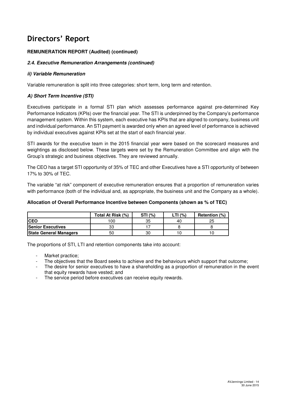## **REMUNERATION REPORT (Audited) (continued)**

## **2.4. Executive Remuneration Arrangements (continued)**

## **ii) Variable Remuneration**

Variable remuneration is split into three categories: short term, long term and retention.

## **A) Short Term Incentive (STI)**

Executives participate in a formal STI plan which assesses performance against pre-determined Key Performance Indicators (KPIs) over the financial year. The STI is underpinned by the Company's performance management system. Within this system, each executive has KPIs that are aligned to company, business unit and individual performance. An STI payment is awarded only when an agreed level of performance is achieved by individual executives against KPIs set at the start of each financial year.

STI awards for the executive team in the 2015 financial year were based on the scorecard measures and weightings as disclosed below. These targets were set by the Remuneration Committee and align with the Group's strategic and business objectives. They are reviewed annually.

The CEO has a target STI opportunity of 35% of TEC and other Executives have a STI opportunity of between 17% to 30% of TEC.

The variable "at risk" component of executive remuneration ensures that a proportion of remuneration varies with performance (both of the individual and, as appropriate, the business unit and the Company as a whole).

### **Allocation of Overall Performance Incentive between Components (shown as % of TEC)**

|                               | Total At Risk (%) | <b>STI (%)</b> | .TI (%) | Retention (%) |
|-------------------------------|-------------------|----------------|---------|---------------|
| <b>ICEO</b>                   | 00                | 35             | 40      | 25            |
| <b>Senior Executives</b>      | ບບ                |                |         |               |
| <b>State General Managers</b> | 50                | 30             |         |               |

The proportions of STI, LTI and retention components take into account:

- Market practice:
- The objectives that the Board seeks to achieve and the behaviours which support that outcome;
- The desire for senior executives to have a shareholding as a proportion of remuneration in the event that equity rewards have vested; and
- The service period before executives can receive equity rewards.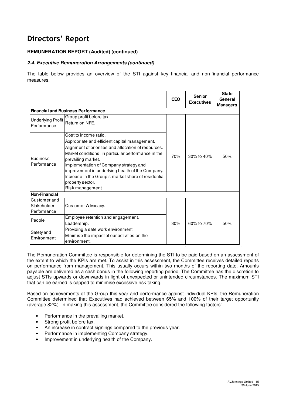## **REMUNERATION REPORT (Audited) (continued)**

## **2.4. Executive Remuneration Arrangements (continued)**

The table below provides an overview of the STI against key financial and non-financial performance measures.

|                                            |                                                                                                                                                                                                                                                                                                                                                                                                          | <b>CEO</b> | <b>Senior</b><br><b>Executives</b> | <b>State</b><br>General<br><b>Managers</b> |
|--------------------------------------------|----------------------------------------------------------------------------------------------------------------------------------------------------------------------------------------------------------------------------------------------------------------------------------------------------------------------------------------------------------------------------------------------------------|------------|------------------------------------|--------------------------------------------|
|                                            | <b>Financial and Business Performance</b>                                                                                                                                                                                                                                                                                                                                                                |            |                                    |                                            |
| <b>Underlying Profit</b><br>Performance    | Group profit before tax.<br>Return on NFE.                                                                                                                                                                                                                                                                                                                                                               |            |                                    |                                            |
| <b>Business</b><br>Performance             | Cost to income ratio.<br>Appropriate and efficient capital management.<br>Alignment of priorities and allocation of resources.<br>Market conditions, in particular performance in the<br>prevailing market.<br>Implementation of Company strategy and<br>improvement in underlying health of the Company.<br>Increase in the Group's market share of residential<br>property sector.<br>Risk management. | 70%        | 30% to 40%                         | 50%                                        |
| Non-Financial                              |                                                                                                                                                                                                                                                                                                                                                                                                          |            |                                    |                                            |
| Customer and<br>Stakeholder<br>Performance | Customer Advocacy.                                                                                                                                                                                                                                                                                                                                                                                       |            |                                    |                                            |
| People                                     | Employee retention and engagement.<br>Leadership.                                                                                                                                                                                                                                                                                                                                                        | 30%        | 60% to 70%                         | 50%                                        |
| Safety and<br>Environment                  | Providing a safe work environment.<br>Minimise the impact of our activities on the<br>environment.                                                                                                                                                                                                                                                                                                       |            |                                    |                                            |

The Remuneration Committee is responsible for determining the STI to be paid based on an assessment of the extent to which the KPIs are met. To assist in this assessment, the Committee receives detailed reports on performance from management. This usually occurs within two months of the reporting date. Amounts payable are delivered as a cash bonus in the following reporting period. The Committee has the discretion to adjust STIs upwards or downwards in light of unexpected or unintended circumstances. The maximum STI that can be earned is capped to minimise excessive risk taking.

Based on achievements of the Group this year and performance against individual KPIs, the Remuneration Committee determined that Executives had achieved between 65% and 100% of their target opportunity (average 82%). In making this assessment, the Committee considered the following factors:

- Performance in the prevailing market.
- Strong profit before tax.
- An increase in contract signings compared to the previous year.
- Performance in implementing Company strategy.
- Improvement in underlying health of the Company.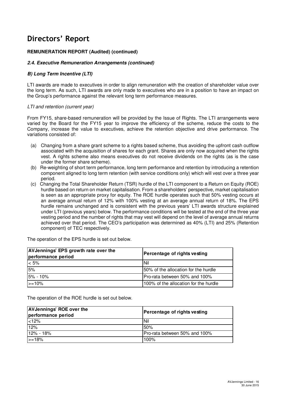## **REMUNERATION REPORT (Audited) (continued)**

#### **2.4. Executive Remuneration Arrangements (continued)**

#### **B) Long Term Incentive (LTI)**

LTI awards are made to executives in order to align remuneration with the creation of shareholder value over the long term. As such, LTI awards are only made to executives who are in a position to have an impact on the Group's performance against the relevant long term performance measures.

#### LTI and retention (current year)

From FY15, share-based remuneration will be provided by the Issue of Rights. The LTI arrangements were varied by the Board for the FY15 year to improve the efficiency of the scheme, reduce the costs to the Company, increase the value to executives, achieve the retention objective and drive performance. The variations consisted of:

- (a) Changing from a share grant scheme to a rights based scheme, thus avoiding the upfront cash outflow associated with the acquisition of shares for each grant. Shares are only now acquired when the rights vest. A rights scheme also means executives do not receive dividends on the rights (as is the case under the former share scheme).
- (b) Re-weighting of short term performance, long term performance and retention by introducing a retention component aligned to long term retention (with service conditions only) which will vest over a three year period.
- (c) Changing the Total Shareholder Return (TSR) hurdle of the LTI component to a Return on Equity (ROE) hurdle based on return on market capitalisation. From a shareholders' perspective, market capitalisation is seen as an appropriate proxy for equity. The ROE hurdle operates such that 50% vesting occurs at an average annual return of 12% with 100% vesting at an average annual return of 18%. The EPS hurdle remains unchanged and is consistent with the previous years' LTI awards structure explained under LTI (previous years) below. The performance conditions will be tested at the end of the three year vesting period and the number of rights that may vest will depend on the level of average annual returns achieved over that period. The CEO's participation was determined as 40% (LTI) and 25% (Retention component) of TEC respectively.

| AVJennings' EPS growth rate over the<br>performance period | Percentage of rights vesting          |
|------------------------------------------------------------|---------------------------------------|
| $\mathsf{I}$ < 5%                                          | l Nil                                 |
| 5%                                                         | 150% of the allocation for the hurdle |
| $15% - 10%$                                                | Pro-rata between 50% and 100%         |
| $\ge$ = 10%                                                | 100% of the allocation for the hurdle |

The operation of the EPS hurdle is set out below.

The operation of the ROE hurdle is set out below.

| <b>AVJennings' ROE over the</b><br>performance period | Percentage of rights vesting   |
|-------------------------------------------------------|--------------------------------|
| $ $ < 12%                                             | Nil                            |
| 12%                                                   | 50%                            |
| $12\% - 18\%$                                         | IPro-rata between 50% and 100% |
| $ >=18%$                                              | 100%                           |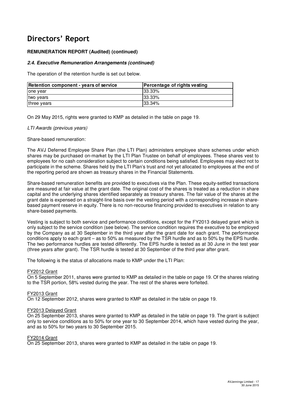## **REMUNERATION REPORT (Audited) (continued)**

#### **2.4. Executive Remuneration Arrangements (continued)**

The operation of the retention hurdle is set out below.

| <b>Retention component - years of service</b> | Percentage of rights vesting |  |
|-----------------------------------------------|------------------------------|--|
| Tone year                                     | 133.33%                      |  |
| Itwo years                                    | <b>133.33%</b>               |  |
| three years                                   | <b>33.34%</b>                |  |

On 29 May 2015, rights were granted to KMP as detailed in the table on page 19.

#### LTI Awards (previous years)

#### Share-based remuneration:

The AVJ Deferred Employee Share Plan (the LTI Plan) administers employee share schemes under which shares may be purchased on-market by the LTI Plan Trustee on behalf of employees. These shares vest to employees for no cash consideration subject to certain conditions being satisfied. Employees may elect not to participate in the scheme. Shares held by the LTI Plan's trust and not yet allocated to employees at the end of the reporting period are shown as treasury shares in the Financial Statements.

Share-based remuneration benefits are provided to executives via the Plan. These equity-settled transactions are measured at fair value at the grant date. The original cost of the shares is treated as a reduction in share capital and the underlying shares identified separately as treasury shares. The fair value of the shares at the grant date is expensed on a straight-line basis over the vesting period with a corresponding increase in sharebased payment reserve in equity. There is no non-recourse financing provided to executives in relation to any share-based payments.

Vesting is subject to both service and performance conditions, except for the FY2013 delayed grant which is only subject to the service condition (see below). The service condition requires the executive to be employed by the Company as at 30 September in the third year after the grant date for each grant. The performance conditions apply to each grant – as to 50% as measured by the TSR hurdle and as to 50% by the EPS hurdle. The two performance hurdles are tested differently. The EPS hurdle is tested as at 30 June in the test year (three years after grant). The TSR hurdle is tested at 30 September of the third year after grant.

The following is the status of allocations made to KMP under the LTI Plan:

#### FY2012 Grant

On 5 September 2011, shares were granted to KMP as detailed in the table on page 19. Of the shares relating to the TSR portion, 58% vested during the year. The rest of the shares were forfeited.

#### FY2013 Grant

On 12 September 2012, shares were granted to KMP as detailed in the table on page 19.

#### FY2013 Delayed Grant

On 25 September 2013, shares were granted to KMP as detailed in the table on page 19. The grant is subject only to service conditions as to 50% for one year to 30 September 2014, which have vested during the year, and as to 50% for two years to 30 September 2015.

#### FY2014 Grant

On 25 September 2013, shares were granted to KMP as detailed in the table on page 19.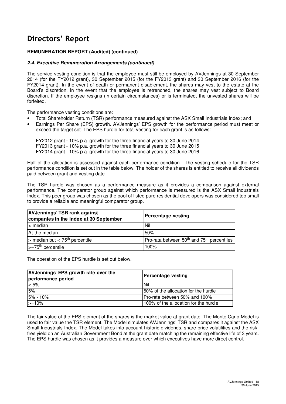## **REMUNERATION REPORT (Audited) (continued)**

#### **2.4. Executive Remuneration Arrangements (continued)**

The service vesting condition is that the employee must still be employed by AVJennings at 30 September 2014 (for the FY2012 grant), 30 September 2015 (for the FY2013 grant) and 30 September 2016 (for the FY2014 grant). In the event of death or permanent disablement, the shares may vest to the estate at the Board's discretion. In the event that the employee is retrenched, the shares may vest subject to Board discretion. If the employee resigns (in certain circumstances) or is terminated, the unvested shares will be forfeited.

The performance vesting conditions are:

- Total Shareholder Return (TSR) performance measured against the ASX Small Industrials Index; and
- Earnings Per Share (EPS) growth. AVJennings' EPS growth for the performance period must meet or exceed the target set. The EPS hurdle for total vesting for each grant is as follows:

FY2012 grant - 10% p.a. growth for the three financial years to 30 June 2014 FY2013 grant - 10% p.a. growth for the three financial years to 30 June 2015 FY2014 grant - 10% p.a. growth for the three financial years to 30 June 2016

Half of the allocation is assessed against each performance condition. The vesting schedule for the TSR performance condition is set out in the table below. The holder of the shares is entitled to receive all dividends paid between grant and vesting date.

The TSR hurdle was chosen as a performance measure as it provides a comparison against external performance. The comparator group against which performance is measured is the ASX Small Industrials Index. This peer group was chosen as the pool of listed pure residential developers was considered too small to provide a reliable and meaningful comparator group.

| <b>AVJennings' TSR rank against</b><br>companies in the Index at 30 September | Percentage vesting                                                 |  |
|-------------------------------------------------------------------------------|--------------------------------------------------------------------|--|
| $\leq$ median                                                                 | l Nil                                                              |  |
| At the median                                                                 | 50%                                                                |  |
| $\vert$ > median but < 75 <sup>th</sup> percentile                            | Pro-rata between 50 <sup>th</sup> and 75 <sup>th</sup> percentiles |  |
| $\left  \right  > = 75$ <sup>th</sup> percentile                              | 100%                                                               |  |

The operation of the EPS hurdle is set out below.

| AVJennings' EPS growth rate over the<br>performance period | Percentage vesting                     |  |
|------------------------------------------------------------|----------------------------------------|--|
| I< 5%                                                      | <b>INil</b>                            |  |
| 5%                                                         | 150% of the allocation for the hurdle  |  |
| 5% - 10%                                                   | Pro-rata between 50% and 100%          |  |
| $\vert$ >=10%                                              | 1100% of the allocation for the hurdle |  |

The fair value of the EPS element of the shares is the market value at grant date. The Monte Carlo Model is used to fair value the TSR element. The Model simulates AVJennings' TSR and compares it against the ASX Small Industrials Index. The Model takes into account historic dividends, share price volatilities and the riskfree yield on an Australian Government Bond at the grant date matching the remaining effective life of 3 years. The EPS hurdle was chosen as it provides a measure over which executives have more direct control.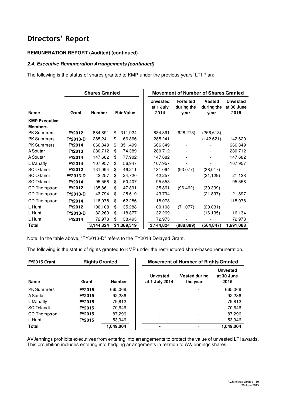## **REMUNERATION REPORT (Audited) (continued)**

## **2.4. Executive Remuneration Arrangements (continued)**

The following is the status of shares granted to KMP under the previous years' LTI Plan:

|                      |                 | <b>Shares Granted</b> |                   | <b>Movement of Number of Shares Granted</b> |                                        |                                     |                                       |  |  |
|----------------------|-----------------|-----------------------|-------------------|---------------------------------------------|----------------------------------------|-------------------------------------|---------------------------------------|--|--|
| <b>Name</b>          | Grant           | <b>Number</b>         | <b>Fair Value</b> | <b>Unvested</b><br>at 1 July<br>2014        | <b>Forfeited</b><br>during the<br>vear | <b>Vested</b><br>during the<br>vear | <b>Unvested</b><br>at 30 June<br>2015 |  |  |
| <b>KMP Executive</b> |                 |                       |                   |                                             |                                        |                                     |                                       |  |  |
| <b>Members</b>       |                 |                       |                   |                                             |                                        |                                     |                                       |  |  |
| <b>PK Summers</b>    | FY2012          | 884,891               | \$<br>311,924     | 884,891                                     | (628, 273)                             | (256, 618)                          |                                       |  |  |
| <b>PK Summers</b>    | <b>FY2013-D</b> | 285,241               | \$<br>166,866     | 285,241                                     |                                        | (142,621)                           | 142,620                               |  |  |
| <b>PK Summers</b>    | FY2014          | 666,349               | \$<br>351,499     | 666,349                                     |                                        |                                     | 666,349                               |  |  |
| A Soutar             | FY2013          | 280,712               | \$<br>74,389      | 280,712                                     |                                        |                                     | 280,712                               |  |  |
| A Soutar             | FY2014          | 147,682               | \$<br>77,902      | 147,682                                     |                                        |                                     | 147,682                               |  |  |
| L Mahaffy            | FY2014          | 107,957               | \$<br>56,947      | 107,957                                     |                                        |                                     | 107,957                               |  |  |
| SC Orlandi           | FY2012          | 131,094               | \$<br>46,211      | 131,094                                     | (93,077)                               | (38, 017)                           |                                       |  |  |
| <b>SC Orlandi</b>    | <b>FY2013-D</b> | 42,257                | \$<br>24,720      | 42,257                                      |                                        | (21, 129)                           | 21,128                                |  |  |
| <b>SC Orlandi</b>    | FY2014          | 95,558                | \$<br>50,407      | 95,558                                      |                                        |                                     | 95,558                                |  |  |
| CD Thompson          | FY2012          | 135,861               | \$<br>47,891      | 135,861                                     | (96, 462)                              | (39, 399)                           |                                       |  |  |
| CD Thompson          | <b>FY2013-D</b> | 43,794                | \$<br>25,619      | 43,794                                      |                                        | (21, 897)                           | 21,897                                |  |  |
| CD Thompson          | FY2014          | 118,078               | \$<br>62,286      | 118,078                                     |                                        |                                     | 118,078                               |  |  |
| L Hunt               | FY2012          | 100,108               | \$<br>35,288      | 100,108                                     | (71.077)                               | (29,031)                            |                                       |  |  |
| L Hunt               | <b>FY2013-D</b> | 32,269                | \$<br>18,877      | 32,269                                      |                                        | (16, 135)                           | 16,134                                |  |  |
| L Hunt               | FY2014          | 72,973                | \$<br>38,493      | 72,973                                      |                                        |                                     | 72,973                                |  |  |
| <b>Total</b>         |                 | 3,144,824             | \$1,389,319       | 3,144,824                                   | (888, 889)                             | (564, 847)                          | 1,691,088                             |  |  |

Note: In the table above, "FY2013-D" refers to the FY2013 Delayed Grant.

The following is the status of rights granted to KMP under the restructured share-based remuneration.

| FY2015 Grant       |        | <b>Rights Granted</b> | <b>Movement of Number of Rights Granted</b> |                                  |                                       |  |  |
|--------------------|--------|-----------------------|---------------------------------------------|----------------------------------|---------------------------------------|--|--|
| <b>Name</b>        | Grant  | <b>Number</b>         | <b>Unvested</b><br>at 1 July 2014           | <b>Vested during</b><br>the year | <b>Unvested</b><br>at 30 June<br>2015 |  |  |
| <b>PK Summers</b>  | FY2015 | 665,068               |                                             |                                  | 665,068                               |  |  |
| A Soutar           | FY2015 | 92,236                |                                             |                                  | 92,236                                |  |  |
| L Mahaffy          | FY2015 | 79,812                |                                             |                                  | 79,812                                |  |  |
| SC Orlandi         | FY2015 | 70.646                | -                                           |                                  | 70.646                                |  |  |
| <b>CD Thompson</b> | FY2015 | 87,296                | ٠                                           |                                  | 87,296                                |  |  |
| L Hunt             | FY2015 | 53,946                | ٠                                           |                                  | 53,946                                |  |  |
| <b>Total</b>       |        | 1,049,004             |                                             |                                  | 1,049,004                             |  |  |

AVJennings prohibits executives from entering into arrangements to protect the value of unvested LTI awards. This prohibition includes entering into hedging arrangements in relation to AVJennings shares.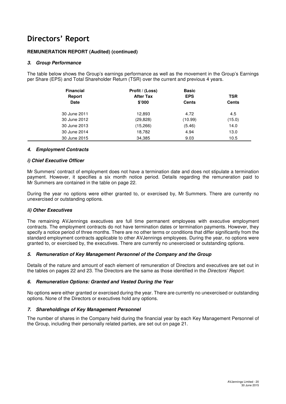#### **REMUNERATION REPORT (Audited) (continued)**

#### **3. Group Performance**

The table below shows the Group's earnings performance as well as the movement in the Group's Earnings per Share (EPS) and Total Shareholder Return (TSR) over the current and previous 4 years.

| <b>Financial</b><br>Report<br><b>Date</b> | Profit / (Loss)<br><b>After Tax</b><br>$$^{\circ}000$ | <b>Basic</b><br><b>EPS</b><br>Cents | <b>TSR</b><br><b>Cents</b> |
|-------------------------------------------|-------------------------------------------------------|-------------------------------------|----------------------------|
| 30 June 2011                              | 12,893                                                | 4.72                                | 4.5                        |
| 30 June 2012                              | (29, 828)                                             | (10.99)                             | (15.0)                     |
| 30 June 2013                              | (15,266)                                              | (5.46)                              | 14.0                       |
| 30 June 2014                              | 18,782                                                | 4.94                                | 13.0                       |
| 30 June 2015                              | 34,385                                                | 9.03                                | 10.5                       |

#### **4. Employment Contracts**

#### **i) Chief Executive Officer**

Mr Summers' contract of employment does not have a termination date and does not stipulate a termination payment. However, it specifies a six month notice period. Details regarding the remuneration paid to Mr Summers are contained in the table on page 22.

During the year no options were either granted to, or exercised by, Mr Summers. There are currently no unexercised or outstanding options.

#### **ii) Other Executives**

The remaining AVJennings executives are full time permanent employees with executive employment contracts. The employment contracts do not have termination dates or termination payments. However, they specify a notice period of three months. There are no other terms or conditions that differ significantly from the standard employment contracts applicable to other AVJennings employees. During the year, no options were granted to, or exercised by, the executives. There are currently no unexercised or outstanding options.

#### **5. Remuneration of Key Management Personnel of the Company and the Group**

Details of the nature and amount of each element of remuneration of Directors and executives are set out in the tables on pages 22 and 23. The Directors are the same as those identified in the Directors' Report.

#### **6. Remuneration Options: Granted and Vested During the Year**

No options were either granted or exercised during the year. There are currently no unexercised or outstanding options. None of the Directors or executives hold any options.

#### **7. Shareholdings of Key Management Personnel**

The number of shares in the Company held during the financial year by each Key Management Personnel of the Group, including their personally related parties, are set out on page 21.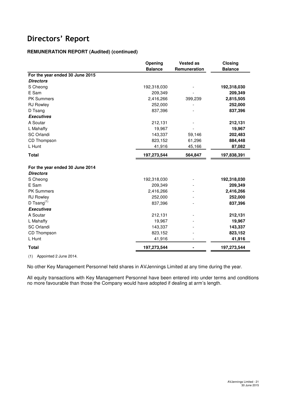## **REMUNERATION REPORT (Audited) (continued)**

|                                 | Opening<br><b>Balance</b> | <b>Vested as</b><br>Remuneration | Closing<br><b>Balance</b> |
|---------------------------------|---------------------------|----------------------------------|---------------------------|
| For the year ended 30 June 2015 |                           |                                  |                           |
| <b>Directors</b>                |                           |                                  |                           |
| S Cheong                        | 192,318,030               |                                  | 192,318,030               |
| E Sam                           | 209,349                   |                                  | 209,349                   |
| <b>PK Summers</b>               | 2,416,266                 | 399,239                          | 2,815,505                 |
| <b>RJ Rowley</b>                | 252,000                   |                                  | 252,000                   |
| D Tsang                         | 837,396                   |                                  | 837,396                   |
| <b>Executives</b>               |                           |                                  |                           |
| A Soutar                        | 212,131                   |                                  | 212,131                   |
| L Mahaffy                       | 19,967                    |                                  | 19,967                    |
| SC Orlandi                      | 143,337                   | 59,146                           | 202,483                   |
| CD Thompson                     | 823,152                   | 61,296                           | 884,448                   |
| L Hunt                          | 41,916                    | 45,166                           | 87,082                    |
| <b>Total</b>                    | 197,273,544               | 564,847                          | 197,838,391               |
| For the year ended 30 June 2014 |                           |                                  |                           |
| <b>Directors</b>                |                           |                                  |                           |
| S Cheong                        | 192,318,030               |                                  | 192,318,030               |
| E Sam                           | 209,349                   |                                  | 209,349                   |
| <b>PK Summers</b>               | 2,416,266                 |                                  | 2,416,266                 |
| <b>RJ Rowley</b>                | 252,000                   |                                  | 252,000                   |
| D Tsang $(1)$                   | 837,396                   |                                  | 837,396                   |
| <b>Executives</b>               |                           |                                  |                           |
| A Soutar                        | 212,131                   |                                  | 212,131                   |
| L Mahaffy                       | 19,967                    |                                  | 19,967                    |
| SC Orlandi                      | 143,337                   |                                  | 143,337                   |
| CD Thompson                     | 823,152                   |                                  | 823,152                   |
| L Hunt                          | 41,916                    |                                  | 41,916                    |
| <b>Total</b>                    | 197,273,544               |                                  | 197,273,544               |

(1) Appointed 2 June 2014.

No other Key Management Personnel held shares in AVJennings Limited at any time during the year.

All equity transactions with Key Management Personnel have been entered into under terms and conditions no more favourable than those the Company would have adopted if dealing at arm's length.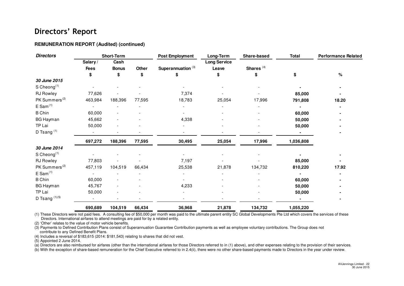#### **REMUNERATION REPORT (Audited) (continued)**

| <b>Directors</b>          |             | <b>Short-Term</b> |        | <b>Post Employment</b> | Long-Term           | Share-based           | <b>Total</b> | <b>Performance Related</b> |
|---------------------------|-------------|-------------------|--------|------------------------|---------------------|-----------------------|--------------|----------------------------|
|                           | Salary/     | Cash              |        |                        | <b>Long Service</b> |                       |              |                            |
|                           | <b>Fees</b> | <b>Bonus</b>      | Other  | Superannuation $(3)$   | Leave               | Shares <sup>(4)</sup> |              |                            |
|                           | \$          | \$                | \$     | \$                     | \$                  | \$                    | \$           | $\%$                       |
| 30 June 2015              |             |                   |        |                        |                     |                       |              |                            |
| $S$ Cheong <sup>(1)</sup> |             |                   |        |                        |                     |                       |              |                            |
| <b>RJ Rowley</b>          | 77,626      |                   |        | 7,374                  |                     |                       | 85,000       |                            |
| PK Summers <sup>(2)</sup> | 463,984     | 188,396           | 77,595 | 18,783                 | 25,054              | 17,996                | 791,808      | 18.20                      |
| E Sam <sup>(1)</sup>      |             |                   |        |                        |                     |                       |              |                            |
| <b>B</b> Chin             | 60,000      |                   |        |                        |                     |                       | 60,000       |                            |
| <b>BG Hayman</b>          | 45,662      |                   |        | 4,338                  |                     |                       | 50,000       |                            |
| TP Lai                    | 50,000      |                   |        |                        |                     |                       | 50,000       |                            |
| D Tsang <sup>(1)</sup>    |             |                   |        |                        |                     |                       |              |                            |
|                           | 697,272     | 188,396           | 77,595 | 30,495                 | 25,054              | 17,996                | 1,036,808    |                            |
| 30 June 2014              |             |                   |        |                        |                     |                       |              |                            |
| $S$ Cheong <sup>(1)</sup> |             |                   |        |                        |                     |                       |              |                            |
| <b>RJ Rowley</b>          | 77,803      |                   |        | 7,197                  |                     |                       | 85,000       |                            |
| PK Summers <sup>(2)</sup> | 457,119     | 104,519           | 66,434 | 25,538                 | 21,878              | 134,732               | 810,220      | 17.92                      |
| E Sam <sup>(1)</sup>      |             |                   |        |                        |                     |                       |              |                            |
| <b>B</b> Chin             | 60,000      |                   |        |                        |                     |                       | 60,000       |                            |
| <b>BG Hayman</b>          | 45,767      |                   |        | 4,233                  |                     |                       | 50,000       |                            |
| TP Lai                    | 50,000      |                   |        |                        |                     |                       | 50,000       |                            |
| D Tsang $(1)(5)$          |             |                   |        |                        |                     |                       |              |                            |
|                           | 690,689     | 104,519           | 66,434 | 36,968                 | 21,878              | 134,732               | 1,055,220    |                            |

(1) These Directors were not paid fees. A consulting fee of \$50,000 per month was paid to the ultimate parent entity SC Global Developments Pte Ltd which covers the services of these Directors. International airfares to attend meetings are paid for by a related entity.

(2) 'Other' relates to the value of motor vehicle benefits.

 (3) Payments to Defined Contribution Plans consist of Superannuation Guarantee Contribution payments as well as employee voluntary contributions. The Group does not contribute to any Defined Benefit Plans.

(4) Includes a reversal of \$183,615 (2014: \$181,543) relating to shares that did not vest.

(5) Appointed 2 June 2014.

(a) Directors are also reimbursed for airfares (other than the international airfares for those Directors referred to in (1) above), and other expenses relating to the provision of their services.

(b) With the exception of share-based remuneration for the Chief Executive referred to in 2.4(ii), there were no other share-based payments made to Directors in the year under review.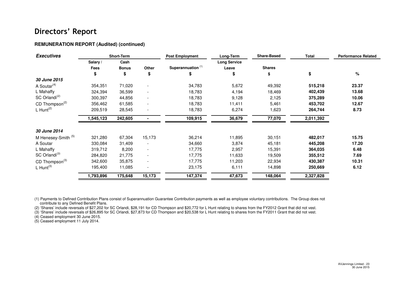#### **REMUNERATION REPORT (Audited) (continued)**

| <b>Executives</b>                       |             | <b>Short-Term</b> |                          | <b>Post Employment</b>        | Long-Term           | <b>Share-Based</b> | Total     | <b>Performance Related</b> |
|-----------------------------------------|-------------|-------------------|--------------------------|-------------------------------|---------------------|--------------------|-----------|----------------------------|
|                                         | Salary /    | Cash              |                          |                               | <b>Long Service</b> |                    |           |                            |
|                                         | <b>Fees</b> | <b>Bonus</b>      | Other                    | Superannuation <sup>(1)</sup> | Leave               | <b>Shares</b>      |           |                            |
|                                         | \$          | \$                | \$                       | \$                            | \$                  | \$                 | \$        | $\%$                       |
| 30 June 2015                            |             |                   |                          |                               |                     |                    |           |                            |
| A Soutar <sup>(4)</sup>                 | 354,351     | 71,020            | $\overline{\phantom{0}}$ | 34,783                        | 5,672               | 49,392             | 515,218   | 23.37                      |
| L Mahaffy                               | 324,394     | 36,599            | $\overline{\phantom{a}}$ | 18,783                        | 4,194               | 18,469             | 402,439   | 13.68                      |
| SC Orlandi <sup>(2)</sup>               | 300,397     | 44,856            | $\overline{\phantom{a}}$ | 18,783                        | 9,128               | 2,125              | 375,289   | 10.06                      |
| CD Thompson <sup><math>(2)</math></sup> | 356,462     | 61,585            | $\overline{\phantom{a}}$ | 18,783                        | 11,411              | 5,461              | 453,702   | 12.67                      |
| $L$ Hunt <sup><math>(2)</math></sup>    | 209,519     | 28,545            | $\overline{\phantom{a}}$ | 18,783                        | 6,274               | 1,623              | 264,744   | 8.73                       |
|                                         | 1,545,123   | 242,605           | $\blacksquare$           | 109,915                       | 36,679              | 77,070             | 2,011,392 |                            |
| 30 June 2014                            |             |                   |                          |                               |                     |                    |           |                            |
| M Henesey-Smith <sup>(5)</sup>          | 321,280     | 67,304            | 15,173                   | 36,214                        | 11,895              | 30,151             | 482,017   | 15.75                      |
| A Soutar                                | 330,084     | 31,409            | $\overline{\phantom{a}}$ | 34,660                        | 3,874               | 45,181             | 445,208   | 17.20                      |
| L Mahaffy                               | 319,712     | 8,200             | $\overline{\phantom{a}}$ | 17,775                        | 2,957               | 15,391             | 364,035   | 6.48                       |
| SC Orlandi <sup>(3)</sup>               | 284,820     | 21,775            | $\overline{\phantom{a}}$ | 17,775                        | 11,633              | 19,509             | 355,512   | 7.69                       |
| CD Thompson <sup>(3)</sup>              | 342,600     | 35,875            | $\overline{\phantom{a}}$ | 17,775                        | 11,203              | 22,934             | 430,387   | 10.31                      |
| $L$ Hunt <sup>(3)</sup>                 | 195,400     | 11,085            | -                        | 23,175                        | 6,111               | 14,898             | 250,669   | 6.12                       |
|                                         | 1,793,896   | 175,648           | 15,173                   | 147,374                       | 47,673              | 148,064            | 2,327,828 |                            |

(1) Payments to Defined Contribution Plans consist of Superannuation Guarantee Contribution payments as well as employee voluntary contributions. The Group does not contribute to any Defined Benefit Plans.

(2) 'Shares' include reversals of \$27,202 for SC Orlandi, \$28,191 for CD Thompson and \$20,772 for L Hunt relating to shares from the FY2012 Grant that did not vest.

(3) 'Shares' include reversals of \$26,895 for SC Orlandi, \$27,873 for CD Thompson and \$20,538 for L Hunt relating to shares from the FY2011 Grant that did not vest.

(4) Ceased employment 30 June 2015.

(5) Ceased employment 11 July 2014.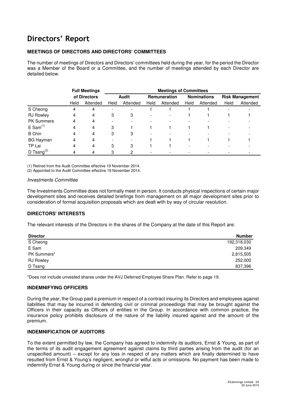#### **MEETINGS OF DIRECTORS AND DIRECTORS' COMMITTEES**

The number of meetings of Directors and Directors' committees held during the year, for the period the Director was a Member of the Board or a Committee, and the number of meetings attended by each Director are detailed below.

|                      |              | <b>Full Meetings</b> |       | <b>Meetings of Committees</b> |                          |          |                    |          |                        |          |  |  |
|----------------------|--------------|----------------------|-------|-------------------------------|--------------------------|----------|--------------------|----------|------------------------|----------|--|--|
|                      | of Directors |                      | Audit |                               | <b>Remuneration</b>      |          | <b>Nominations</b> |          | <b>Risk Management</b> |          |  |  |
|                      | Held         | Attended             | Held  | Attended                      | Held                     | Attended | Held               | Attended | Held                   | Attended |  |  |
| S Cheong             | 4            | 4                    |       | $\overline{\phantom{a}}$      |                          |          |                    |          |                        |          |  |  |
| <b>RJ Rowley</b>     | 4            | 4                    | 3     | 3                             | $\overline{\phantom{a}}$ |          |                    |          |                        |          |  |  |
| <b>PK Summers</b>    | 4            | 4                    |       |                               |                          |          |                    |          |                        |          |  |  |
| E Sam <sup>(1)</sup> | 4            | 4                    | 3     |                               |                          |          |                    |          |                        |          |  |  |
| <b>B</b> Chin        | 4            | 4                    | 3     | 3                             | $\overline{\phantom{0}}$ |          |                    |          |                        |          |  |  |
| <b>BG Hayman</b>     | 4            | 4                    |       | $\overline{\phantom{a}}$      |                          |          |                    |          |                        |          |  |  |
| TP Lai               | 4            | 4                    | 3     | 3                             |                          |          |                    |          |                        |          |  |  |
| D Tsang $^{(2)}$     | 4            |                      | 3     |                               |                          |          |                    |          |                        |          |  |  |

(1) Retired from the Audit Committee effective 19 November 2014.

(2) Appointed to the Audit Committee effective 19 November 2014.

#### Investments Committee

The Investments Committee does not formally meet in person. It conducts physical inspections of certain major development sites and receives detailed briefings from management on all major development sites prior to consideration of formal acquisition proposals which are dealt with by way of circular resolution.

#### **DIRECTORS' INTERESTS**

The relevant interests of the Directors in the shares of the Company at the date of this Report are:

| <b>Director</b>  | <b>Number</b> |
|------------------|---------------|
| S Cheong         | 192,318,030   |
| E Sam            | 209,349       |
| PK Summers*      | 2,815,505     |
| <b>RJ Rowley</b> | 252,000       |
| D Tsang          | 837,396       |

\*Does not include unvested shares under the AVJ Deferred Employee Share Plan. Refer to page 19.

#### **INDEMNIFYING OFFICERS**

During the year, the Group paid a premium in respect of a contract insuring its Directors and employees against liabilities that may be incurred in defending civil or criminal proceedings that may be brought against the Officers in their capacity as Officers of entities in the Group. In accordance with common practice, the insurance policy prohibits disclosure of the nature of the liability insured against and the amount of the premium.

#### **INDEMNIFICATION OF AUDITORS**

To the extent permitted by law, the Company has agreed to indemnify its auditors, Ernst & Young, as part of the terms of its audit engagement agreement against claims by third parties arising from the audit (for an unspecified amount) – except for any loss in respect of any matters which are finally determined to have resulted from Ernst & Young's negligent, wrongful or wilful acts or omissions. No payment has been made to indemnify Ernst & Young during or since the financial year.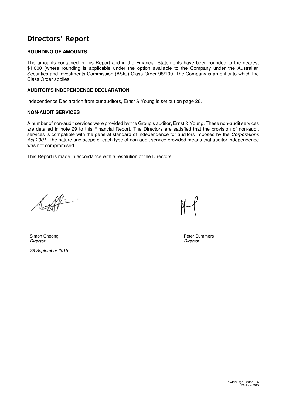## **ROUNDING OF AMOUNTS**

The amounts contained in this Report and in the Financial Statements have been rounded to the nearest \$1,000 (where rounding is applicable under the option available to the Company under the Australian Securities and Investments Commission (ASIC) Class Order 98/100. The Company is an entity to which the Class Order applies.

#### **AUDITOR'S INDEPENDENCE DECLARATION**

Independence Declaration from our auditors, Ernst & Young is set out on page 26.

#### **NON-AUDIT SERVICES**

A number of non-audit services were provided by the Group's auditor, Ernst & Young. These non-audit services are detailed in note 29 to this Financial Report. The Directors are satisfied that the provision of non-audit services is compatible with the general standard of independence for auditors imposed by the *Corporations* Act 2001. The nature and scope of each type of non-audit service provided means that auditor independence was not compromised.

This Report is made in accordance with a resolution of the Directors.

 $\frac{1}{\sqrt{2}}$ 

Simon Cheong **Director** 

28 September 2015

Peter Summers **Director**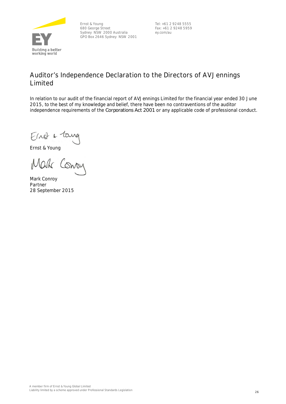

Ernst & Young 680 George Street Sydney NSW 2000 Australia GPO Box 2646 Sydney NSW 2001

Tel: +61 2 9248 5555 Fax: +61 2 9248 5959 ey.com/au

## **Auditor's Independence Declaration to the Directors of AVJennings Limited**

In relation to our audit of the financial report of AVJennings Limited for the financial year ended 30 June 2015, to the best of my knowledge and belief, there have been no contraventions of the auditor independence requirements of the *Corporations Act 2001* or any applicable code of professional conduct.

Ernst & Tang<br>Ernst & Young<br>Mark Conoy

Mark Conroy Partner 28 September 2015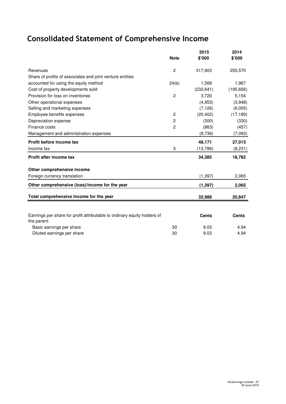# Consolidated Statement of Comprehensive Income

|                                                                                         | <b>Note</b>    | 2015<br>\$'000 | 2014<br>\$'000 |
|-----------------------------------------------------------------------------------------|----------------|----------------|----------------|
| Revenues                                                                                | $\overline{c}$ | 317,903        | 250,570        |
| Share of profits of associates and joint venture entities                               |                |                |                |
| accounted for using the equity method                                                   | 24(b)          | 1,569          | 1,967          |
| Cost of property developments sold                                                      |                | (232, 641)     | (195, 656)     |
| Provision for loss on inventories                                                       | $\overline{c}$ | 3,720          | 5,154          |
| Other operational expenses                                                              |                | (4,953)        | (3,948)        |
| Selling and marketing expenses                                                          |                | (7, 126)       | (6,005)        |
| Employee benefits expenses                                                              | $\overline{c}$ | (20, 402)      | (17, 189)      |
| Depreciation expense                                                                    | $\overline{c}$ | (300)          | (330)          |
| Finance costs                                                                           | $\overline{c}$ | (863)          | (457)          |
| Management and administration expenses                                                  |                | (8,736)        | (7,093)        |
| Profit before income tax                                                                |                | 48,171         | 27,013         |
| Income tax                                                                              | 3              | (13,786)       | (8, 231)       |
| Profit after income tax                                                                 |                | 34,385         | 18,782         |
| Other comprehensive income                                                              |                |                |                |
| Foreign currency translation                                                            |                | (1, 397)       | 2,065          |
| Other comprehensive (loss)/income for the year                                          |                | (1, 397)       | 2,065          |
| Total comprehensive income for the year                                                 |                | 32,988         | 20,847         |
|                                                                                         |                |                |                |
| Earnings per share for profit attributable to ordinary equity holders of<br>the parent: |                | <b>Cents</b>   | <b>Cents</b>   |
| Basic earnings per share                                                                | 30             | 9.03           | 4.94           |
| Diluted earnings per share                                                              | 30             | 9.03           | 4.94           |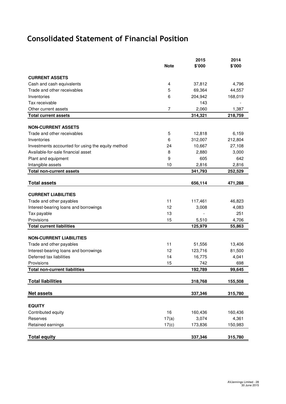# Consolidated Statement of Financial Position

|                                                   |                | 2015    | 2014            |
|---------------------------------------------------|----------------|---------|-----------------|
|                                                   | <b>Note</b>    | \$'000  | \$'000          |
| <b>CURRENT ASSETS</b>                             |                |         |                 |
| Cash and cash equivalents                         | 4              | 37,812  | 4,796           |
| Trade and other receivables                       | 5              | 69,364  | 44,557          |
| Inventories                                       | 6              | 204,942 | 168,019         |
| Tax receivable                                    |                | 143     |                 |
| Other current assets                              | $\overline{7}$ | 2,060   | 1,387           |
| <b>Total current assets</b>                       |                | 314,321 | 218,759         |
| <b>NON-CURRENT ASSETS</b>                         |                |         |                 |
| Trade and other receivables                       | 5              | 12,818  | 6,159           |
| Inventories                                       | 6              | 312,007 | 212,804         |
| Investments accounted for using the equity method | 24             | 10,667  | 27,108          |
| Available-for-sale financial asset                | 8              | 2,880   | 3,000           |
| Plant and equipment                               | 9              | 605     | 642             |
| Intangible assets                                 | 10             | 2,816   | 2,816           |
| <b>Total non-current assets</b>                   |                | 341,793 | 252,529         |
|                                                   |                |         |                 |
| <b>Total assets</b>                               |                | 656,114 | 471,288         |
|                                                   |                |         |                 |
| <b>CURRENT LIABILITIES</b>                        |                |         |                 |
| Trade and other payables                          | 11             | 117,461 | 46,823          |
| Interest-bearing loans and borrowings             | 12             | 3,008   | 4,083           |
| Tax payable<br>Provisions                         | 13             |         | 251             |
| <b>Total current liabilities</b>                  | 15             | 5,510   | 4,706<br>55,863 |
|                                                   |                | 125,979 |                 |
| <b>NON-CURRENT LIABILITIES</b>                    |                |         |                 |
| Trade and other payables                          | 11             | 51,556  | 13,406          |
| Interest-bearing loans and borrowings             | 12             | 123,716 | 81,500          |
| Deferred tax liabilities                          | 14             | 16,775  | 4,041           |
| Provisions                                        | 15             | 742     | 698             |
| <b>Total non-current liabilities</b>              |                | 192,789 | 99,645          |
| <b>Total liabilities</b>                          |                | 318,768 | 155,508         |
|                                                   |                |         |                 |
| <b>Net assets</b>                                 |                | 337,346 | 315,780         |
| <b>EQUITY</b>                                     |                |         |                 |
| Contributed equity                                | 16             | 160,436 | 160,436         |
| Reserves                                          | 17(a)          | 3,074   | 4,361           |
| Retained earnings                                 | 17(c)          | 173,836 | 150,983         |
|                                                   |                |         |                 |
| <b>Total equity</b>                               |                | 337,346 | 315,780         |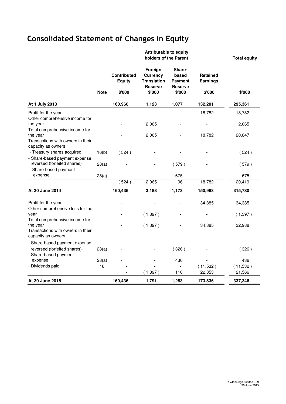# Consolidated Statement of Changes in Equity

|                                                                                                       |             |                                               | <b>Total equity</b>                                                          |                                                               |                                              |          |
|-------------------------------------------------------------------------------------------------------|-------------|-----------------------------------------------|------------------------------------------------------------------------------|---------------------------------------------------------------|----------------------------------------------|----------|
|                                                                                                       | <b>Note</b> | <b>Contributed</b><br><b>Equity</b><br>\$'000 | Foreign<br><b>Currency</b><br><b>Translation</b><br><b>Reserve</b><br>\$'000 | Share-<br>based<br><b>Payment</b><br><b>Reserve</b><br>\$'000 | <b>Retained</b><br><b>Earnings</b><br>\$'000 | \$'000   |
| At 1 July 2013                                                                                        |             | 160,960                                       | 1,123                                                                        | 1,077                                                         | 132,201                                      | 295,361  |
| Profit for the year<br>Other comprehensive income for                                                 |             |                                               |                                                                              |                                                               | 18,782                                       | 18,782   |
| the year                                                                                              |             |                                               | 2,065                                                                        |                                                               |                                              | 2,065    |
| Total comprehensive income for<br>the year<br>Transactions with owners in their                       |             |                                               | 2,065                                                                        |                                                               | 18,782                                       | 20,847   |
| capacity as owners                                                                                    |             |                                               |                                                                              |                                                               |                                              |          |
| - Treasury shares acquired                                                                            | 16(b)       | (524)                                         |                                                                              |                                                               |                                              | (524)    |
| - Share-based payment expense<br>reversed (forfeited shares)<br>- Share-based payment                 | 28(a)       |                                               |                                                                              | (579)                                                         |                                              | (579)    |
| expense                                                                                               | 28(a)       |                                               |                                                                              | 675                                                           |                                              | 675      |
|                                                                                                       |             | 524)                                          | 2,065                                                                        | 96                                                            | 18,782                                       | 20,419   |
| At 30 June 2014                                                                                       |             | 160,436                                       | 3,188                                                                        | 1,173                                                         | 150,983                                      | 315,780  |
| Profit for the year<br>Other comprehensive loss for the                                               |             |                                               |                                                                              |                                                               | 34,385                                       | 34,385   |
| year                                                                                                  |             |                                               | (1, 397)                                                                     |                                                               |                                              | (1, 397) |
| Total comprehensive income for<br>the year<br>Transactions with owners in their<br>capacity as owners |             |                                               | (1,397)                                                                      |                                                               | 34,385                                       | 32,988   |
| - Share-based payment expense<br>reversed (forfeited shares)<br>- Share-based payment                 | 28(a)       |                                               |                                                                              | (326)                                                         |                                              | (326)    |
| expense                                                                                               | 28(a)       |                                               |                                                                              | 436                                                           |                                              | 436      |
| Dividends paid                                                                                        | 18          |                                               |                                                                              |                                                               | (11,532)                                     | (11,532) |
|                                                                                                       |             |                                               | 1,397                                                                        | 110                                                           | 22,853                                       | 21,566   |
| At 30 June 2015                                                                                       |             | 160,436                                       | 1,791                                                                        | 1,283                                                         | 173,836                                      | 337,346  |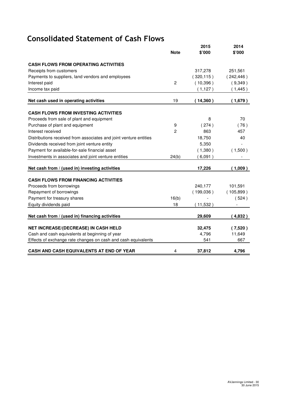# Consolidated Statement of Cash Flows

|                                                                   | <b>Note</b>    | 2015<br>\$'000 | 2014<br>\$'000 |
|-------------------------------------------------------------------|----------------|----------------|----------------|
| <b>CASH FLOWS FROM OPERATING ACTIVITIES</b>                       |                |                |                |
| Receipts from customers                                           |                | 317,278        | 251,561        |
| Payments to suppliers, land vendors and employees                 |                | (320, 115)     | (242, 446)     |
| Interest paid                                                     | $\overline{c}$ | (10, 396)      | (9,349)        |
| Income tax paid                                                   |                | (1,127)        | (1, 445)       |
| Net cash used in operating activities                             | 19             | (14, 360)      | (1,679)        |
| <b>CASH FLOWS FROM INVESTING ACTIVITIES</b>                       |                |                |                |
| Proceeds from sale of plant and equipment                         |                | 8              | 70             |
| Purchase of plant and equipment                                   | 9              | (274)          | (76)           |
| Interest received                                                 | $\overline{2}$ | 863            | 457            |
| Distributions received from associates and joint venture entities |                | 18,750         | 40             |
| Dividends received from joint venture entity                      |                | 5,350          |                |
| Payment for available-for-sale financial asset                    |                | (1,380)        | (1,500)        |
| Investments in associates and joint venture entities              | 24(b)          | (6,091)        |                |
| Net cash from / (used in) investing activities                    |                | 17,226         | (1,009)        |
| <b>CASH FLOWS FROM FINANCING ACTIVITIES</b>                       |                |                |                |
| Proceeds from borrowings                                          |                | 240,177        | 101,591        |
| Repayment of borrowings                                           |                | (199,036)      | (105, 899)     |
| Payment for treasury shares                                       | 16(b)          |                | (524)          |
| Equity dividends paid                                             | 18             | (11,532)       |                |
|                                                                   |                |                |                |
| Net cash from / (used in) financing activities                    |                | 29,609         | (4,832)        |
| NET INCREASE/(DECREASE) IN CASH HELD                              |                | 32,475         | (7,520)        |
| Cash and cash equivalents at beginning of year                    |                | 4,796          | 11,649         |
| Effects of exchange rate changes on cash and cash equivalents     |                | 541            | 667            |
| <b>CASH AND CASH EQUIVALENTS AT END OF YEAR</b>                   | 4              | 37,812         | 4,796          |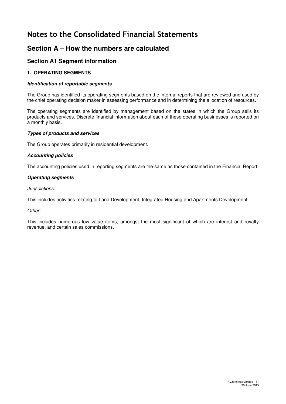## **Section A – How the numbers are calculated**

## **Section A1 Segment information**

## **1. OPERATING SEGMENTS**

#### **Identification of reportable segments**

The Group has identified its operating segments based on the internal reports that are reviewed and used by the chief operating decision maker in assessing performance and in determining the allocation of resources.

The operating segments are identified by management based on the states in which the Group sells its products and services. Discrete financial information about each of these operating businesses is reported on a monthly basis.

#### **Types of products and services**

The Group operates primarily in residential development.

#### **Accounting policies**

The accounting policies used in reporting segments are the same as those contained in the Financial Report.

#### **Operating segments**

Jurisdictions:

This includes activities relating to Land Development, Integrated Housing and Apartments Development.

Other:

This includes numerous low value items, amongst the most significant of which are interest and royalty revenue, and certain sales commissions.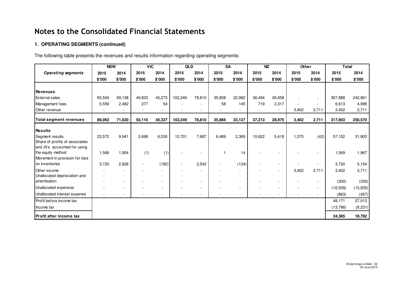## **1. OPERATING SEGMENTS (continued)**

The following table presents the revenues and results information regarding operating segments:

|                                                   | <b>NSW</b> |        | <b>VIC</b> |                          | <b>QLD</b> |        | <b>SA</b>      |                          | NZ     |                          | Other  |        | Total     |           |
|---------------------------------------------------|------------|--------|------------|--------------------------|------------|--------|----------------|--------------------------|--------|--------------------------|--------|--------|-----------|-----------|
| Operating segments                                | 2015       | 2014   | 2015       | 2014                     | 2015       | 2014   | 2015           | 2014                     | 2015   | 2014                     | 2015   | 2014   | 2015      | 2014      |
|                                                   | \$'000     | \$'000 | \$'000     | \$'000                   | \$'000     | \$'000 | \$'000         | \$'000                   | \$'000 | \$'000                   | \$'000 | \$'000 | \$'000    | \$'000    |
|                                                   |            |        |            |                          |            |        |                |                          |        |                          |        |        |           |           |
| Revenues                                          |            |        |            |                          |            |        |                |                          |        |                          |        |        |           |           |
| <b>External sales</b>                             | 83,504     | 69,138 | 49,833     | 45,273                   | 102,249    | 78,810 | 35,808         | 22,982                   | 36,494 | 26,658                   |        |        | 307,888   | 242,861   |
| Management fees                                   | 5,559      | 2,482  | 277        | 54                       |            |        | 58             | 145                      | 719    | 2,317                    |        |        | 6,613     | 4,998     |
| Other revenue                                     |            |        |            |                          |            |        |                |                          | $\sim$ | ÷.                       | 3,402  | 2,711  | 3,402     | 2,711     |
| <b>Total segment revenues</b>                     | 89,063     | 71,620 | 50,110     | 45,327                   | 102,249    | 78,810 | 35,866         | 23,127                   | 37,213 | 28,975                   | 3,402  | 2,711  | 317,903   | 250,570   |
|                                                   |            |        |            |                          |            |        |                |                          |        |                          |        |        |           |           |
| <b>Results</b>                                    |            |        |            |                          |            |        |                |                          |        |                          |        |        |           |           |
| Segment results<br>Share of profits of associates | 23,572     | 9,941  | 2,698      | 6,530                    | 12,701     | 7,687  | 6,489          | 2,369                    | 10,622 | 5,418                    | 1,070  | (42)   | 57,152    | 31,903    |
| and JVs accounted for using                       |            |        |            |                          |            |        |                |                          |        |                          |        |        |           |           |
| the equity method                                 | 1,569      | 1,954  | (1)        | (1)                      |            |        | $\mathbf{1}$   | 14                       |        |                          |        |        | 1,569     | 1,967     |
| Movement in provision for loss                    |            |        |            |                          |            |        |                |                          |        |                          |        |        |           |           |
| on inventories                                    | 3,720      | 2,928  |            | (182)                    |            | 2,542  | $\overline{a}$ | (134)                    |        |                          |        |        | 3,720     | 5,154     |
| Other income                                      |            |        |            |                          |            |        |                | $\overline{a}$           |        | $\sim$                   | 3,402  | 2,711  | 3,402     | 2,711     |
| Unallocated depreciation and                      |            |        |            |                          |            |        |                |                          |        |                          |        |        |           |           |
| amortisation                                      |            | ٠      |            | $\overline{\phantom{a}}$ |            |        |                | $\overline{\phantom{a}}$ |        | $\overline{\phantom{a}}$ |        |        | (300)     | (330)     |
| Unallocated expenses                              |            | $\sim$ |            | $\sim$                   |            |        |                | $\overline{\phantom{a}}$ |        |                          |        | $\sim$ | (16, 509) | (13, 935) |
| Unallocated interest expense                      |            | $\sim$ |            | $\blacksquare$           |            |        |                | $\sim$                   |        |                          |        |        | (863)     | (457)     |
| Profit before income tax                          |            |        |            |                          |            |        |                |                          |        |                          |        |        | 48,171    | 27,013    |
| Income tax                                        |            |        |            |                          |            |        |                |                          |        |                          |        |        | (13,786)  | (8,231)   |
| Profit after income tax                           |            |        |            |                          |            |        |                |                          |        |                          |        |        | 34,385    | 18,782    |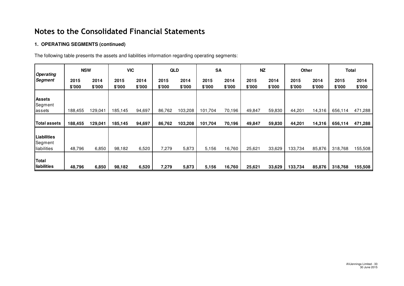## **1. OPERATING SEGMENTS (continued)**

The following table presents the assets and liabilities information regarding operating segments:

| <b>Operating</b>                      | <b>NSW</b>     |                | <b>VIC</b>     |                | <b>QLD</b>     |                | <b>SA</b>      |                | <b>NZ</b>      |                | Other          |                |                | <b>Total</b>   |
|---------------------------------------|----------------|----------------|----------------|----------------|----------------|----------------|----------------|----------------|----------------|----------------|----------------|----------------|----------------|----------------|
| Segment                               | 2015<br>\$'000 | 2014<br>\$7000 | 2015<br>\$'000 | 2014<br>\$'000 | 2015<br>\$'000 | 2014<br>\$'000 | 2015<br>\$'000 | 2014<br>\$'000 | 2015<br>\$7000 | 2014<br>\$'000 | 2015<br>\$'000 | 2014<br>\$'000 | 2015<br>\$'000 | 2014<br>\$'000 |
| <b>Assets</b><br>Segment<br>lassets   | 188,455        | 129,041        | 185,145        | 94,697         | 86,762         | 103,208        | 101,704        | 70,196         | 49,847         | 59,830         | 44,201         | 14,316         | 656,114        | 471,288        |
| <b>Total assets</b>                   | 188,455        | 129,041        | 185,145        | 94,697         | 86,762         | 103,208        | 101,704        | 70,196         | 49,847         | 59,830         | 44,201         | 14,316         | 656,114        | 471,288        |
| Liabilities<br>Segment<br>liabilities | 48,796         | 6,850          | 98,182         | 6,520          | 7,279          | 5,873          | 5,156          | 16,760         | 25,621         | 33,629         | 133,734        | 85,876         | 318,768        | 155,508        |
| <b>Total</b><br>liabilities           | 48,796         | 6,850          | 98,182         | 6,520          | 7,279          | 5,873          | 5,156          | 16,760         | 25,621         | 33,629         | 133,734        | 85,876         | 318,768        | 155,508        |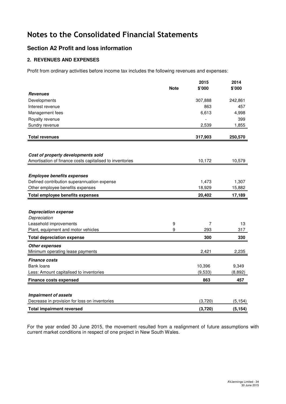## **Section A2 Profit and loss information**

## **2. REVENUES AND EXPENSES**

Profit from ordinary activities before income tax includes the following revenues and expenses:

|                                                          | <b>Note</b> | 2015<br>\$'000 | 2014<br>\$'000 |
|----------------------------------------------------------|-------------|----------------|----------------|
| <b>Revenues</b>                                          |             |                |                |
| Developments                                             |             | 307,888        | 242,861        |
| Interest revenue                                         |             | 863            | 457            |
| Management fees                                          |             | 6,613          | 4,998          |
| Royalty revenue                                          |             |                | 399            |
| Sundry revenue                                           |             | 2,539          | 1,855          |
|                                                          |             |                |                |
| <b>Total revenues</b>                                    |             | 317,903        | 250,570        |
|                                                          |             |                |                |
| Cost of property developments sold                       |             |                |                |
| Amortisation of finance costs capitalised to inventories |             | 10,172         | 10,579         |
|                                                          |             |                |                |
| <b>Employee benefits expenses</b>                        |             |                |                |
| Defined contribution superannuation expense              |             | 1,473          | 1,307          |
| Other employee benefits expenses                         |             | 18,929         | 15,882         |
| <b>Total employee benefits expenses</b>                  |             | 20,402         | 17,189         |
|                                                          |             |                |                |
|                                                          |             |                |                |
| <b>Depreciation expense</b><br>Depreciation              |             |                |                |
| Leasehold improvements                                   | 9           | 7              | 13             |
| Plant, equipment and motor vehicles                      | 9           | 293            | 317            |
|                                                          |             | 300            |                |
| <b>Total depreciation expense</b>                        |             |                | 330            |
| <b>Other expenses</b>                                    |             |                |                |
| Minimum operating lease payments                         |             | 2,421          | 2,235          |
| <b>Finance costs</b>                                     |             |                |                |
| <b>Bank loans</b>                                        |             | 10,396         | 9,349          |
| Less: Amount capitalised to inventories                  |             | (9, 533)       | (8,892)        |
| <b>Finance costs expensed</b>                            |             | 863            | 457            |
|                                                          |             |                |                |
| <b>Impairment of assets</b>                              |             |                |                |
| Decrease in provision for loss on inventories            |             | (3,720)        | (5, 154)       |
| <b>Total impairment reversed</b>                         |             | (3,720)        | (5, 154)       |

For the year ended 30 June 2015, the movement resulted from a realignment of future assumptions with current market conditions in respect of one project in New South Wales.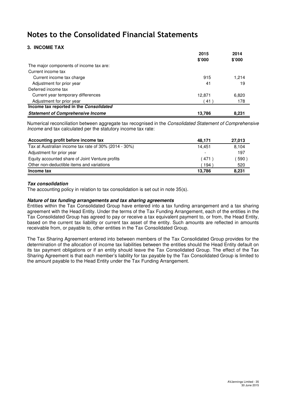## **3. INCOME TAX**

|                                          | 2015         | 2014   |
|------------------------------------------|--------------|--------|
|                                          | \$'000       | \$'000 |
| The major components of income tax are:  |              |        |
| Current income tax                       |              |        |
| Current income tax charge                | 915          | 1,214  |
| Adjustment for prior year                | 41           | 19     |
| Deferred income tax                      |              |        |
| Current year temporary differences       | 12,871       | 6,820  |
| Adjustment for prior year                | $41^{\circ}$ | 178    |
| Income tax reported in the Consolidated  |              |        |
| <b>Statement of Comprehensive Income</b> | 13,786       | 8,231  |

Numerical reconciliation between aggregate tax recognised in the Consolidated Statement of Comprehensive Income and tax calculated per the statutory income tax rate:

| Accounting profit before income tax                   | 48.171 | 27,013 |
|-------------------------------------------------------|--------|--------|
| Tax at Australian income tax rate of 30% (2014 - 30%) | 14.451 | 8,104  |
| Adjustment for prior year                             |        | 197    |
| Equity accounted share of Joint Venture profits       | 471)   | 590)   |
| Other non-deductible items and variations             | 194    | 520    |
| Income tax                                            | 13.786 | 8,231  |

## **Tax consolidation**

The accounting policy in relation to tax consolidation is set out in note 35(s).

#### **Nature of tax funding arrangements and tax sharing agreements**

Entities within the Tax Consolidated Group have entered into a tax funding arrangement and a tax sharing agreement with the Head Entity. Under the terms of the Tax Funding Arrangement, each of the entities in the Tax Consolidated Group has agreed to pay or receive a tax equivalent payment to, or from, the Head Entity, based on the current tax liability or current tax asset of the entity. Such amounts are reflected in amounts receivable from, or payable to, other entities in the Tax Consolidated Group.

The Tax Sharing Agreement entered into between members of the Tax Consolidated Group provides for the determination of the allocation of income tax liabilities between the entities should the Head Entity default on its tax payment obligations or if an entity should leave the Tax Consolidated Group. The effect of the Tax Sharing Agreement is that each member's liability for tax payable by the Tax Consolidated Group is limited to the amount payable to the Head Entity under the Tax Funding Arrangement.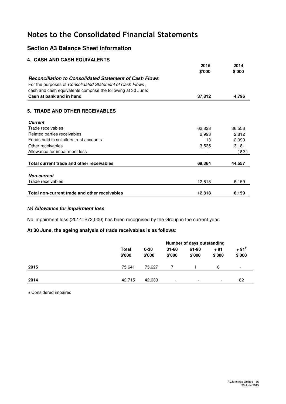## **Section A3 Balance Sheet information**

| <b>4. CASH AND CASH EQUIVALENTS</b>                           |        |        |  |
|---------------------------------------------------------------|--------|--------|--|
|                                                               | 2015   | 2014   |  |
|                                                               | \$'000 | \$'000 |  |
| <b>Reconciliation to Consolidated Statement of Cash Flows</b> |        |        |  |
| For the purposes of Consolidated Statement of Cash Flows,     |        |        |  |
| cash and cash equivalents comprise the following at 30 June:  |        |        |  |
| Cash at bank and in hand                                      | 37,812 | 4,796  |  |
|                                                               |        |        |  |
| <b>5. TRADE AND OTHER RECEIVABLES</b>                         |        |        |  |
|                                                               |        |        |  |
| <b>Current</b>                                                |        |        |  |
| Trade receivables                                             | 62,823 | 36.556 |  |
| Related parties receivables                                   | 2.993  | 2.812  |  |
| Funds held in solicitors trust accounts                       | 13     | 2,090  |  |
| Other receivables                                             | 3,535  | 3,181  |  |
| Allowance for impairment loss                                 |        | (82)   |  |
|                                                               |        |        |  |
| Total current trade and other receivables                     | 69,364 | 44,557 |  |
|                                                               |        |        |  |
| <b>Non-current</b>                                            |        |        |  |
| Trade receivables                                             | 12,818 | 6,159  |  |
|                                                               |        |        |  |
| Total non-current trade and other receivables                 | 12,818 | 6,159  |  |

#### **(a) Allowance for impairment loss**

No impairment loss (2014: \$72,000) has been recognised by the Group in the current year.

#### **At 30 June, the ageing analysis of trade receivables is as follows:**

|      | Number of days outstanding |                    |                          |                          |                          |                              |  |  |  |
|------|----------------------------|--------------------|--------------------------|--------------------------|--------------------------|------------------------------|--|--|--|
|      | <b>Total</b><br>\$'000     | $0 - 30$<br>\$'000 | $31 - 60$<br>\$'000      | 61-90<br>\$'000          | $+91$<br>\$'000          | $+91$ <sup>#</sup><br>\$'000 |  |  |  |
| 2015 | 75.641                     | 75.627             |                          |                          | 6                        | $\overline{\phantom{a}}$     |  |  |  |
| 2014 | 42,715                     | 42,633             | $\overline{\phantom{a}}$ | $\overline{\phantom{0}}$ | $\overline{\phantom{a}}$ | 82                           |  |  |  |

# Considered impaired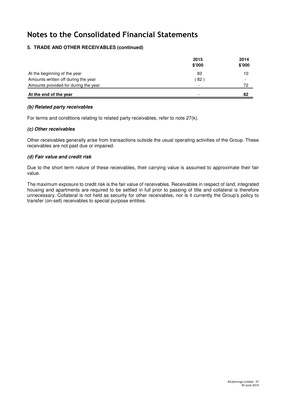## **5. TRADE AND OTHER RECEIVABLES (continued)**

|                                      | 2015   | 2014                     |  |
|--------------------------------------|--------|--------------------------|--|
|                                      | \$'000 | \$'000                   |  |
| At the beginning of the year         | 82     | 10                       |  |
| Amounts written off during the year  | 82)    | $\overline{\phantom{0}}$ |  |
| Amounts provided for during the year | -      | 72                       |  |
| At the end of the year               |        | 82                       |  |

### **(b) Related party receivables**

For terms and conditions relating to related party receivables, refer to note 27(k).

### **(c) Other receivables**

Other receivables generally arise from transactions outside the usual operating activities of the Group. These receivables are not past due or impaired.

### **(d) Fair value and credit risk**

Due to the short term nature of these receivables, their carrying value is assumed to approximate their fair value.

The maximum exposure to credit risk is the fair value of receivables. Receivables in respect of land, integrated housing and apartments are required to be settled in full prior to passing of title and collateral is therefore unnecessary. Collateral is not held as security for other receivables, nor is it currently the Group's policy to transfer (on-sell) receivables to special purpose entities.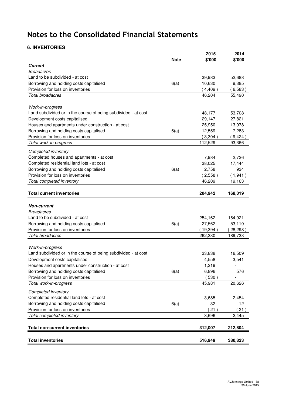## **6. INVENTORIES**

|                                                                              |             | 2015                 | 2014              |
|------------------------------------------------------------------------------|-------------|----------------------|-------------------|
| <b>Current</b>                                                               | <b>Note</b> | \$'000               | \$'000            |
| <b>Broadacres</b>                                                            |             |                      |                   |
| Land to be subdivided - at cost                                              |             | 39,983               | 52,688            |
| Borrowing and holding costs capitalised                                      | 6(a)        | 10,630               | 9,385             |
| Provision for loss on inventories                                            |             | (4,409)              | (6,583)           |
| Total broadacres                                                             |             | 46,204               | 55,490            |
|                                                                              |             |                      |                   |
| Work-in-progress                                                             |             |                      |                   |
| Land subdivided or in the course of being subdivided - at cost               |             | 48,177               | 53,708            |
| Development costs capitalised                                                |             | 29,147               | 27,821            |
| Houses and apartments under construction - at cost                           |             | 25,950               | 13,978            |
| Borrowing and holding costs capitalised                                      | 6(a)        | 12,559               | 7,283             |
| Provision for loss on inventories                                            |             | (3,304)              | (9, 424)          |
| Total work-in-progress                                                       |             | 112,529              | 93,366            |
| Completed inventory                                                          |             |                      |                   |
| Completed houses and apartments - at cost                                    |             | 7,984                | 2,726             |
| Completed residential land lots - at cost                                    |             | 38,025               | 17,444            |
| Borrowing and holding costs capitalised                                      | 6(a)        | 2,758                | 934               |
| Provision for loss on inventories                                            |             | (2,558)              | (1,941)           |
| Total completed inventory                                                    |             | 46,209               | 19,163            |
|                                                                              |             |                      |                   |
| <b>Total current inventories</b>                                             |             | 204,942              | 168,019           |
|                                                                              |             |                      |                   |
| <b>Non-current</b>                                                           |             |                      |                   |
| <b>Broadacres</b>                                                            |             |                      |                   |
| Land to be subdivided - at cost                                              |             | 254,162              | 164,921           |
| Borrowing and holding costs capitalised<br>Provision for loss on inventories | 6(a)        | 27,562               | 53,110            |
| Total broadacres                                                             |             | (19, 394)<br>262,330 | 28,298<br>189,733 |
|                                                                              |             |                      |                   |
| Work-in-progress                                                             |             |                      |                   |
| Land subdivided or in the course of being subdivided - at cost               |             | 33,838               | 16,509            |
| Development costs capitalised                                                |             | 4,558                | 3,541             |
| Houses and apartments under construction - at cost                           |             | 1,219                |                   |
| Borrowing and holding costs capitalised                                      | 6(a)        | 6,896                | 576               |
| Provision for loss on inventories                                            |             | (530)                |                   |
| Total work-in-progress                                                       |             | 45,981               | 20,626            |
| Completed inventory                                                          |             |                      |                   |
| Completed residential land lots - at cost                                    |             | 3,685                | 2,454             |
| Borrowing and holding costs capitalised                                      | 6(a)        | 32                   | 12                |
| Provision for loss on inventories                                            |             | 21                   | 21                |
| Total completed inventory                                                    |             | 3,696                | 2,445             |
|                                                                              |             |                      |                   |
| <b>Total non-current inventories</b>                                         |             | 312,007              | 212,804           |
|                                                                              |             |                      |                   |
| <b>Total inventories</b>                                                     |             | 516,949              | 380,823           |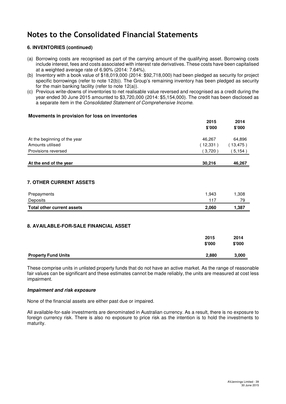### **6. INVENTORIES (continued)**

- (a) Borrowing costs are recognised as part of the carrying amount of the qualifying asset. Borrowing costs include interest, fees and costs associated with interest rate derivatives. These costs have been capitalised at a weighted average rate of 6.90% (2014: 7.64%).
- (b) Inventory with a book value of \$18,019,000 (2014: \$92,718,000) had been pledged as security for project specific borrowings (refer to note 12(b)). The Group's remaining inventory has been pledged as security for the main banking facility (refer to note 12(a)).
- (c) Previous write-downs of inventories to net realisable value reversed and recognised as a credit during the year ended 30 June 2015 amounted to \$3,720,000 (2014: \$5,154,000). The credit has been disclosed as a separate item in the Consolidated Statement of Comprehensive Income.

#### **Movements in provision for loss on inventories**

|                              | 2015<br>\$'000 | 2014<br>\$'000 |
|------------------------------|----------------|----------------|
|                              |                |                |
| At the beginning of the year | 46.267         | 64,896         |
| Amounts utilised             | (12,331)       | (13,475)       |
| Provisions reversed          | ( 3.720 )      | $5,154$ )      |
| At the end of the year       | 30,216         | 46.267         |

### **7. OTHER CURRENT ASSETS**

| Prepayments                | 1.943 | 1,308 |
|----------------------------|-------|-------|
| Deposits                   | -117  | 79    |
| Total other current assets | 2,060 | .387  |

#### **8. AVAILABLE-FOR-SALE FINANCIAL ASSET**

|                            | 2015<br>\$'000 | 2014<br>\$'000 |
|----------------------------|----------------|----------------|
| <b>Property Fund Units</b> | 2,880          | 3,000          |

These comprise units in unlisted property funds that do not have an active market. As the range of reasonable fair values can be significant and these estimates cannot be made reliably, the units are measured at cost less impairment.

#### **Impairment and risk exposure**

None of the financial assets are either past due or impaired.

All available-for-sale investments are denominated in Australian currency. As a result, there is no exposure to foreign currency risk. There is also no exposure to price risk as the intention is to hold the investments to maturity.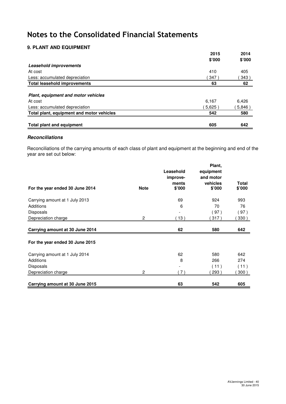## **9. PLANT AND EQUIPMENT**

|                                           | 2015   | 2014   |
|-------------------------------------------|--------|--------|
|                                           | \$'000 | \$'000 |
| Leasehold improvements                    |        |        |
| At cost                                   | 410    | 405    |
| Less: accumulated depreciation            | 347'   | 343)   |
| <b>Total leasehold improvements</b>       | 63     | 62     |
|                                           |        |        |
| Plant, equipment and motor vehicles       |        |        |
| At cost                                   | 6,167  | 6,426  |
| Less: accumulated depreciation            | 5,625) | 5,846) |
| Total plant, equipment and motor vehicles | 542    | 580    |
| <b>Total plant and equipment</b>          | 605    | 642    |

#### **Reconciliations**

Reconciliations of the carrying amounts of each class of plant and equipment at the beginning and end of the year are set out below:

| For the year ended 30 June 2014 | <b>Note</b>  | Leasehold<br>improve-<br>ments<br>\$'000 | Plant,<br>equipment<br>and motor<br>vehicles<br>\$'000 | <b>Total</b><br>\$'000 |
|---------------------------------|--------------|------------------------------------------|--------------------------------------------------------|------------------------|
| Carrying amount at 1 July 2013  |              | 69                                       | 924                                                    | 993                    |
| Additions                       |              | 6                                        | 70                                                     | 76                     |
| Disposals                       |              |                                          | (97)                                                   | (97)                   |
| Depreciation charge             | $\mathbf{2}$ | (13)                                     | 317)                                                   | 330)                   |
| Carrying amount at 30 June 2014 |              | 62                                       | 580                                                    | 642                    |
| For the year ended 30 June 2015 |              |                                          |                                                        |                        |
| Carrying amount at 1 July 2014  |              | 62                                       | 580                                                    | 642                    |
| Additions                       |              | 8                                        | 266                                                    | 274                    |
| <b>Disposals</b>                |              |                                          | (11)                                                   | (11)                   |
| Depreciation charge             | $\mathbf{2}$ | $\left( 7\right)$                        | 293)                                                   | 300)                   |
| Carrying amount at 30 June 2015 |              | 63                                       | 542                                                    | 605                    |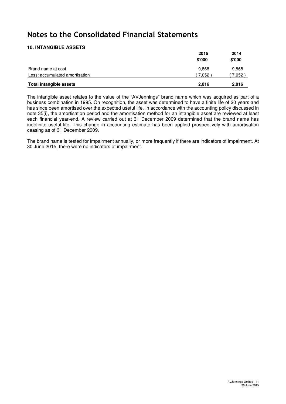### **10. INTANGIBLE ASSETS**

|                                | 2015<br>\$'000 | 2014<br>\$'000 |
|--------------------------------|----------------|----------------|
| Brand name at cost             | 9,868          | 9,868          |
| Less: accumulated amortisation | 7.052          | 7,052          |
| Total intangible assets        | 2,816          | 2,816          |

The intangible asset relates to the value of the "AVJennings" brand name which was acquired as part of a business combination in 1995. On recognition, the asset was determined to have a finite life of 20 years and has since been amortised over the expected useful life. In accordance with the accounting policy discussed in note 35(i), the amortisation period and the amortisation method for an intangible asset are reviewed at least each financial year-end. A review carried out at 31 December 2009 determined that the brand name has indefinite useful life. This change in accounting estimate has been applied prospectively with amortisation ceasing as of 31 December 2009.

The brand name is tested for impairment annually, or more frequently if there are indicators of impairment. At 30 June 2015, there were no indicators of impairment.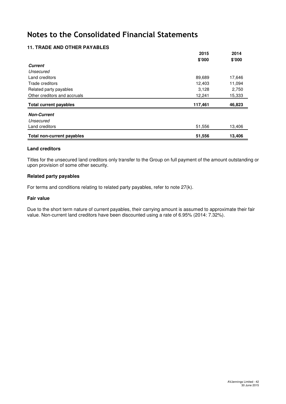## **11. TRADE AND OTHER PAYABLES**

|                                   | 2015    | 2014   |
|-----------------------------------|---------|--------|
|                                   | \$'000  | \$'000 |
| <b>Current</b>                    |         |        |
| Unsecured                         |         |        |
| Land creditors                    | 89,689  | 17,646 |
| Trade creditors                   | 12,403  | 11,094 |
| Related party payables            | 3,128   | 2,750  |
| Other creditors and accruals      | 12,241  | 15,333 |
| <b>Total current payables</b>     | 117,461 | 46,823 |
| <b>Non-Current</b>                |         |        |
| Unsecured                         |         |        |
| Land creditors                    | 51,556  | 13,406 |
| <b>Total non-current payables</b> | 51,556  | 13,406 |

#### **Land creditors**

Titles for the unsecured land creditors only transfer to the Group on full payment of the amount outstanding or upon provision of some other security.

#### **Related party payables**

For terms and conditions relating to related party payables, refer to note 27(k).

#### **Fair value**

Due to the short term nature of current payables, their carrying amount is assumed to approximate their fair value. Non-current land creditors have been discounted using a rate of 6.95% (2014: 7.32%).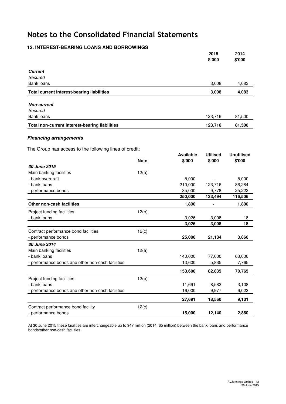## **12. INTEREST-BEARING LOANS AND BORROWINGS**

|                                                        |             |                  | 2015<br>\$'000  | 2014<br>\$'000    |
|--------------------------------------------------------|-------------|------------------|-----------------|-------------------|
|                                                        |             |                  |                 |                   |
| <b>Current</b><br>Secured                              |             |                  |                 |                   |
| Bank loans                                             |             |                  | 3,008           | 4,083             |
|                                                        |             |                  |                 |                   |
| Total current interest-bearing liabilities             |             |                  | 3,008           | 4,083             |
| <b>Non-current</b>                                     |             |                  |                 |                   |
| Secured                                                |             |                  |                 |                   |
| <b>Bank loans</b>                                      |             |                  | 123,716         | 81,500            |
| Total non-current interest-bearing liabilities         |             |                  | 123,716         | 81,500            |
| <b>Financing arrangements</b>                          |             |                  |                 |                   |
| The Group has access to the following lines of credit: |             |                  |                 |                   |
|                                                        |             | <b>Available</b> | <b>Utilised</b> | <b>Unutilised</b> |
|                                                        | <b>Note</b> | \$'000           | \$'000          | \$'000            |
| 30 June 2015                                           |             |                  |                 |                   |
| Main banking facilities                                | 12(a)       |                  |                 |                   |
| - bank overdraft                                       |             | 5,000            |                 | 5,000             |
| - bank loans                                           |             | 210,000          | 123,716         | 86,284            |
| - performance bonds                                    |             | 35,000           | 9,778           | 25,222            |
|                                                        |             | 250,000          | 133,494         | 116,506           |
| Other non-cash facilities                              |             | 1,800            |                 | 1,800             |
| Project funding facilities                             | 12(b)       |                  |                 |                   |
| - bank loans                                           |             | 3,026            | 3,008           | 18                |
|                                                        |             | 3,026            | 3,008           | 18                |
| Contract performance bond facilities                   | 12(c)       |                  |                 |                   |
| - performance bonds                                    |             | 25,000           | 21,134          | 3,866             |
| 30 June 2014                                           |             |                  |                 |                   |
| Main banking facilities                                | 12(a)       |                  |                 |                   |
| - bank loans                                           |             | 140,000          | 77,000          | 63,000            |
| - performance bonds and other non-cash facilities      |             | 13,600           | 5,835           | 7,765             |
|                                                        |             | 153,600          | 82,835          | 70,765            |
| Project funding facilities                             | 12(b)       |                  |                 |                   |
| - bank loans                                           |             | 11,691           | 8,583           | 3,108             |
| - performance bonds and other non-cash facilities      |             | 16,000           | 9,977           | 6,023             |
|                                                        |             | 27,691           | 18,560          | 9,131             |
| Contract performance bond facility                     | 12(c)       |                  |                 |                   |
| performance bonds                                      |             | 15,000           | 12,140          | 2,860             |

 At 30 June 2015 these facilities are interchangeable up to \$47 million (2014: \$5 million) between the bank loans and performance bonds/other non-cash facilities.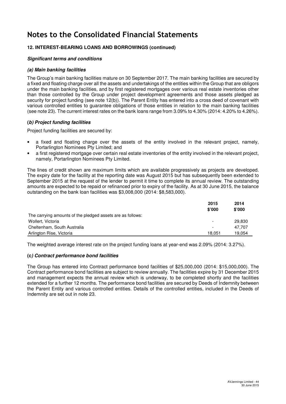## **12. INTEREST-BEARING LOANS AND BORROWINGS (continued)**

#### **Significant terms and conditions**

#### **(a) Main banking facilities**

The Group's main banking facilities mature on 30 September 2017. The main banking facilities are secured by a fixed and floating charge over all the assets and undertakings of the entities within the Group that are obligors under the main banking facilities, and by first registered mortgages over various real estate inventories other than those controlled by the Group under project development agreements and those assets pledged as security for project funding (see note 12(b)). The Parent Entity has entered into a cross deed of covenant with various controlled entities to guarantee obligations of those entities in relation to the main banking facilities (see note 23). The current interest rates on the bank loans range from 3.09% to 4.30% (2014: 4.20% to 4.26%).

#### **(b) Project funding facilities**

Project funding facilities are secured by:

- a fixed and floating charge over the assets of the entity involved in the relevant project, namely, Portarlington Nominees Pty Limited; and
- a first registered mortgage over certain real estate inventories of the entity involved in the relevant project, namely, Portarlington Nominees Pty Limited.

The lines of credit shown are maximum limits which are available progressively as projects are developed. The expiry date for the facility at the reporting date was August 2015 but has subsequently been extended to September 2015 at the request of the lender to permit it time to complete its annual review. The outstanding amounts are expected to be repaid or refinanced prior to expiry of the facility. As at 30 June 2015, the balance outstanding on the bank loan facilities was \$3,008,000 (2014: \$8,583,000).

|                                                            | 2015                     | 2014   |
|------------------------------------------------------------|--------------------------|--------|
|                                                            | \$'000                   | \$'000 |
| The carrying amounts of the pledged assets are as follows: |                          |        |
| Wollert, Victoria                                          | $\overline{\phantom{0}}$ | 29,830 |
| Cheltenham, South Australia                                | $\overline{\phantom{0}}$ | 47.707 |
| Arlington Rise, Victoria                                   | 18.051                   | 19.054 |

The weighted average interest rate on the project funding loans at year-end was 2.09% (2014: 3.27%).

#### **(c) Contract performance bond facilities**

The Group has entered into Contract performance bond facilities of \$25,000,000 (2014: \$15,000,000). The Contract performance bond facilities are subject to review annually. The facilities expire by 31 December 2015 and management expects the annual review which is underway, to be completed shortly and the facilities extended for a further 12 months. The performance bond facilities are secured by Deeds of Indemnity between the Parent Entity and various controlled entities. Details of the controlled entities, included in the Deeds of Indemnity are set out in note 23.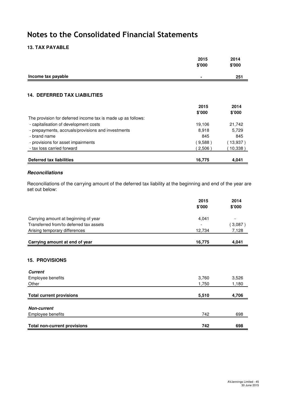## **13. TAX PAYABLE**

|                                                              | 2015<br>\$'000 | 2014<br>\$'000 |
|--------------------------------------------------------------|----------------|----------------|
| Income tax payable                                           |                | 251            |
| <b>14. DEFERRED TAX LIABILITIES</b>                          |                |                |
|                                                              |                |                |
|                                                              | 2015<br>\$'000 | 2014<br>\$'000 |
| The provision for deferred income tax is made up as follows: |                |                |
| - capitalisation of development costs                        | 19,106         | 21,742         |
| - prepayments, accruals/provisions and investments           | 8,918          | 5,729          |
| - brand name                                                 | 845            | 845            |
| - provisions for asset impairments                           | $9,588$ )      | (13,937)       |

| - provisions for asset impairments | (9.588) | . 13,937 |
|------------------------------------|---------|----------|
| - tax loss carried forward         | 2.506   | 10,338   |
|                                    |         |          |
| Deferred tax liabilities           | 16.775  | 4.041    |

### **Reconciliations**

Reconciliations of the carrying amount of the deferred tax liability at the beginning and end of the year are set out below:

|                                         | 2015<br>\$'000 | 2014<br>\$'000           |
|-----------------------------------------|----------------|--------------------------|
| Carrying amount at beginning of year    | 4.041          | $\overline{\phantom{0}}$ |
| Transferred from/to deferred tax assets |                | (3,087)                  |
| Arising temporary differences           | 12.734         | 7,128                    |
| Carrying amount at end of year          | 16,775         | 4.041                    |

### **15. PROVISIONS**

| <b>Current</b>                      |       |       |
|-------------------------------------|-------|-------|
| Employee benefits                   | 3,760 | 3,526 |
| Other                               | 1,750 | 1,180 |
|                                     |       |       |
| <b>Total current provisions</b>     | 5,510 | 4,706 |
|                                     |       |       |
| <b>Non-current</b>                  |       |       |
| Employee benefits                   | 742   | 698   |
|                                     |       |       |
| <b>Total non-current provisions</b> | 742   | 698   |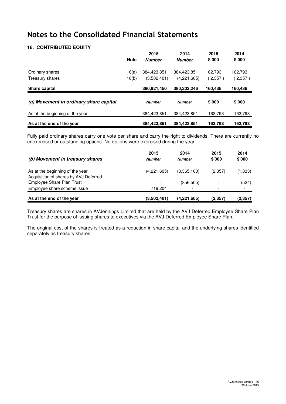## **16. CONTRIBUTED EQUITY**

|                                        |             | 2015          | 2014          | 2015    | 2014    |
|----------------------------------------|-------------|---------------|---------------|---------|---------|
|                                        | <b>Note</b> | <b>Number</b> | <b>Number</b> | \$'000  | \$'000  |
| Ordinary shares                        | 16(a)       | 384.423.851   | 384.423.851   | 162.793 | 162.793 |
| Treasury shares                        | 16(b)       | (3,502,401)   | (4,221,605)   | 2,357)  | 2,357)  |
| Share capital                          |             | 380,921,450   | 380,202,246   | 160.436 | 160,436 |
| (a) Movement in ordinary share capital |             | <b>Number</b> | <b>Number</b> | \$'000  | \$'000  |
| As at the beginning of the year        |             | 384,423,851   | 384.423.851   | 162.793 | 162,793 |
| As at the end of the year              |             | 384,423,851   | 384.423.851   | 162,793 | 162.793 |

Fully paid ordinary shares carry one vote per share and carry the right to dividends. There are currently no unexercised or outstanding options. No options were exercised during the year.

| (b) Movement in treasury shares       | 2015<br><b>Number</b> | 2014<br><b>Number</b>    | 2015<br>\$'000 | 2014<br>\$'000 |
|---------------------------------------|-----------------------|--------------------------|----------------|----------------|
| As at the beginning of the year       | (4,221,605)           | (3.365, 100)             | (2,357)        | (1,833)        |
| Acquisition of shares by AVJ Deferred |                       |                          |                |                |
| Employee Share Plan Trust             |                       | (856, 505)               |                | (524)          |
| Employee share scheme issue           | 719.204               | $\overline{\phantom{a}}$ | -              |                |
| As at the end of the year             | (3,502,401)           | (4,221,605)              | (2,357)        | (2, 357)       |

Treasury shares are shares in AVJennings Limited that are held by the AVJ Deferred Employee Share Plan Trust for the purpose of issuing shares to executives via the AVJ Deferred Employee Share Plan.

The original cost of the shares is treated as a reduction in share capital and the underlying shares identified separately as treasury shares.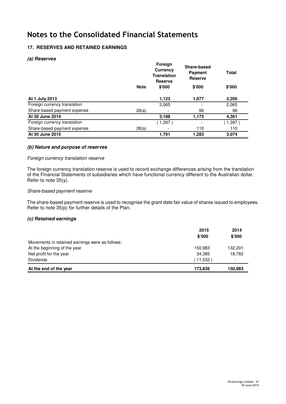## **17. RESERVES AND RETAINED EARNINGS**

#### **(a) Reserves**

|                              |             | Foreign<br><b>Currency</b><br><b>Translation</b><br><b>Reserve</b> | Share-based<br><b>Payment</b><br><b>Reserve</b> | Total  |
|------------------------------|-------------|--------------------------------------------------------------------|-------------------------------------------------|--------|
|                              | <b>Note</b> | \$'000                                                             | \$'000                                          | \$'000 |
| At 1 July 2013               |             | 1,123                                                              | 1,077                                           | 2,200  |
| Foreign currency translation |             | 2,065                                                              |                                                 | 2,065  |
| Share-based payment expense  | 28(a)       |                                                                    | 96                                              | 96     |
| At 30 June 2014              |             | 3,188                                                              | 1,173                                           | 4,361  |
| Foreign currency translation |             | (1,397)                                                            |                                                 | 1,397) |
| Share-based payment expense  | 28(a)       |                                                                    | 110                                             | 110    |
| At 30 June 2015              |             | 1,791                                                              | 1,283                                           | 3,074  |

#### **(b) Nature and purpose of reserves**

#### Foreign currency translation reserve

The foreign currency translation reserve is used to record exchange differences arising from the translation of the Financial Statements of subsidiaries which have functional currency different to the Australian dollar. Refer to note 35(y).

#### Share-based payment reserve

The share-based payment reserve is used to recognise the grant date fair value of shares issued to employees. Refer to note 35(p) for further details of the Plan.

#### **(c) Retained earnings**

|                                                 | 2015<br>\$'000 | 2014<br>\$'000           |
|-------------------------------------------------|----------------|--------------------------|
| Movements in retained earnings were as follows: |                |                          |
| At the beginning of the year                    | 150,983        | 132,201                  |
| Net profit for the year                         | 34.385         | 18,782                   |
| Dividends                                       | 〔11,532 〕      | $\overline{\phantom{a}}$ |
| At the end of the year                          | 173,836        | 150,983                  |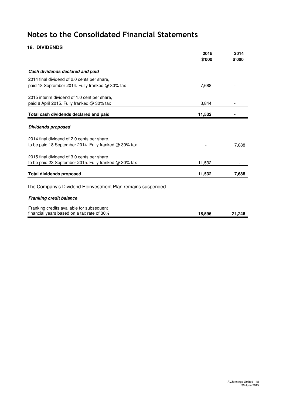| <b>18. DIVIDENDS</b>                                        |        |        |
|-------------------------------------------------------------|--------|--------|
|                                                             | 2015   | 2014   |
|                                                             | \$'000 | \$'000 |
| Cash dividends declared and paid                            |        |        |
| 2014 final dividend of 2.0 cents per share,                 |        |        |
| paid 18 September 2014. Fully franked @ 30% tax             | 7,688  |        |
| 2015 interim dividend of 1.0 cent per share,                |        |        |
| paid 8 April 2015. Fully franked @ 30% tax                  | 3,844  |        |
| Total cash dividends declared and paid                      | 11,532 |        |
| Dividends proposed                                          |        |        |
| 2014 final dividend of 2.0 cents per share,                 |        |        |
| to be paid 18 September 2014. Fully franked @ 30% tax       |        | 7,688  |
| 2015 final dividend of 3.0 cents per share,                 |        |        |
| to be paid 23 September 2015. Fully franked @ 30% tax       | 11,532 |        |
| <b>Total dividends proposed</b>                             | 11,532 | 7,688  |
| The Company's Dividend Reinvestment Plan remains suspended. |        |        |
| <b>Franking credit balance</b>                              |        |        |
| Franking credits available for subsequent                   |        |        |
| financial years based on a tax rate of 30%                  | 18,596 | 21,246 |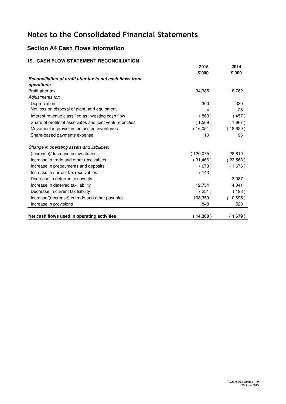## **Section A4 Cash Flows information**

## **19. CASH FLOW STATEMENT RECONCILIATION**

|                                                           | 2015      | 2014      |
|-----------------------------------------------------------|-----------|-----------|
| Reconciliation of profit after tax to net cash flows from | \$'000    | \$'000    |
| operations                                                |           |           |
| Profit after tax                                          | 34,385    | 18,782    |
|                                                           |           |           |
| Adjustments for:                                          |           |           |
| Depreciation                                              | 300       | 330       |
| Net loss on disposal of plant and equipment               | 4         | 28        |
| Interest revenue classified as investing cash flow        | (863)     | (457)     |
| Share of profits of associates and joint venture entities | (1,569)   | (1,967)   |
| Movement in provision for loss on inventories             | (16,051)  | (18,629)  |
| Share-based payments expense                              | 110       | 96        |
| Change in operating assets and liabilities:               |           |           |
| (Increase)/decrease in inventories                        | (120.075) | 28,619    |
| Increase in trade and other receivables                   | (31, 466) | (23, 563) |
| Increase in prepayments and deposits                      | (673)     | (1,676)   |
| Increase in current tax receivables                       | (143)     |           |
| Decrease in deferred tax assets                           |           | 3,087     |
| Increase in deferred tax liability                        | 12,734    | 4,041     |
| Decrease in current tax liability                         | (251)     | (198)     |
| Increase/(decrease) in trade and other payables           | 108,350   | (10,695)  |
| Increase in provisions                                    | 848       | 523       |
| Net cash flows used in operating activities               | (14,360)  | (1,679)   |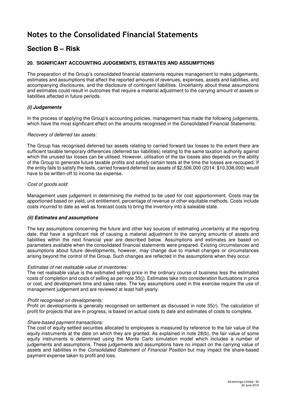## **Section B – Risk**

#### **20. SIGNIFICANT ACCOUNTING JUDGEMENTS, ESTIMATES AND ASSUMPTIONS**

The preparation of the Group's consolidated financial statements requires management to make judgements, estimates and assumptions that affect the reported amounts of revenues, expenses, assets and liabilities, and accompanying disclosures, and the disclosure of contingent liabilities. Uncertainty about these assumptions and estimates could result in outcomes that require a material adjustment to the carrying amount of assets or liabilities affected in future periods.

### **(i) Judgements**

In the process of applying the Group's accounting policies, management has made the following judgements, which have the most significant effect on the amounts recognised in the Consolidated Financial Statements:

#### Recovery of deferred tax assets:

The Group has recognised deferred tax assets relating to carried forward tax losses to the extent there are sufficient taxable temporary differences (deferred tax liabilities) relating to the same taxation authority against which the unused tax losses can be utilised. However, utilisation of the tax losses also depends on the ability of the Group to generate future taxable profits and satisfy certain tests at the time the losses are recouped. If the entity fails to satisfy the tests, carried forward deferred tax assets of \$2,506,000 (2014: \$10,338,000) would have to be written-off to income tax expense.

#### Cost of goods sold:

Management uses judgement in determining the method to be used for cost apportionment. Costs may be apportioned based on yield, unit entitlement, percentage of revenue or other equitable methods. Costs include costs incurred to date as well as forecast costs to bring the inventory into a saleable state.

#### **(ii) Estimates and assumptions**

The key assumptions concerning the future and other key sources of estimating uncertainty at the reporting date, that have a significant risk of causing a material adjustment to the carrying amounts of assets and liabilities within the next financial year are described below. Assumptions and estimates are based on parameters available when the consolidated financial statements were prepared. Existing circumstances and assumptions about future developments, however, may change due to market changes or circumstances arising beyond the control of the Group. Such changes are reflected in the assumptions when they occur.

#### Estimates of net realisable value of inventories:

The net realisable value is the estimated selling price in the ordinary course of business less the estimated costs of completion and costs of selling as per note 35(j). Estimates take into consideration fluctuations in price or cost, and development time and sales rates. The key assumptions used in this exercise require the use of management judgement and are reviewed at least half-yearly.

#### Profit recognised on developments:

Profit on developments is generally recognised on settlement as discussed in note 35(r). The calculation of profit for projects that are in progress, is based on actual costs to date and estimates of costs to complete.

#### Share-based payment transactions:

The cost of equity settled securities allocated to employees is measured by reference to the fair value of the equity instruments at the date on which they are granted. As explained in note 28(b), the fair value of some equity instruments is determined using the Monte Carlo simulation model which includes a number of judgements and assumptions. These judgements and assumptions have no impact on the carrying value of assets and liabilities in the Consolidated Statement of Financial Position but may impact the share-based payment expense taken to profit and loss.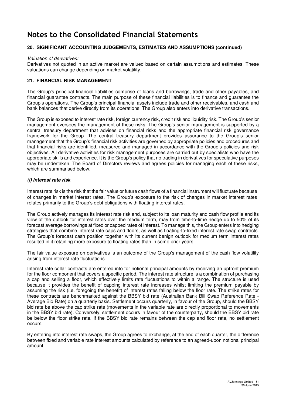### **20. SIGNIFICANT ACCOUNTING JUDGEMENTS, ESTIMATES AND ASSUMPTIONS (continued)**

#### Valuation of derivatives:

Derivatives not quoted in an active market are valued based on certain assumptions and estimates. These valuations can change depending on market volatility.

#### **21. FINANCIAL RISK MANAGEMENT**

The Group's principal financial liabilities comprise of loans and borrowings, trade and other payables, and financial guarantee contracts. The main purpose of these financial liabilities is to finance and guarantee the Group's operations. The Group's principal financial assets include trade and other receivables, and cash and bank balances that derive directly from its operations. The Group also enters into derivative transactions.

The Group is exposed to interest rate risk, foreign currency risk, credit risk and liquidity risk. The Group's senior management oversees the management of these risks. The Group's senior management is supported by a central treasury department that advises on financial risks and the appropriate financial risk governance framework for the Group. The central treasury department provides assurance to the Group's senior management that the Group's financial risk activities are governed by appropriate policies and procedures and that financial risks are identified, measured and managed in accordance with the Group's policies and risk objectives. All derivative activities for risk management purposes are carried out by specialists who have the appropriate skills and experience. It is the Group's policy that no trading in derivatives for speculative purposes may be undertaken. The Board of Directors reviews and agrees policies for managing each of these risks, which are summarised below.

#### **(i) Interest rate risk**

Interest rate risk is the risk that the fair value or future cash flows of a financial instrument will fluctuate because of changes in market interest rates. The Group's exposure to the risk of changes in market interest rates relates primarily to the Group's debt obligations with floating interest rates.

The Group actively manages its interest rate risk and, subject to its loan maturity and cash flow profile and its view of the outlook for interest rates over the medium term, may from time-to-time hedge up to 50% of its forecast average borrowings at fixed or capped rates of interest. To manage this, the Group enters into hedging strategies that combine interest rate caps and floors, as well as floating-to-fixed interest rate swap contracts. The Group's forecast cash position together with its current benign outlook for medium term interest rates resulted in it retaining more exposure to floating rates than in some prior years.

The fair value exposure on derivatives is an outcome of the Group's management of the cash flow volatility arising from interest rate fluctuations.

Interest rate collar contracts are entered into for notional principal amounts by receiving an upfront premium for the floor component that covers a specific period. The interest rate structure is a combination of purchasing a cap and selling a floor, which effectively limits rate fluctuations to within a range. The structure is used because it provides the benefit of capping interest rate increases whilst limiting the premium payable by assuming the risk (i.e. foregoing the benefit) of interest rates falling below the floor rate. The strike rates for these contracts are benchmarked against the BBSY bid rate (Australian Bank Bill Swap Reference Rate - Average Bid Rate) on a quarterly basis. Settlement occurs quarterly, in favour of the Group, should the BBSY bid rate be above the cap strike rate (movements in the variable rate are directly proportional to movements in the BBSY bid rate). Conversely, settlement occurs in favour of the counterparty, should the BBSY bid rate be below the floor strike rate. If the BBSY bid rate remains between the cap and floor rate, no settlement occurs.

By entering into interest rate swaps, the Group agrees to exchange, at the end of each quarter, the difference between fixed and variable rate interest amounts calculated by reference to an agreed-upon notional principal amount.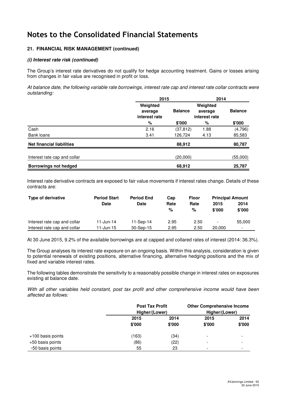### **21. FINANCIAL RISK MANAGEMENT (continued)**

### **(i) Interest rate risk (continued)**

The Group's interest rate derivatives do not qualify for hedge accounting treatment. Gains or losses arising from changes in fair value are recognised in profit or loss.

At balance date, the following variable rate borrowings, interest rate cap and interest rate collar contracts were outstanding:

|                                  | 2015                                 |                | 2014                                 |                |
|----------------------------------|--------------------------------------|----------------|--------------------------------------|----------------|
|                                  | Weighted<br>average<br>interest rate | <b>Balance</b> | Weighted<br>average<br>interest rate | <b>Balance</b> |
|                                  | %                                    | \$'000         | %                                    | \$'000         |
| Cash                             | 2.16                                 | (37, 812)      | 1.88                                 | (4,796)        |
| Bank loans                       | 3.41                                 | 126,724        | 4.13                                 | 85,583         |
| <b>Net financial liabilities</b> |                                      | 88.912         |                                      | 80,787         |
| Interest rate cap and collar     |                                      | (20,000)       |                                      | (55,000)       |
| Borrowings not hedged            |                                      | 68,912         |                                      | 25,787         |

Interest rate derivative contracts are exposed to fair value movements if interest rates change. Details of these contracts are:

| <b>Type of derivative</b>    | <b>Period Start</b> | <b>Period End</b> | Cap  | <b>Floor</b> | <b>Principal Amount</b> |                          |
|------------------------------|---------------------|-------------------|------|--------------|-------------------------|--------------------------|
|                              | Date                | <b>Date</b>       | Rate | Rate         | 2015                    | 2014                     |
|                              |                     |                   | %    | %            | \$'000                  | \$'000                   |
| Interest rate cap and collar | 11-Jun-14           | 11-Sep-14         | 2.95 | 2.50         |                         | 55,000                   |
| Interest rate cap and collar | 11-Jun-15           | 30-Sep-15         | 2.95 | 2.50         | 20,000                  | $\overline{\phantom{0}}$ |

At 30 June 2015, 9.2% of the available borrowings are at capped and collared rates of interest (2014: 36.3%).

The Group analyses its interest rate exposure on an ongoing basis. Within this analysis, consideration is given to potential renewals of existing positions, alternative financing, alternative hedging positions and the mix of fixed and variable interest rates.

The following tables demonstrate the sensitivity to a reasonably possible change in interest rates on exposures existing at balance date.

With all other variables held constant, post tax profit and other comprehensive income would have been affected as follows:

|                   |        | <b>Post Tax Profit</b><br>Higher/(Lower) |                          | <b>Other Comprehensive Income</b><br>Higher/(Lower) |
|-------------------|--------|------------------------------------------|--------------------------|-----------------------------------------------------|
|                   | 2015   | 2014                                     |                          | 2014                                                |
|                   | \$'000 | \$'000                                   | \$'000                   | \$'000                                              |
| +100 basis points | (163)  | (34)                                     | -                        |                                                     |
| +50 basis points  | (86)   | (22)                                     | $\overline{\phantom{a}}$ |                                                     |
| -50 basis points  | 55     | 23                                       | $\overline{\phantom{a}}$ |                                                     |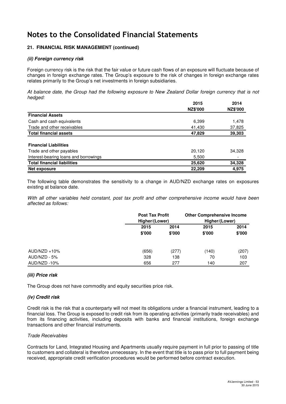### **21. FINANCIAL RISK MANAGEMENT (continued)**

#### **(ii) Foreign currency risk**

Foreign currency risk is the risk that the fair value or future cash flows of an exposure will fluctuate because of changes in foreign exchange rates. The Group's exposure to the risk of changes in foreign exchange rates relates primarily to the Group's net investments in foreign subsidiaries.

At balance date, the Group had the following exposure to New Zealand Dollar foreign currency that is not hedged:

|                                       | 2015            | 2014            |
|---------------------------------------|-----------------|-----------------|
|                                       | <b>NZ\$'000</b> | <b>NZ\$'000</b> |
| <b>Financial Assets</b>               |                 |                 |
| Cash and cash equivalents             | 6,399           | 1,478           |
| Trade and other receivables           | 41,430          | 37,825          |
| <b>Total financial assets</b>         | 47,829          | 39,303          |
|                                       |                 |                 |
| <b>Financial Liabilities</b>          |                 |                 |
| Trade and other payables              | 20,120          | 34,328          |
| Interest-bearing loans and borrowings | 5,500           |                 |
| <b>Total financial liabilities</b>    | 25,620          | 34,328          |
| Net exposure                          | 22,209          | 4,975           |

The following table demonstrates the sensitivity to a change in AUD/NZD exchange rates on exposures existing at balance date.

With all other variables held constant, post tax profit and other comprehensive income would have been affected as follows:

|                  |                | <b>Post Tax Profit</b><br>Higher/(Lower) |                | <b>Other Comprehensive Income</b><br>Higher/(Lower) |  |
|------------------|----------------|------------------------------------------|----------------|-----------------------------------------------------|--|
|                  | 2015<br>\$'000 | 2014<br>\$'000                           | 2015<br>\$'000 | 2014<br>\$'000                                      |  |
| $AUD/NZD + 10\%$ | (656)          | (277)                                    | (140)          | (207)                                               |  |
| AUD/NZD - 5%     | 328            | 138                                      | 70             | 103                                                 |  |
| AUD/NZD -10%     | 656            | 277                                      | 140            | 207                                                 |  |

#### **(iii) Price risk**

The Group does not have commodity and equity securities price risk.

#### **(iv) Credit risk**

Credit risk is the risk that a counterparty will not meet its obligations under a financial instrument, leading to a financial loss. The Group is exposed to credit risk from its operating activities (primarily trade receivables) and from its financing activities, including deposits with banks and financial institutions, foreign exchange transactions and other financial instruments.

#### Trade Receivables

Contracts for Land, Integrated Housing and Apartments usually require payment in full prior to passing of title to customers and collateral is therefore unnecessary. In the event that title is to pass prior to full payment being received, appropriate credit verification procedures would be performed before contract execution.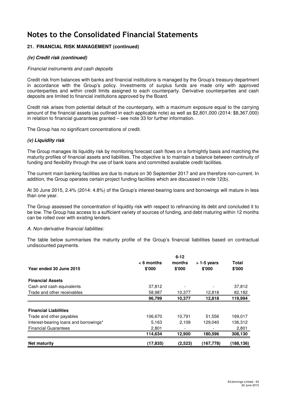### **21. FINANCIAL RISK MANAGEMENT (continued)**

### **(iv) Credit risk (continued)**

#### Financial instruments and cash deposits

Credit risk from balances with banks and financial institutions is managed by the Group's treasury department in accordance with the Group's policy. Investments of surplus funds are made only with approved counterparties and within credit limits assigned to each counterparty. Derivative counterparties and cash deposits are limited to financial institutions approved by the Board.

Credit risk arises from potential default of the counterparty, with a maximum exposure equal to the carrying amount of the financial assets (as outlined in each applicable note) as well as \$2,801,000 (2014: \$8,367,000) in relation to financial guarantees granted – see note 33 for further information.

The Group has no significant concentrations of credit.

#### **(v) Liquidity risk**

The Group manages its liquidity risk by monitoring forecast cash flows on a fortnightly basis and matching the maturity profiles of financial assets and liabilities. The objective is to maintain a balance between continuity of funding and flexibility through the use of bank loans and committed available credit facilities.

The current main banking facilities are due to mature on 30 September 2017 and are therefore non-current. In addition, the Group operates certain project funding facilities which are discussed in note 12(b).

At 30 June 2015, 2.4% (2014: 4.8%) of the Group's interest-bearing loans and borrowings will mature in less than one year.

The Group assessed the concentration of liquidity risk with respect to refinancing its debt and concluded it to be low. The Group has access to a sufficient variety of sources of funding, and debt maturing within 12 months can be rolled over with existing lenders.

#### A. Non-derivative financial liabilities:

The table below summarises the maturity profile of the Group's financial liabilities based on contractual undiscounted payments.

|                                        |              | $6 - 12$ |               |            |
|----------------------------------------|--------------|----------|---------------|------------|
|                                        | $< 6$ months | months   | $> 1-5$ years | Total      |
| Year ended 30 June 2015                | \$'000       | \$'000   | \$'000        | \$'000     |
| <b>Financial Assets</b>                |              |          |               |            |
| Cash and cash equivalents              | 37,812       |          |               | 37,812     |
| Trade and other receivables            | 58,987       | 10,377   | 12,818        | 82,182     |
|                                        | 96,799       | 10,377   | 12,818        | 119,994    |
|                                        |              |          |               |            |
| <b>Financial Liabilities</b>           |              |          |               |            |
| Trade and other payables               | 106,670      | 10,791   | 51,556        | 169,017    |
| Interest-bearing loans and borrowings* | 5,163        | 2,109    | 129.040       | 136,312    |
| <b>Financial Guarantees</b>            | 2,801        |          |               | 2,801      |
|                                        | 114,634      | 12,900   | 180,596       | 308,130    |
| Net maturity                           | (17, 835)    | (2,523)  | (167, 778)    | (188, 136) |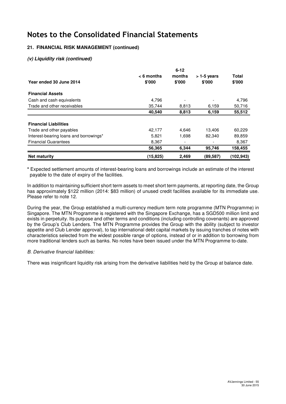## **21. FINANCIAL RISK MANAGEMENT (continued)**

### **(v) Liquidity risk (continued)**

|                                        |              | $6 - 12$ |                          |            |
|----------------------------------------|--------------|----------|--------------------------|------------|
|                                        | $< 6$ months | months   | $> 1-5$ years            | Total      |
| Year ended 30 June 2014                | \$'000       | \$'000   | \$'000                   | \$'000     |
| <b>Financial Assets</b>                |              |          |                          |            |
| Cash and cash equivalents              | 4.796        |          | $\overline{\phantom{a}}$ | 4,796      |
| Trade and other receivables            | 35,744       | 8,813    | 6,159                    | 50,716     |
|                                        | 40,540       | 8,813    | 6,159                    | 55,512     |
|                                        |              |          |                          |            |
| <b>Financial Liabilities</b>           |              |          |                          |            |
| Trade and other payables               | 42,177       | 4,646    | 13,406                   | 60,229     |
| Interest-bearing loans and borrowings* | 5,821        | 1,698    | 82,340                   | 89,859     |
| <b>Financial Guarantees</b>            | 8,367        |          |                          | 8,367      |
|                                        | 56,365       | 6,344    | 95,746                   | 158,455    |
| <b>Net maturity</b>                    | (15, 825)    | 2,469    | (89,587)                 | (102, 943) |

**\*** Expected settlement amounts of interest-bearing loans and borrowings include an estimate of the interest payable to the date of expiry of the facilities.

In addition to maintaining sufficient short term assets to meet short term payments, at reporting date, the Group has approximately \$122 million (2014: \$83 million) of unused credit facilities available for its immediate use. Please refer to note 12.

During the year, the Group established a multi-currency medium term note programme (MTN Programme) in Singapore. The MTN Programme is registered with the Singapore Exchange, has a SGD500 million limit and exists in perpetuity. Its purpose and other terms and conditions (including controlling covenants) are approved by the Group's Club Lenders. The MTN Programme provides the Group with the ability (subject to investor appetite and Club Lender approval), to tap international debt capital markets by issuing tranches of notes with characteristics selected from the widest possible range of options, instead of or in addition to borrowing from more traditional lenders such as banks. No notes have been issued under the MTN Programme to-date.

#### B. Derivative financial liabilities:

There was insignificant liquidity risk arising from the derivative liabilities held by the Group at balance date.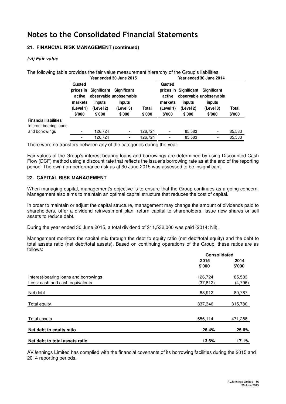### **21. FINANCIAL RISK MANAGEMENT (continued)**

#### **(vi) Fair value**

The following table provides the fair value measurement hierarchy of the Group's liabilities.

|                                                        | Year ended 30 June 2015     |                     |                                                                        |                 | Year ended 30 June 2014     |                                             |                                   |                 |
|--------------------------------------------------------|-----------------------------|---------------------|------------------------------------------------------------------------|-----------------|-----------------------------|---------------------------------------------|-----------------------------------|-----------------|
|                                                        | Quoted<br>active<br>markets | inputs              | prices in Significant Significant<br>observable unobservable<br>inputs |                 | Quoted<br>active<br>markets | prices in Significant Significant<br>inputs | observable unobservable<br>inputs |                 |
|                                                        | (Level 1)<br>\$'000         | (Level 2)<br>\$'000 | (Level 3)<br>\$'000                                                    | Total<br>\$'000 | (Level 1)<br>\$'000         | (Level 2)<br>\$'000                         | (Level 3)<br>\$'000               | Total<br>\$'000 |
| <b>Financial liabilities</b><br>Interest-bearing loans |                             |                     |                                                                        |                 |                             |                                             |                                   |                 |
| and borrowings                                         |                             | 126.724             | $\overline{\phantom{a}}$                                               | 126.724         |                             | 85.583                                      | $\overline{\phantom{a}}$          | 85,583          |
|                                                        |                             | 126.724             | $\overline{\phantom{0}}$                                               | 126.724         |                             | 85,583                                      | $\overline{\phantom{a}}$          | 85.583          |

There were no transfers between any of the categories during the year.

Fair values of the Group's interest-bearing loans and borrowings are determined by using Discounted Cash Flow (DCF) method using a discount rate that reflects the issuer's borrowing rate as at the end of the reporting period. The own non-performance risk as at 30 June 2015 was assessed to be insignificant.

#### **22. CAPITAL RISK MANAGEMENT**

When managing capital, management's objective is to ensure that the Group continues as a going concern. Management also aims to maintain an optimal capital structure that reduces the cost of capital.

In order to maintain or adjust the capital structure, management may change the amount of dividends paid to shareholders, offer a dividend reinvestment plan, return capital to shareholders, issue new shares or sell assets to reduce debt.

During the year ended 30 June 2015, a total dividend of \$11,532,000 was paid (2014: Nil).

Management monitors the capital mix through the debt to equity ratio (net debt/total equity) and the debt to total assets ratio (net debt/total assets). Based on continuing operations of the Group, these ratios are as follows:

|                                       | Consolidated |         |  |
|---------------------------------------|--------------|---------|--|
|                                       | 2015         | 2014    |  |
|                                       | \$'000       | \$'000  |  |
| Interest-bearing loans and borrowings | 126,724      | 85,583  |  |
| Less: cash and cash equivalents       | (37, 812)    | (4,796) |  |
| Net debt                              | 88,912       | 80,787  |  |
| Total equity                          | 337,346      | 315,780 |  |
| Total assets                          | 656,114      | 471,288 |  |
| Net debt to equity ratio              | 26.4%        | 25.6%   |  |
| Net debt to total assets ratio        | 13.6%        | 17.1%   |  |

AVJennings Limited has complied with the financial covenants of its borrowing facilities during the 2015 and 2014 reporting periods.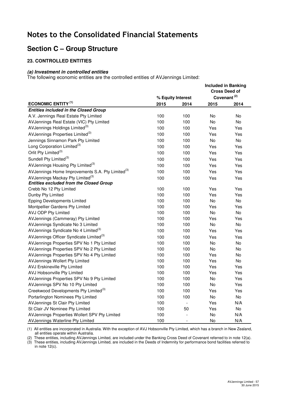## **Section C – Group Structure**

### **23. CONTROLLED ENTITIES**

#### **(a) Investment in controlled entities**

The following economic entities are the controlled entities of AVJennings Limited:

|                                                                                                |      |                           |                                                 | <b>Included in Banking</b> |  |
|------------------------------------------------------------------------------------------------|------|---------------------------|-------------------------------------------------|----------------------------|--|
|                                                                                                |      |                           | <b>Cross Deed of</b><br>Covenant <sup>(2)</sup> |                            |  |
| <b>ECONOMIC ENTITY (1)</b>                                                                     | 2015 | % Equity Interest<br>2014 | 2015                                            | 2014                       |  |
| <b>Entities included in the Closed Group</b>                                                   |      |                           |                                                 |                            |  |
| A.V. Jennings Real Estate Pty Limited                                                          | 100  | 100                       | No                                              | <b>No</b>                  |  |
| AVJennings Real Estate (VIC) Pty Limited                                                       | 100  | 100                       | No                                              | No.                        |  |
| AVJennings Holdings Limited <sup>(3)</sup>                                                     | 100  | 100                       | Yes                                             | Yes                        |  |
| AVJennings Properties Limited <sup>(3)</sup>                                                   |      |                           |                                                 |                            |  |
|                                                                                                | 100  | 100                       | Yes                                             | Yes                        |  |
| Jennings Sinnamon Park Pty Limited                                                             | 100  | 100                       | <b>No</b>                                       | <b>No</b>                  |  |
| Long Corporation Limited <sup>(3)</sup>                                                        | 100  | 100                       | Yes                                             | Yes                        |  |
| Orlit Pty Limited <sup>(3)</sup>                                                               | 100  | 100                       | Yes                                             | Yes                        |  |
| Sundell Pty Limited <sup>(3)</sup>                                                             | 100  | 100                       | Yes                                             | Yes                        |  |
| AVJennings Housing Pty Limited <sup>(3)</sup>                                                  | 100  | 100                       | Yes                                             | Yes                        |  |
| AVJennings Home Improvements S.A. Pty Limited <sup>(3)</sup>                                   | 100  | 100                       | Yes                                             | Yes                        |  |
| AVJennings Mackay Pty Limited <sup>(3)</sup><br><b>Entities excluded from the Closed Group</b> | 100  | 100                       | Yes                                             | Yes                        |  |
| Crebb No 12 Pty Limited                                                                        | 100  | 100                       | Yes                                             | Yes                        |  |
| Dunby Pty Limited                                                                              | 100  | 100                       | Yes                                             | Yes                        |  |
| <b>Epping Developments Limited</b>                                                             | 100  | 100                       | <b>No</b>                                       | <b>No</b>                  |  |
| Montpellier Gardens Pty Limited                                                                | 100  | 100                       | Yes                                             | Yes                        |  |
| AVJ ODP Pty Limited                                                                            | 100  | 100                       | No                                              | <b>No</b>                  |  |
| AVJennings (Cammeray) Pty Limited                                                              | 100  | 100                       | Yes                                             | Yes                        |  |
| AVJennings Syndicate No 3 Limited                                                              | 100  | 100                       | No                                              | No                         |  |
| AVJennings Syndicate No 4 Limited <sup>(3)</sup>                                               | 100  | 100                       | Yes                                             | Yes                        |  |
| AVJennings Officer Syndicate Limited <sup>(3)</sup>                                            | 100  | 100                       | Yes                                             | Yes                        |  |
| AVJennings Properties SPV No 1 Pty Limited                                                     | 100  | 100                       | No                                              | No                         |  |
| AVJennings Properties SPV No 2 Pty Limited                                                     | 100  | 100                       | <b>No</b>                                       | No                         |  |
| AVJennings Properties SPV No 4 Pty Limited                                                     | 100  | 100                       | Yes                                             | <b>No</b>                  |  |
| <b>AVJennings Wollert Pty Limited</b>                                                          | 100  | 100                       | Yes                                             | No                         |  |
| AVJ Erskineville Pty Limited                                                                   | 100  | 100                       | Yes                                             | Yes                        |  |
| AVJ Hobsonville Pty Limited                                                                    | 100  | 100                       | Yes                                             | Yes                        |  |
| AVJennings Properties SPV No 9 Pty Limited                                                     | 100  | 100                       | No                                              | Yes                        |  |
| AVJennings SPV No 10 Pty Limited                                                               | 100  | 100                       | No                                              | Yes                        |  |
| Creekwood Developments Pty Limited <sup>(3)</sup>                                              | 100  | 100                       | Yes                                             | Yes                        |  |
| Portarlington Nominees Pty Limited                                                             | 100  | 100                       | <b>No</b>                                       | <b>No</b>                  |  |
| <b>AVJennings St Clair Pty Limited</b>                                                         | 100  | $\blacksquare$            | Yes                                             | N/A                        |  |
| St Clair JV Nominee Pty Limited                                                                | 100  | 50                        | Yes                                             | <b>No</b>                  |  |
| AVJennings Properties Wollert SPV Pty Limited                                                  | 100  | $\frac{1}{2}$             | No                                              | N/A                        |  |
| <b>AVJennings Waterline Pty Limited</b>                                                        | 100  | $\overline{a}$            | No                                              | N/A                        |  |

(1) All entities are incorporated in Australia. With the exception of AVJ Hobsonville Pty Limited, which has a branch in New Zealand, all entities operate within Australia.

(2) These entities, including AVJennings Limited, are included under the Banking Cross Deed of Covenant referred to in note 12(a).

(3) These entities, including AVJennings Limited, are included in the Deeds of Indemnity for performance bond facilities referred to in note 12(c).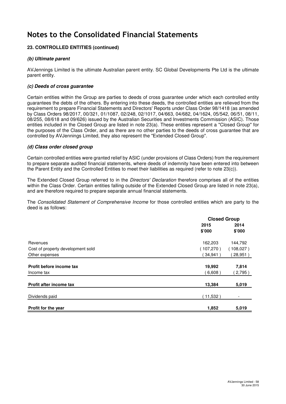## **23. CONTROLLED ENTITIES (continued)**

### **(b) Ultimate parent**

AVJennings Limited is the ultimate Australian parent entity. SC Global Developments Pte Ltd is the ultimate parent entity.

#### **(c) Deeds of cross guarantee**

Certain entities within the Group are parties to deeds of cross guarantee under which each controlled entity guarantees the debts of the others. By entering into these deeds, the controlled entities are relieved from the requirement to prepare Financial Statements and Directors' Reports under Class Order 98/1418 (as amended by Class Orders 98/2017, 00/321, 01/1087, 02/248, 02/1017, 04/663, 04/682, 04/1624, 05/542, 06/51, 08/11, 08/255, 08/618 and 09/626) issued by the Australian Securities and Investments Commission (ASIC). Those entities included in the Closed Group are listed in note 23(a). These entities represent a "Closed Group" for the purposes of the Class Order, and as there are no other parties to the deeds of cross guarantee that are controlled by AVJennings Limited, they also represent the "Extended Closed Group".

#### **(d) Class order closed group**

Certain controlled entities were granted relief by ASIC (under provisions of Class Orders) from the requirement to prepare separate audited financial statements, where deeds of indemnity have been entered into between the Parent Entity and the Controlled Entities to meet their liabilities as required (refer to note 23(c)).

The Extended Closed Group referred to in the Directors' Declaration therefore comprises all of the entities within the Class Order. Certain entities falling outside of the Extended Closed Group are listed in note 23(a), and are therefore required to prepare separate annual financial statements.

The Consolidated Statement of Comprehensive Income for those controlled entities which are party to the deed is as follows:

|                                   | <b>Closed Group</b> |                |
|-----------------------------------|---------------------|----------------|
|                                   | 2015<br>\$'000      | 2014<br>\$'000 |
| Revenues                          | 162,203             | 144,792        |
| Cost of property development sold | 107,270)            | (108,027)      |
| Other expenses                    | 34,941              | 28,951)        |
|                                   |                     |                |
| Profit before income tax          | 19,992              | 7,814          |
| Income tax                        | 6,608)              | 2,795)         |
|                                   |                     |                |
| Profit after income tax           | 13,384              | 5,019          |
|                                   |                     |                |
| Dividends paid                    | (11,532)            |                |
|                                   |                     |                |
| Profit for the year               | 1,852               | 5,019          |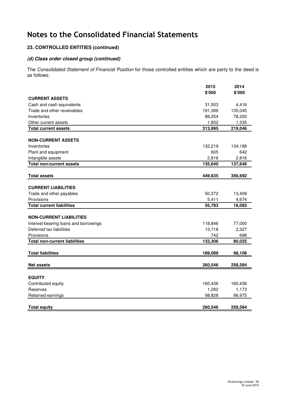## **23. CONTROLLED ENTITIES (continued)**

### **(d) Class order closed group (continued)**

The Consolidated Statement of Financial Position for those controlled entities which are party to the deed is as follows:

|                                       | 2015    | 2014    |
|---------------------------------------|---------|---------|
|                                       | \$'000  | \$'000  |
| <b>CURRENT ASSETS</b>                 |         |         |
| Cash and cash equivalents             | 31,503  | 4,416   |
| Trade and other receivables           | 191,386 | 135,045 |
| Inventories                           | 89,254  | 78,250  |
| Other current assets                  | 1,852   | 1,335   |
| <b>Total current assets</b>           | 313,995 | 219,046 |
| <b>NON-CURRENT ASSETS</b>             |         |         |
| Inventories                           | 132,219 | 134,188 |
| Plant and equipment                   | 605     | 642     |
| Intangible assets                     | 2,816   | 2,816   |
| <b>Total non-current assets</b>       | 135,640 | 137,646 |
|                                       |         |         |
| <b>Total assets</b>                   | 449,635 | 356,692 |
| <b>CURRENT LIABILITIES</b>            |         |         |
| Trade and other payables              | 50,372  | 13,409  |
| Provisions                            | 5,411   | 4,674   |
| <b>Total current liabilities</b>      | 55,783  | 18,083  |
|                                       |         |         |
| <b>NON-CURRENT LIABILITIES</b>        |         |         |
| Interest-bearing loans and borrowings | 118,846 | 77,000  |
| Deferred tax liabilities              | 13,718  | 2,327   |
| Provisions                            | 742     | 698     |
| <b>Total non-current liabilities</b>  | 133,306 | 80,025  |
|                                       |         |         |
| <b>Total liabilities</b>              | 189,089 | 98,108  |
| <b>Net assets</b>                     | 260,546 | 258,584 |
|                                       |         |         |
| <b>EQUITY</b>                         |         |         |
| Contributed equity                    | 160,436 | 160,436 |
| Reserves                              | 1,282   | 1,173   |
| Retained earnings                     | 98,828  | 96,975  |
| <b>Total equity</b>                   | 260,546 | 258,584 |
|                                       |         |         |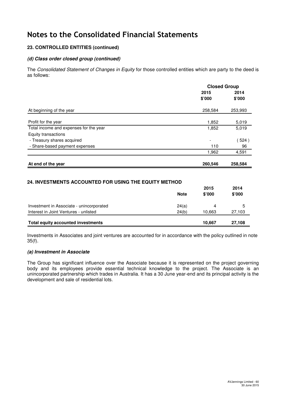## **23. CONTROLLED ENTITIES (continued)**

### **(d) Class order closed group (continued)**

The Consolidated Statement of Changes in Equity for those controlled entities which are party to the deed is as follows:

|                                        | <b>Closed Group</b>      |                |  |
|----------------------------------------|--------------------------|----------------|--|
|                                        | 2015<br>\$'000           | 2014<br>\$'000 |  |
| At beginning of the year               | 258,584                  | 253,993        |  |
| Profit for the year                    | 1,852                    | 5,019          |  |
| Total income and expenses for the year | 1,852                    | 5,019          |  |
| Equity transactions                    |                          |                |  |
| - Treasury shares acquired             | $\overline{\phantom{0}}$ | 524)           |  |
| - Share-based payment expenses         | 110                      | 96             |  |
|                                        | 1,962                    | 4,591          |  |
| At end of the year                     | 260,546                  | 258,584        |  |

#### **24. INVESTMENTS ACCOUNTED FOR USING THE EQUITY METHOD**

|                                          | <b>Note</b> | 2015<br>\$'000 | 2014<br>\$'000 |
|------------------------------------------|-------------|----------------|----------------|
| Investment in Associate - unincorporated | 24(a)       | 4              | 5              |
| Interest in Joint Ventures - unlisted    | 24(b)       | 10.663         | 27,103         |
| Total equity accounted investments       |             | 10.667         | 27,108         |

Investments in Associates and joint ventures are accounted for in accordance with the policy outlined in note 35(f).

### **(a) Investment in Associate**

The Group has significant influence over the Associate because it is represented on the project governing body and its employees provide essential technical knowledge to the project. The Associate is an unincorporated partnership which trades in Australia. It has a 30 June year-end and its principal activity is the development and sale of residential lots.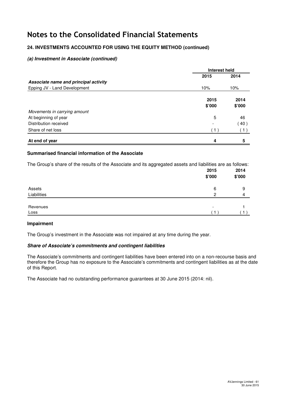## **24. INVESTMENTS ACCOUNTED FOR USING THE EQUITY METHOD (continued)**

### **(a) Investment in Associate (continued)**

|                                       |                          | <b>Interest held</b> |  |  |
|---------------------------------------|--------------------------|----------------------|--|--|
|                                       | 2015                     | 2014                 |  |  |
| Associate name and principal activity |                          |                      |  |  |
| Epping JV - Land Development          | 10%                      | 10%                  |  |  |
|                                       |                          |                      |  |  |
|                                       | 2015                     | 2014                 |  |  |
|                                       | \$'000                   | \$'000               |  |  |
| Movements in carrying amount          |                          |                      |  |  |
| At beginning of year                  | 5                        | 46                   |  |  |
| Distribution received                 | $\overline{\phantom{a}}$ | (40)                 |  |  |
| Share of net loss                     | (1)                      | (1)                  |  |  |
| At end of year                        | 4                        | 5                    |  |  |

#### **Summarised financial information of the Associate**

| The Group's share of the results of the Associate and its aggregated assets and liabilities are as follows: |                |        |
|-------------------------------------------------------------------------------------------------------------|----------------|--------|
|                                                                                                             | 2015           | 2014   |
|                                                                                                             | $$^{\circ}000$ | \$'000 |
| Assets                                                                                                      | 6              | 9      |
| Liabilities                                                                                                 | ົ              | 4      |
|                                                                                                             |                |        |
| Revenues                                                                                                    | ۰              |        |
| Loss                                                                                                        |                |        |

#### **Impairment**

The Group's investment in the Associate was not impaired at any time during the year.

#### **Share of Associate's commitments and contingent liabilities**

The Associate's commitments and contingent liabilities have been entered into on a non-recourse basis and therefore the Group has no exposure to the Associate's commitments and contingent liabilities as at the date of this Report.

The Associate had no outstanding performance guarantees at 30 June 2015 (2014: nil).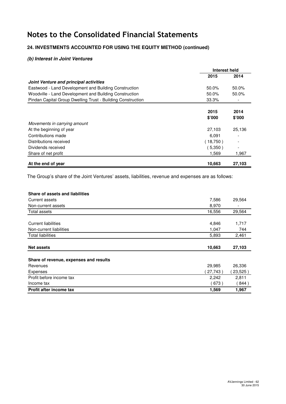## **24. INVESTMENTS ACCOUNTED FOR USING THE EQUITY METHOD (continued)**

### **(b) Interest in Joint Ventures**

|                                                             | Interest held |                          |
|-------------------------------------------------------------|---------------|--------------------------|
|                                                             | 2015          | 2014                     |
| Joint Venture and principal activities                      |               |                          |
| Eastwood - Land Development and Building Construction       | 50.0%         | 50.0%                    |
| Woodville - Land Development and Building Construction      | 50.0%         | 50.0%                    |
| Pindan Capital Group Dwelling Trust - Building Construction | 33.3%         | $\overline{\phantom{a}}$ |
|                                                             |               |                          |
|                                                             | 2015          | 2014                     |
|                                                             | \$'000        | \$'000                   |
| Movements in carrying amount                                |               |                          |
| At the beginning of year                                    | 27,103        | 25,136                   |
| Contributions made                                          | 6,091         |                          |
| Distributions received                                      | (18,750)      |                          |
| Dividends received                                          | 5,350)        | $\overline{\phantom{a}}$ |
| Share of net profit                                         | 1,569         | 1,967                    |
| At the end of year                                          | 10,663        | 27,103                   |

The Group's share of the Joint Ventures' assets, liabilities, revenue and expenses are as follows:

| Share of assets and liabilities        |        |         |
|----------------------------------------|--------|---------|
| Current assets                         | 7,586  | 29,564  |
| Non-current assets                     | 8,970  |         |
| Total assets                           | 16,556 | 29,564  |
|                                        |        |         |
| <b>Current liabilities</b>             | 4,846  | 1,717   |
| Non-current liabilities                | 1,047  | 744     |
| <b>Total liabilities</b>               | 5,893  | 2,461   |
| Net assets                             | 10,663 | 27,103  |
| Share of revenue, expenses and results |        |         |
| Revenues                               | 29,985 | 26,336  |
| Expenses                               | 27,743 | 23,525) |
| Profit before income tax               | 2,242  | 2,811   |
| Income tax                             | 673)   | (844)   |
| Profit after income tax                | 1,569  | 1,967   |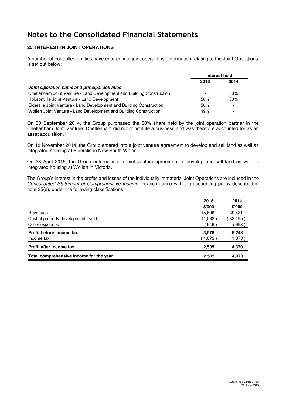### **25. INTEREST IN JOINT OPERATIONS**

A number of controlled entities have entered into joint operations. Information relating to the Joint Operations is set out below:

|                                                                       | Interest held |                          |
|-----------------------------------------------------------------------|---------------|--------------------------|
|                                                                       | 2015          | 2014                     |
| Joint Operation name and principal activities                         |               |                          |
| Cheltenham Joint Venture - Land Development and Building Construction |               | 50%                      |
| Hobsonville Joint Venture - Land Development                          | 50%           | 50%                      |
| Elderslie Joint Venture - Land Development and Building Construction  | 50%           | $\overline{\phantom{0}}$ |
| Wollert Joint Venture - Land Development and Building Construction    | 49%           |                          |

On 30 September 2014, the Group purchased the 50% share held by the joint operation partner in the Cheltenham Joint Venture. Cheltenham did not constitute a business and was therefore accounted for as an asset acquisition.

On 18 November 2014, the Group entered into a joint venture agreement to develop and sell land as well as integrated housing at Elderslie in New South Wales.

On 28 April 2015, the Group entered into a joint venture agreement to develop and sell land as well as integrated housing at Wollert in Victoria.

The Group's interest in the profits and losses of the individually immaterial Joint Operations are included in the Consolidated Statement of Comprehensive Income, in accordance with the accounting policy described in note 35(e), under the following classifications:

|                                    | 2015     | 2014    |
|------------------------------------|----------|---------|
|                                    | \$'000   | \$'000  |
| Revenues                           | 15,606   | 39,431  |
| Cost of property developments sold | (11,082) | 32,195) |
| Other expenses                     | 946      | 993)    |
| Profit before income tax           | 3,578    | 6,243   |
| Income tax                         | (1,073)  | 1,873)  |
| Profit after income tax            | 2.505    | 4,370   |
|                                    |          |         |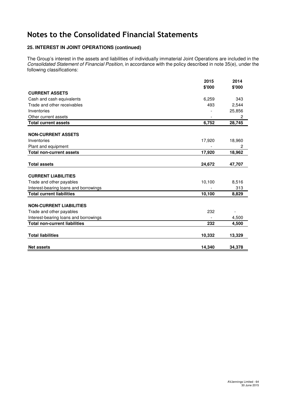## **25. INTEREST IN JOINT OPERATIONS (continued)**

The Group's interest in the assets and liabilities of individually immaterial Joint Operations are included in the Consolidated Statement of Financial Position, in accordance with the policy described in note 35(e), under the following classifications:

|                                       | 2015   | 2014   |
|---------------------------------------|--------|--------|
|                                       | \$'000 | \$'000 |
| <b>CURRENT ASSETS</b>                 |        |        |
| Cash and cash equivalents             | 6,259  | 343    |
| Trade and other receivables           | 493    | 2,544  |
| Inventories                           |        | 25,856 |
| Other current assets                  |        | 2      |
| <b>Total current assets</b>           | 6,752  | 28,745 |
| <b>NON-CURRENT ASSETS</b>             |        |        |
| Inventories                           | 17,920 | 18,960 |
| Plant and equipment                   |        | 2      |
| <b>Total non-current assets</b>       | 17,920 | 18,962 |
| <b>Total assets</b>                   | 24,672 | 47,707 |
|                                       |        |        |
| <b>CURRENT LIABILITIES</b>            |        |        |
| Trade and other payables              | 10,100 | 8,516  |
| Interest-bearing loans and borrowings |        | 313    |
| <b>Total current liabilities</b>      | 10,100 | 8,829  |
| <b>NON-CURRENT LIABILITIES</b>        |        |        |
| Trade and other payables              | 232    |        |
| Interest-bearing loans and borrowings |        | 4,500  |
| <b>Total non-current liabilities</b>  | 232    | 4,500  |
| <b>Total liabilities</b>              | 10,332 | 13,329 |
|                                       |        |        |
| <b>Net assets</b>                     | 14,340 | 34,378 |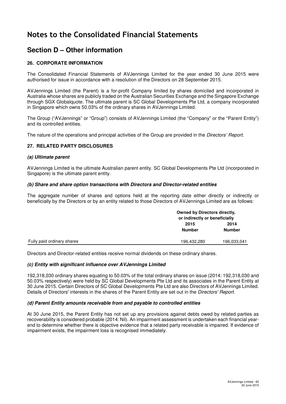## **Section D – Other information**

### **26. CORPORATE INFORMATION**

The Consolidated Financial Statements of AVJennings Limited for the year ended 30 June 2015 were authorised for issue in accordance with a resolution of the Directors on 28 September 2015.

AVJennings Limited (the Parent) is a for-profit Company limited by shares domiciled and incorporated in Australia whose shares are publicly traded on the Australian Securities Exchange and the Singapore Exchange through SGX Globalquote. The ultimate parent is SC Global Developments Pte Ltd, a company incorporated in Singapore which owns 50.03% of the ordinary shares in AVJennings Limited.

The Group ("AVJennings" or "Group") consists of AVJennings Limited (the "Company" or the "Parent Entity") and its controlled entities.

The nature of the operations and principal activities of the Group are provided in the Directors' Report.

#### **27. RELATED PARTY DISCLOSURES**

#### **(a) Ultimate parent**

AVJennings Limited is the ultimate Australian parent entity. SC Global Developments Pte Ltd (incorporated in Singapore) is the ultimate parent entity.

#### **(b) Share and share option transactions with Directors and Director-related entities**

The aggregate number of shares and options held at the reporting date either directly or indirectly or beneficially by the Directors or by an entity related to those Directors of AVJennings Limited are as follows:

|                            |                       | <b>Owned by Directors directly,</b><br>or indirectly or beneficially |  |
|----------------------------|-----------------------|----------------------------------------------------------------------|--|
|                            | 2015<br><b>Number</b> | 2014<br><b>Number</b>                                                |  |
| Fully paid ordinary shares | 196,432,280           | 196,033,041                                                          |  |

Directors and Director-related entities receive normal dividends on these ordinary shares.

#### **(c) Entity with significant influence over AVJennings Limited**

192,318,030 ordinary shares equating to 50.03% of the total ordinary shares on issue (2014: 192,318,030 and 50.03% respectively) were held by SC Global Developments Pte Ltd and its associates in the Parent Entity at 30 June 2015. Certain Directors of SC Global Developments Pte Ltd are also Directors of AVJennings Limited. Details of Directors' interests in the shares of the Parent Entity are set out in the Directors' Report.

#### **(d) Parent Entity amounts receivable from and payable to controlled entities**

At 30 June 2015, the Parent Entity has not set up any provisions against debts owed by related parties as recoverability is considered probable (2014: Nil). An impairment assessment is undertaken each financial yearend to determine whether there is objective evidence that a related party receivable is impaired. If evidence of impairment exists, the impairment loss is recognised immediately.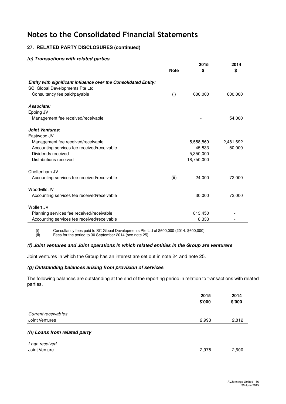## **27. RELATED PARTY DISCLOSURES (continued)**

#### **(e) Transactions with related parties**

|                                                                                                   | <b>Note</b> | 2015<br>\$ | 2014<br>\$ |
|---------------------------------------------------------------------------------------------------|-------------|------------|------------|
| Entity with significant influence over the Consolidated Entity:<br>SC Global Developments Pte Ltd |             |            |            |
| Consultancy fee paid/payable                                                                      | (i)         | 600,000    | 600,000    |
| Associate:                                                                                        |             |            |            |
| Epping JV                                                                                         |             |            |            |
| Management fee received/receivable                                                                |             |            | 54,000     |
| <b>Joint Ventures:</b>                                                                            |             |            |            |
| Eastwood JV                                                                                       |             |            |            |
| Management fee received/receivable                                                                |             | 5,558,869  | 2,481,692  |
| Accounting services fee received/receivable                                                       |             | 45,833     | 50,000     |
| Dividends received                                                                                |             | 5,350,000  |            |
| Distributions received                                                                            |             | 18,750,000 |            |
| Cheltenham JV                                                                                     |             |            |            |
| Accounting services fee received/receivable                                                       | (ii)        | 24,000     | 72,000     |
| Woodville JV                                                                                      |             |            |            |
| Accounting services fee received/receivable                                                       |             | 30,000     | 72,000     |
| Wollert JV                                                                                        |             |            |            |
| Planning services fee received/receivable                                                         |             | 813,450    |            |
| Accounting services fee received/receivable                                                       |             | 8,333      |            |

(i) Consultancy fees paid to SC Global Developments Pte Ltd of \$600,000 (2014: \$600,000).

(ii) Fees for the period to 30 September 2014 (see note 25).

#### **(f) Joint ventures and Joint operations in which related entities in the Group are venturers**

Joint ventures in which the Group has an interest are set out in note 24 and note 25.

#### **(g) Outstanding balances arising from provision of services**

The following balances are outstanding at the end of the reporting period in relation to transactions with related parties.

|                              | 2015<br>\$'000 | 2014<br>\$'000 |
|------------------------------|----------------|----------------|
| Current receivables          |                |                |
| Joint Ventures               | 2,993          | 2,812          |
| (h) Loans from related party |                |                |
| Loan received                |                |                |
| Joint Venture                | 2,978          | 2,600          |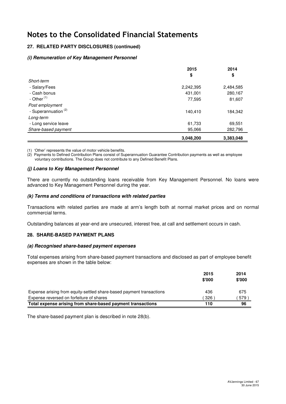## **27. RELATED PARTY DISCLOSURES (continued)**

#### **(i) Remuneration of Key Management Personnel**

|                                 | 2015      | 2014      |
|---------------------------------|-----------|-----------|
|                                 | \$        | \$        |
| Short-term                      |           |           |
| - Salary/Fees                   | 2,242,395 | 2,484,585 |
| - Cash bonus                    | 431,001   | 280,167   |
| - Other $(1)$                   | 77,595    | 81,607    |
| Post employment                 |           |           |
| - Superannuation <sup>(2)</sup> | 140,410   | 184,342   |
| Long-term                       |           |           |
| - Long service leave            | 61,733    | 69,551    |
| Share-based payment             | 95,066    | 282,796   |
|                                 | 3,048,200 | 3,383,048 |

(1) 'Other' represents the value of motor vehicle benefits.

(2) Payments to Defined Contribution Plans consist of Superannuation Guarantee Contribution payments as well as employee voluntary contributions. The Group does not contribute to any Defined Benefit Plans.

#### **(j) Loans to Key Management Personnel**

There are currently no outstanding loans receivable from Key Management Personnel. No loans were advanced to Key Management Personnel during the year.

#### **(k) Terms and conditions of transactions with related parties**

Transactions with related parties are made at arm's length both at normal market prices and on normal commercial terms.

Outstanding balances at year-end are unsecured, interest free, at call and settlement occurs in cash.

#### **28. SHARE-BASED PAYMENT PLANS**

#### **(a) Recognised share-based payment expenses**

Total expenses arising from share-based payment transactions and disclosed as part of employee benefit expenses are shown in the table below:

|                                                                      | 2015<br>\$'000 | 2014<br>\$'000 |
|----------------------------------------------------------------------|----------------|----------------|
| Expense arising from equity-settled share-based payment transactions | 436            | 675            |
| Expense reversed on forfeiture of shares                             | 326            | 579            |
| Total expense arising from share-based payment transactions          | 110            | 96             |

The share-based payment plan is described in note 28(b).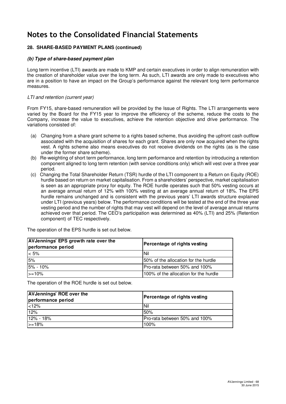## **28. SHARE-BASED PAYMENT PLANS (continued)**

#### **(b) Type of share-based payment plan**

Long term incentive (LTI) awards are made to KMP and certain executives in order to align remuneration with the creation of shareholder value over the long term. As such, LTI awards are only made to executives who are in a position to have an impact on the Group's performance against the relevant long term performance measures.

#### LTI and retention (current year)

From FY15, share-based remuneration will be provided by the Issue of Rights. The LTI arrangements were varied by the Board for the FY15 year to improve the efficiency of the scheme, reduce the costs to the Company, increase the value to executives, achieve the retention objective and drive performance. The variations consisted of:

- (a) Changing from a share grant scheme to a rights based scheme, thus avoiding the upfront cash outflow associated with the acquisition of shares for each grant. Shares are only now acquired when the rights vest. A rights scheme also means executives do not receive dividends on the rights (as is the case under the former share scheme).
- (b) Re-weighting of short term performance, long term performance and retention by introducing a retention component aligned to long term retention (with service conditions only) which will vest over a three year period.
- (c) Changing the Total Shareholder Return (TSR) hurdle of the LTI component to a Return on Equity (ROE) hurdle based on return on market capitalisation. From a shareholders' perspective, market capitalisation is seen as an appropriate proxy for equity. The ROE hurdle operates such that 50% vesting occurs at an average annual return of 12% with 100% vesting at an average annual return of 18%. The EPS hurdle remains unchanged and is consistent with the previous years' LTI awards structure explained under LTI (previous years) below. The performance conditions will be tested at the end of the three year vesting period and the number of rights that may vest will depend on the level of average annual returns achieved over that period. The CEO's participation was determined as 40% (LTI) and 25% (Retention component) of TEC respectively.

The operation of the EPS hurdle is set out below.

| <b>AVJennings' EPS growth rate over the</b><br>performance period | Percentage of rights vesting          |
|-------------------------------------------------------------------|---------------------------------------|
| $ < 5\%$                                                          | <b>Nil</b>                            |
| 5%                                                                | 150% of the allocation for the hurdle |
| 5% - 10%                                                          | IPro-rata between 50% and 100%        |
| $\vert$ >=10%                                                     | 100% of the allocation for the hurdle |

The operation of the ROE hurdle is set out below.

| <b>AVJennings' ROE over the</b><br>performance period | Percentage of rights vesting  |  |
|-------------------------------------------------------|-------------------------------|--|
| $ $ < 12%                                             | Nil                           |  |
| 12%                                                   | 50%                           |  |
| 12% - 18%                                             | Pro-rata between 50% and 100% |  |
| $ >=18%$                                              | $100\%$                       |  |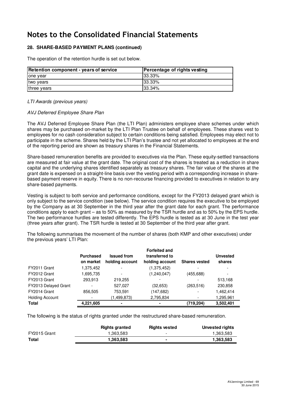### **28. SHARE-BASED PAYMENT PLANS (continued)**

The operation of the retention hurdle is set out below.

| <b>Retention component - years of service</b> | Percentage of rights vesting |
|-----------------------------------------------|------------------------------|
| Jone year                                     | $133.33\%$                   |
| two years                                     | 133.33%                      |
| three years                                   | 133.34%                      |

#### LTI Awards (previous years)

#### AVJ Deferred Employee Share Plan

The AVJ Deferred Employee Share Plan (the LTI Plan) administers employee share schemes under which shares may be purchased on-market by the LTI Plan Trustee on behalf of employees. These shares vest to employees for no cash consideration subject to certain conditions being satisfied. Employees may elect not to participate in the scheme. Shares held by the LTI Plan's trustee and not yet allocated to employees at the end of the reporting period are shown as treasury shares in the Financial Statements.

Share-based remuneration benefits are provided to executives via the Plan. These equity-settled transactions are measured at fair value at the grant date. The original cost of the shares is treated as a reduction in share capital and the underlying shares identified separately as treasury shares. The fair value of the shares at the grant date is expensed on a straight-line basis over the vesting period with a corresponding increase in sharebased payment reserve in equity. There is no non-recourse financing provided to executives in relation to any share-based payments.

Vesting is subject to both service and performance conditions, except for the FY2013 delayed grant which is only subject to the service condition (see below). The service condition requires the executive to be employed by the Company as at 30 September in the third year after the grant date for each grant. The performance conditions apply to each grant – as to 50% as measured by the TSR hurdle and as to 50% by the EPS hurdle. The two performance hurdles are tested differently. The EPS hurdle is tested as at 30 June in the test year (three years after grant). The TSR hurdle is tested at 30 September of the third year after grant.

The following summarises the movement of the number of shares (both KMP and other executives) under the previous years' LTI Plan:

|                        | <b>Forfeited and</b> |                    |                 |                      |                 |
|------------------------|----------------------|--------------------|-----------------|----------------------|-----------------|
|                        | <b>Purchased</b>     | <b>Issued from</b> | transferred to  |                      | <b>Unvested</b> |
|                        | on market            | holding account    | holding account | <b>Shares vested</b> | shares          |
| FY2011 Grant           | 1,375,452            |                    | (1,375,452)     |                      |                 |
| FY2012 Grant           | 1,695,735            |                    | (1,240,047)     | (455,688)            | -               |
| FY2013 Grant           | 293.913              | 219,255            |                 |                      | 513,168         |
| FY2013 Delayed Grant   |                      | 527,027            | (32, 653)       | (263,516)            | 230,858         |
| FY2014 Grant           | 856,505              | 753,591            | (147,682)       | -                    | 1,462,414       |
| <b>Holding Account</b> |                      | (1,499,873)        | 2,795,834       |                      | 1,295,961       |
| Total                  | 4,221,605            |                    | $\blacksquare$  | (719,204)            | 3,502,401       |

The following is the status of rights granted under the restructured share-based remuneration.

|              | <b>Rights granted</b> | <b>Rights vested</b> | Unvested rights |
|--------------|-----------------------|----------------------|-----------------|
| FY2015 Grant | 1.363.583             | -                    | 1,363,583       |
| Total        | 1.363.583             |                      | 1,363,583       |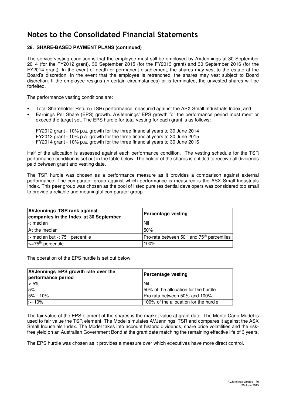### **28. SHARE-BASED PAYMENT PLANS (continued)**

The service vesting condition is that the employee must still be employed by AVJennings at 30 September 2014 (for the FY2012 grant), 30 September 2015 (for the FY2013 grant) and 30 September 2016 (for the FY2014 grant). In the event of death or permanent disablement, the shares may vest to the estate at the Board's discretion. In the event that the employee is retrenched, the shares may vest subject to Board discretion. If the employee resigns (in certain circumstances) or is terminated, the unvested shares will be forfeited.

The performance vesting conditions are:

- Total Shareholder Return (TSR) performance measured against the ASX Small Industrials Index; and
- Earnings Per Share (EPS) growth. AVJennings' EPS growth for the performance period must meet or exceed the target set. The EPS hurdle for total vesting for each grant is as follows:

FY2012 grant - 10% p.a. growth for the three financial years to 30 June 2014 FY2013 grant - 10% p.a. growth for the three financial years to 30 June 2015 FY2014 grant - 10% p.a. growth for the three financial years to 30 June 2016

Half of the allocation is assessed against each performance condition. The vesting schedule for the TSR performance condition is set out in the table below. The holder of the shares is entitled to receive all dividends paid between grant and vesting date.

The TSR hurdle was chosen as a performance measure as it provides a comparison against external performance. The comparator group against which performance is measured is the ASX Small Industrials Index. This peer group was chosen as the pool of listed pure residential developers was considered too small to provide a reliable and meaningful comparator group.

| <b>AVJennings' TSR rank against</b><br>companies in the Index at 30 September | Percentage vesting                                                 |
|-------------------------------------------------------------------------------|--------------------------------------------------------------------|
| $\mathsf{l}$ c median                                                         | <b>Nil</b>                                                         |
| At the median                                                                 | 50%                                                                |
| $\vert$ > median but < 75 <sup>th</sup> percentile                            | Pro-rata between 50 <sup>th</sup> and 75 <sup>th</sup> percentiles |
| $\left  \right  > = 75$ <sup>th</sup> percentile                              | 100%                                                               |

The operation of the EPS hurdle is set out below.

| AVJennings' EPS growth rate over the<br>performance period | Percentage vesting                     |  |
|------------------------------------------------------------|----------------------------------------|--|
| $\vert$ < 5%                                               | <b>INil</b>                            |  |
| 5%                                                         | 150% of the allocation for the hurdle  |  |
| 5% - 10%                                                   | IPro-rata between 50% and 100%         |  |
| $\ge$ = 10%                                                | 1100% of the allocation for the hurdle |  |

The fair value of the EPS element of the shares is the market value at grant date. The Monte Carlo Model is used to fair value the TSR element. The Model simulates AVJennings' TSR and compares it against the ASX Small Industrials Index. The Model takes into account historic dividends, share price volatilities and the riskfree yield on an Australian Government Bond at the grant date matching the remaining effective life of 3 years.

The EPS hurdle was chosen as it provides a measure over which executives have more direct control.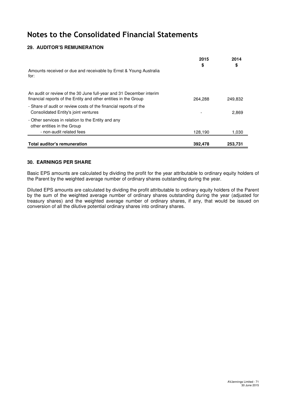## **29. AUDITOR'S REMUNERATION**

| Total auditor's remuneration                                                                                                           | 392,478    | 253,731    |
|----------------------------------------------------------------------------------------------------------------------------------------|------------|------------|
| - non-audit related fees                                                                                                               | 128,190    | 1,030      |
| - Other services in relation to the Entity and any<br>other entities in the Group                                                      |            |            |
| - Share of audit or review costs of the financial reports of the<br>Consolidated Entity's joint ventures                               |            | 2,869      |
| An audit or review of the 30 June full-year and 31 December interim<br>financial reports of the Entity and other entities in the Group | 264,288    | 249,832    |
| Amounts received or due and receivable by Ernst & Young Australia<br>for:                                                              | 2015<br>\$ | 2014<br>\$ |

### **30. EARNINGS PER SHARE**

Basic EPS amounts are calculated by dividing the profit for the year attributable to ordinary equity holders of the Parent by the weighted average number of ordinary shares outstanding during the year.

Diluted EPS amounts are calculated by dividing the profit attributable to ordinary equity holders of the Parent by the sum of the weighted average number of ordinary shares outstanding during the year (adjusted for treasury shares) and the weighted average number of ordinary shares, if any, that would be issued on conversion of all the dilutive potential ordinary shares into ordinary shares.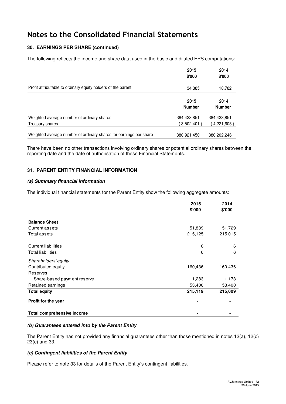## **30. EARNINGS PER SHARE (continued)**

The following reflects the income and share data used in the basic and diluted EPS computations:

|                                                                   | 2015<br>\$'000           | 2014<br>\$'000            |
|-------------------------------------------------------------------|--------------------------|---------------------------|
| Profit attributable to ordinary equity holders of the parent      | 34,385                   | 18,782                    |
|                                                                   | 2015<br><b>Number</b>    | 2014<br><b>Number</b>     |
| Weighted average number of ordinary shares<br>Treasury shares     | 384,423,851<br>3,502,401 | 384,423,851<br>4,221,605) |
| Weighted average number of ordinary shares for earnings per share | 380,921,450              | 380,202,246               |

There have been no other transactions involving ordinary shares or potential ordinary shares between the reporting date and the date of authorisation of these Financial Statements.

### **31. PARENT ENTITY FINANCIAL INFORMATION**

#### **(a) Summary financial information**

The individual financial statements for the Parent Entity show the following aggregate amounts:

|                             | 2015<br>\$'000 | 2014<br>\$'000 |
|-----------------------------|----------------|----------------|
| <b>Balance Sheet</b>        |                |                |
| Current assets              | 51,839         | 51,729         |
| Total assets                | 215,125        | 215,015        |
| <b>Current liabilities</b>  | 6              | 6              |
| <b>Total liabilities</b>    | 6              | 6              |
| Shareholders' equity        |                |                |
| Contributed equity          | 160,436        | 160,436        |
| Reserves                    |                |                |
| Share-based payment reserve | 1,283          | 1,173          |
| Retained earnings           | 53,400         | 53,400         |
| <b>Total equity</b>         | 215,119        | 215,009        |
| Profit for the year         |                |                |
| Total comprehensive income  |                |                |

#### **(b) Guarantees entered into by the Parent Entity**

The Parent Entity has not provided any financial guarantees other than those mentioned in notes 12(a), 12(c) 23(c) and 33.

#### **(c) Contingent liabilities of the Parent Entity**

Please refer to note 33 for details of the Parent Entity's contingent liabilities.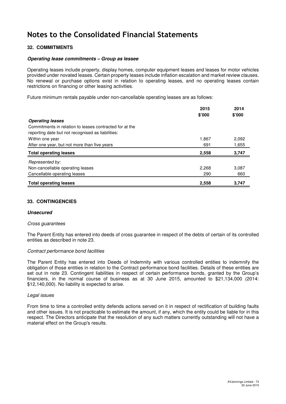## **32. COMMITMENTS**

### **Operating lease commitments – Group as lessee**

Operating leases include property, display homes, computer equipment leases and leases for motor vehicles provided under novated leases. Certain property leases include inflation escalation and market review clauses. No renewal or purchase options exist in relation to operating leases, and no operating leases contain restrictions on financing or other leasing activities.

Future minimum rentals payable under non-cancellable operating leases are as follows:

|                                                         | 2015<br>\$'000 | 2014<br>\$'000 |
|---------------------------------------------------------|----------------|----------------|
| <b>Operating leases</b>                                 |                |                |
| Commitments in relation to leases contracted for at the |                |                |
| reporting date but not recognised as liabilities:       |                |                |
| Within one year                                         | 1,867          | 2,092          |
| After one year, but not more than five years            | 691            | 1,655          |
| <b>Total operating leases</b>                           | 2,558          | 3,747          |
| Represented by:                                         |                |                |
| Non-cancellable operating leases                        | 2,268          | 3,087          |
| Cancellable operating leases                            | 290            | 660            |
| <b>Total operating leases</b>                           | 2,558          | 3,747          |

### **33. CONTINGENCIES**

### **Unsecured**

#### Cross guarantees

The Parent Entity has entered into deeds of cross guarantee in respect of the debts of certain of its controlled entities as described in note 23.

#### Contract performance bond facilities

The Parent Entity has entered into Deeds of Indemnity with various controlled entities to indemnify the obligation of those entities in relation to the Contract performance bond facilities. Details of these entities are set out in note 23. Contingent liabilities in respect of certain performance bonds, granted by the Group's financiers, in the normal course of business as at 30 June 2015, amounted to \$21,134,000 (2014: \$12,140,000). No liability is expected to arise.

#### Legal issues

From time to time a controlled entity defends actions served on it in respect of rectification of building faults and other issues. It is not practicable to estimate the amount, if any, which the entity could be liable for in this respect. The Directors anticipate that the resolution of any such matters currently outstanding will not have a material effect on the Group's results.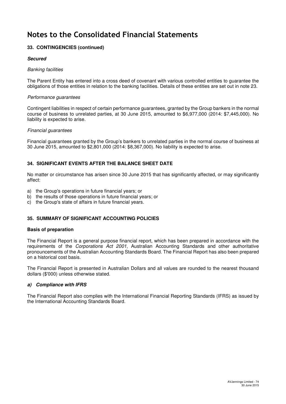## **33. CONTINGENCIES (continued)**

## **Secured**

## Banking facilities

The Parent Entity has entered into a cross deed of covenant with various controlled entities to guarantee the obligations of those entities in relation to the banking facilities. Details of these entities are set out in note 23.

## Performance guarantees

Contingent liabilities in respect of certain performance guarantees, granted by the Group bankers in the normal course of business to unrelated parties, at 30 June 2015, amounted to \$6,977,000 (2014: \$7,445,000). No liability is expected to arise.

### Financial guarantees

Financial guarantees granted by the Group's bankers to unrelated parties in the normal course of business at 30 June 2015, amounted to \$2,801,000 (2014: \$8,367,000). No liability is expected to arise.

## **34. SIGNIFICANT EVENTS AFTER THE BALANCE SHEET DATE**

No matter or circumstance has arisen since 30 June 2015 that has significantly affected, or may significantly affect:

- a) the Group's operations in future financial years; or
- b) the results of those operations in future financial years; or
- c) the Group's state of affairs in future financial years.

## **35. SUMMARY OF SIGNIFICANT ACCOUNTING POLICIES**

### **Basis of preparation**

The Financial Report is a general purpose financial report, which has been prepared in accordance with the requirements of the Corporations Act 2001, Australian Accounting Standards and other authoritative pronouncements of the Australian Accounting Standards Board. The Financial Report has also been prepared on a historical cost basis.

The Financial Report is presented in Australian Dollars and all values are rounded to the nearest thousand dollars (\$'000) unless otherwise stated.

### **a) Compliance with IFRS**

The Financial Report also complies with the International Financial Reporting Standards (IFRS) as issued by the International Accounting Standards Board.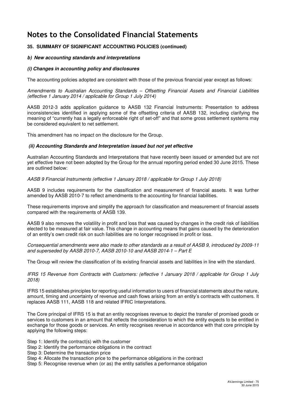## **35. SUMMARY OF SIGNIFICANT ACCOUNTING POLICIES (continued)**

### **b) New accounting standards and interpretations**

#### **(i) Changes in accounting policy and disclosures**

The accounting policies adopted are consistent with those of the previous financial year except as follows:

Amendments to Australian Accounting Standards – Offsetting Financial Assets and Financial Liabilities (effective 1 January 2014 / applicable for Group 1 July 2014)

AASB 2012-3 adds application guidance to AASB 132 Financial Instruments: Presentation to address inconsistencies identified in applying some of the offsetting criteria of AASB 132, including clarifying the meaning of "currently has a legally enforceable right of set-off" and that some gross settlement systems may be considered equivalent to net settlement.

This amendment has no impact on the disclosure for the Group.

#### **(ii) Accounting Standards and Interpretation issued but not yet effective**

Australian Accounting Standards and Interpretations that have recently been issued or amended but are not yet effective have not been adopted by the Group for the annual reporting period ended 30 June 2015. These are outlined below:

AASB 9 Financial Instruments (effective 1 January 2018 / applicable for Group 1 July 2018)

AASB 9 includes requirements for the classification and measurement of financial assets. It was further amended by AASB 2010-7 to reflect amendments to the accounting for financial liabilities.

These requirements improve and simplify the approach for classification and measurement of financial assets compared with the requirements of AASB 139.

AASB 9 also removes the volatility in profit and loss that was caused by changes in the credit risk of liabilities elected to be measured at fair value. This change in accounting means that gains caused by the deterioration of an entity's own credit risk on such liabilities are no longer recognised in profit or loss.

Consequential amendments were also made to other standards as a result of AASB 9, introduced by 2009-11 and superseded by AASB 2010-7, AASB 2010-10 and AASB 2014-1 – Part E

The Group will review the classification of its existing financial assets and liabilities in line with the standard.

IFRS 15 Revenue from Contracts with Customers: (effective 1 January 2018 / applicable for Group 1 July 2018)

IFRS 15 establishes principles for reporting useful information to users of financial statements about the nature, amount, timing and uncertainty of revenue and cash flows arising from an entity's contracts with customers. It replaces AASB 111, AASB 118 and related IFRIC Interpretations.

The Core principal of IFRS 15 is that an entity recognises revenue to depict the transfer of promised goods or services to customers in an amount that reflects the consideration to which the entity expects to be entitled in exchange for those goods or services. An entity recognises revenue in accordance with that core principle by applying the following steps:

Step 1: Identify the contract(s) with the customer

Step 2: Identify the performance obligations in the contract

Step 3: Determine the transaction price

Step 4: Allocate the transaction price to the performance obligations in the contract

Step 5: Recognise revenue when (or as) the entity satisfies a performance obligation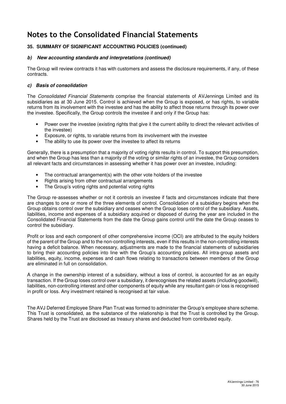## **35. SUMMARY OF SIGNIFICANT ACCOUNTING POLICIES (continued)**

## **b) New accounting standards and interpretations (continued)**

The Group will review contracts it has with customers and assess the disclosure requirements, if any, of these contracts.

## **c) Basis of consolidation**

The Consolidated Financial Statements comprise the financial statements of AVJennings Limited and its subsidiaries as at 30 June 2015. Control is achieved when the Group is exposed, or has rights, to variable returns from its involvement with the investee and has the ability to affect those returns through its power over the investee. Specifically, the Group controls the investee if and only if the Group has:

- Power over the investee (existing rights that give it the current ability to direct the relevant activities of the investee)
- Exposure, or rights, to variable returns from its involvement with the investee
- The ability to use its power over the investee to affect its returns

Generally, there is a presumption that a majority of voting rights results in control. To support this presumption, and when the Group has less than a majority of the voting or similar rights of an investee, the Group considers all relevant facts and circumstances in assessing whether it has power over an investee, including:

- The contractual arrangement(s) with the other vote holders of the investee
- Rights arising from other contractual arrangements
- The Group's voting rights and potential voting rights

The Group re-assesses whether or not it controls an investee if facts and circumstances indicate that there are changes to one or more of the three elements of control. Consolidation of a subsidiary begins when the Group obtains control over the subsidiary and ceases when the Group loses control of the subsidiary. Assets, liabilities, income and expenses of a subsidiary acquired or disposed of during the year are included in the Consolidated Financial Statements from the date the Group gains control until the date the Group ceases to control the subsidiary.

Profit or loss and each component of other comprehensive income (OCI) are attributed to the equity holders of the parent of the Group and to the non-controlling interests, even if this results in the non-controlling interests having a deficit balance. When necessary, adjustments are made to the financial statements of subsidiaries to bring their accounting policies into line with the Group's accounting policies. All intra-group assets and liabilities, equity, income, expenses and cash flows relating to transactions between members of the Group are eliminated in full on consolidation.

A change in the ownership interest of a subsidiary, without a loss of control, is accounted for as an equity transaction. If the Group loses control over a subsidiary, it derecognises the related assets (including goodwill), liabilities, non-controlling interest and other components of equity while any resultant gain or loss is recognised in profit or loss. Any investment retained is recognised at fair value.

The AVJ Deferred Employee Share Plan Trust was formed to administer the Group's employee share scheme. This Trust is consolidated, as the substance of the relationship is that the Trust is controlled by the Group. Shares held by the Trust are disclosed as treasury shares and deducted from contributed equity.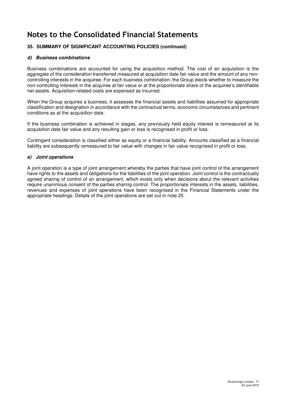## **35. SUMMARY OF SIGNIFICANT ACCOUNTING POLICIES (continued)**

## **d) Business combinations**

Business combinations are accounted for using the acquisition method. The cost of an acquisition is the aggregate of the consideration transferred measured at acquisition date fair value and the amount of any noncontrolling interests in the acquiree. For each business combination, the Group elects whether to measure the non-controlling interests in the acquiree at fair value or at the proportionate share of the acquiree's identifiable net assets. Acquisition-related costs are expensed as incurred.

When the Group acquires a business, it assesses the financial assets and liabilities assumed for appropriate classification and designation in accordance with the contractual terms, economic circumstances and pertinent conditions as at the acquisition date.

If the business combination is achieved in stages, any previously held equity interest is remeasured at its acquisition date fair value and any resulting gain or loss is recognised in profit or loss.

Contingent consideration is classified either as equity or a financial liability. Amounts classified as a financial liability are subsequently remeasured to fair value with changes in fair value recognised in profit or loss.

#### **e) Joint operations**

A joint operation is a type of joint arrangement whereby the parties that have joint control of the arrangement have rights to the assets and obligations for the liabilities of the joint operation. Joint control is the contractually agreed sharing of control of an arrangement, which exists only when decisions about the relevant activities require unanimous consent of the parties sharing control. The proportionate interests in the assets, liabilities, revenues and expenses of joint operations have been recognised in the Financial Statements under the appropriate headings. Details of the joint operations are set out in note 25.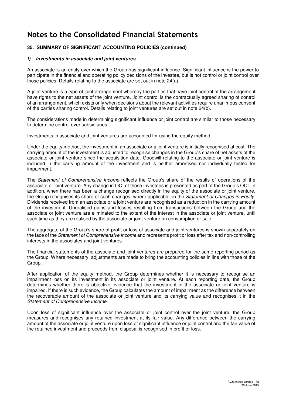## **35. SUMMARY OF SIGNIFICANT ACCOUNTING POLICIES (continued)**

## **f) Investments in associate and joint ventures**

An associate is an entity over which the Group has significant influence. Significant influence is the power to participate in the financial and operating policy decisions of the investee, but is not control or joint control over those policies. Details relating to the associate are set out in note 24(a).

A joint venture is a type of joint arrangement whereby the parties that have joint control of the arrangement have rights to the net assets of the joint venture. Joint control is the contractually agreed sharing of control of an arrangement, which exists only when decisions about the relevant activities require unanimous consent of the parties sharing control. Details relating to joint ventures are set out in note 24(b).

The considerations made in determining significant influence or joint control are similar to those necessary to determine control over subsidiaries.

Investments in associate and joint ventures are accounted for using the equity method.

Under the equity method, the investment in an associate or a joint venture is initially recognised at cost. The carrying amount of the investment is adjusted to recognise changes in the Group's share of net assets of the associate or joint venture since the acquisition date. Goodwill relating to the associate or joint venture is included in the carrying amount of the investment and is neither amortised nor individually tested for impairment.

The Statement of Comprehensive Income reflects the Group's share of the results of operations of the associate or joint venture. Any change in OCI of those investees is presented as part of the Group's OCI. In addition, when there has been a change recognised directly in the equity of the associate or joint venture, the Group recognises its share of such changes, where applicable, in the Statement of Changes in Equity. Dividends received from an associate or a joint venture are recognised as a reduction in the carrying amount of the investment. Unrealised gains and losses resulting from transactions between the Group and the associate or joint venture are eliminated to the extent of the interest in the associate or joint venture, until such time as they are realised by the associate or joint venture on consumption or sale.

The aggregate of the Group's share of profit or loss of associate and joint ventures is shown separately on the face of the Statement of Comprehensive Income and represents profit or loss after tax and non-controlling interests in the associates and joint ventures.

The financial statements of the associate and joint ventures are prepared for the same reporting period as the Group. Where necessary, adjustments are made to bring the accounting policies in line with those of the Group.

After application of the equity method, the Group determines whether it is necessary to recognise an impairment loss on its investment in its associate or joint venture. At each reporting date, the Group determines whether there is objective evidence that the investment in the associate or joint venture is impaired. If there is such evidence, the Group calculates the amount of impairment as the difference between the recoverable amount of the associate or joint venture and its carrying value and recognises it in the Statement of Comprehensive Income.

Upon loss of significant influence over the associate or joint control over the joint venture, the Group measures and recognises any retained investment at its fair value. Any difference between the carrying amount of the associate or joint venture upon loss of significant influence or joint control and the fair value of the retained investment and proceeds from disposal is recognised in profit or loss.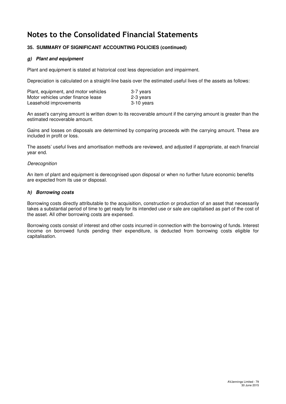## **35. SUMMARY OF SIGNIFICANT ACCOUNTING POLICIES (continued)**

## **g) Plant and equipment**

Plant and equipment is stated at historical cost less depreciation and impairment.

Depreciation is calculated on a straight-line basis over the estimated useful lives of the assets as follows:

| Plant, equipment, and motor vehicles | 3-7 years  |
|--------------------------------------|------------|
| Motor vehicles under finance lease   | 2-3 years  |
| Leasehold improvements               | 3-10 years |

An asset's carrying amount is written down to its recoverable amount if the carrying amount is greater than the estimated recoverable amount.

Gains and losses on disposals are determined by comparing proceeds with the carrying amount. These are included in profit or loss.

The assets' useful lives and amortisation methods are reviewed, and adjusted if appropriate, at each financial year end.

#### **Derecognition**

An item of plant and equipment is derecognised upon disposal or when no further future economic benefits are expected from its use or disposal.

### **h) Borrowing costs**

Borrowing costs directly attributable to the acquisition, construction or production of an asset that necessarily takes a substantial period of time to get ready for its intended use or sale are capitalised as part of the cost of the asset. All other borrowing costs are expensed.

Borrowing costs consist of interest and other costs incurred in connection with the borrowing of funds. Interest income on borrowed funds pending their expenditure, is deducted from borrowing costs eligible for capitalisation.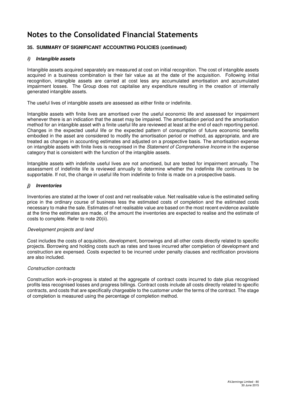## **35. SUMMARY OF SIGNIFICANT ACCOUNTING POLICIES (continued)**

## **i) Intangible assets**

Intangible assets acquired separately are measured at cost on initial recognition. The cost of intangible assets acquired in a business combination is their fair value as at the date of the acquisition. Following initial recognition, intangible assets are carried at cost less any accumulated amortisation and accumulated impairment losses. The Group does not capitalise any expenditure resulting in the creation of internally generated intangible assets.

The useful lives of intangible assets are assessed as either finite or indefinite.

Intangible assets with finite lives are amortised over the useful economic life and assessed for impairment whenever there is an indication that the asset may be impaired. The amortisation period and the amortisation method for an intangible asset with a finite useful life are reviewed at least at the end of each reporting period. Changes in the expected useful life or the expected pattern of consumption of future economic benefits embodied in the asset are considered to modify the amortisation period or method, as appropriate, and are treated as changes in accounting estimates and adjusted on a prospective basis. The amortisation expense on intangible assets with finite lives is recognised in the Statement of Comprehensive Income in the expense category that is consistent with the function of the intangible assets.

Intangible assets with indefinite useful lives are not amortised, but are tested for impairment annually. The assessment of indefinite life is reviewed annually to determine whether the indefinite life continues to be supportable. If not, the change in useful life from indefinite to finite is made on a prospective basis.

## **j) Inventories**

Inventories are stated at the lower of cost and net realisable value. Net realisable value is the estimated selling price in the ordinary course of business less the estimated costs of completion and the estimated costs necessary to make the sale. Estimates of net realisable value are based on the most recent evidence available at the time the estimates are made, of the amount the inventories are expected to realise and the estimate of costs to complete. Refer to note 20(ii).

### Development projects and land

Cost includes the costs of acquisition, development, borrowings and all other costs directly related to specific projects. Borrowing and holding costs such as rates and taxes incurred after completion of development and construction are expensed. Costs expected to be incurred under penalty clauses and rectification provisions are also included.

### Construction contracts

Construction work-in-progress is stated at the aggregate of contract costs incurred to date plus recognised profits less recognised losses and progress billings. Contract costs include all costs directly related to specific contracts, and costs that are specifically chargeable to the customer under the terms of the contract. The stage of completion is measured using the percentage of completion method.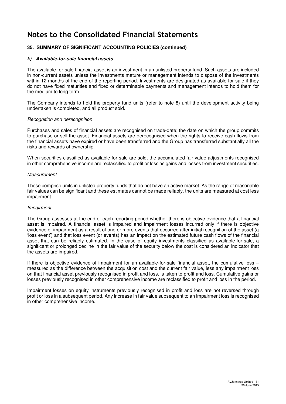## **35. SUMMARY OF SIGNIFICANT ACCOUNTING POLICIES (continued)**

## **k) Available-for-sale financial assets**

The available-for-sale financial asset is an investment in an unlisted property fund. Such assets are included in non-current assets unless the investments mature or management intends to dispose of the investments within 12 months of the end of the reporting period. Investments are designated as available-for-sale if they do not have fixed maturities and fixed or determinable payments and management intends to hold them for the medium to long term.

The Company intends to hold the property fund units (refer to note 8) until the development activity being undertaken is completed, and all product sold.

#### Recognition and derecognition

Purchases and sales of financial assets are recognised on trade-date; the date on which the group commits to purchase or sell the asset. Financial assets are derecognised when the rights to receive cash flows from the financial assets have expired or have been transferred and the Group has transferred substantially all the risks and rewards of ownership.

When securities classified as available-for-sale are sold, the accumulated fair value adjustments recognised in other comprehensive income are reclassified to profit or loss as gains and losses from investment securities.

#### Measurement

These comprise units in unlisted property funds that do not have an active market. As the range of reasonable fair values can be significant and these estimates cannot be made reliably, the units are measured at cost less impairment.

#### Impairment

The Group assesses at the end of each reporting period whether there is objective evidence that a financial asset is impaired. A financial asset is impaired and impairment losses incurred only if there is objective evidence of impairment as a result of one or more events that occurred after initial recognition of the asset (a 'loss event') and that loss event (or events) has an impact on the estimated future cash flows of the financial asset that can be reliably estimated. In the case of equity investments classified as available-for-sale, a significant or prolonged decline in the fair value of the security below the cost is considered an indicator that the assets are impaired.

If there is objective evidence of impairment for an available-for-sale financial asset, the cumulative loss – measured as the difference between the acquisition cost and the current fair value, less any impairment loss on that financial asset previously recognised in profit and loss, is taken to profit and loss. Cumulative gains or losses previously recognised in other comprehensive income are reclassified to profit and loss in the period.

Impairment losses on equity instruments previously recognised in profit and loss are not reversed through profit or loss in a subsequent period. Any increase in fair value subsequent to an impairment loss is recognised in other comprehensive income.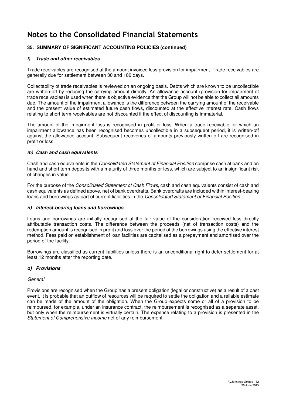## **35. SUMMARY OF SIGNIFICANT ACCOUNTING POLICIES (continued)**

## **l) Trade and other receivables**

Trade receivables are recognised at the amount invoiced less provision for impairment. Trade receivables are generally due for settlement between 30 and 180 days.

Collectability of trade receivables is reviewed on an ongoing basis. Debts which are known to be uncollectible are written-off by reducing the carrying amount directly. An allowance account (provision for impairment of trade receivables) is used when there is objective evidence that the Group will not be able to collect all amounts due. The amount of the impairment allowance is the difference between the carrying amount of the receivable and the present value of estimated future cash flows, discounted at the effective interest rate. Cash flows relating to short term receivables are not discounted if the effect of discounting is immaterial.

The amount of the impairment loss is recognised in profit or loss. When a trade receivable for which an impairment allowance has been recognised becomes uncollectible in a subsequent period, it is written-off against the allowance account. Subsequent recoveries of amounts previously written off are recognised in profit or loss.

### **m)** Cash and cash equivalents

Cash and cash equivalents in the Consolidated Statement of Financial Position comprise cash at bank and on hand and short term deposits with a maturity of three months or less, which are subject to an insignificant risk of changes in value.

For the purpose of the *Consolidated Statement of Cash Flows*, cash and cash equivalents consist of cash and cash equivalents as defined above, net of bank overdrafts. Bank overdrafts are included within interest-bearing loans and borrowings as part of current liabilities in the Consolidated Statement of Financial Position.

### **n) Interest-bearing loans and borrowings**

Loans and borrowings are initially recognised at the fair value of the consideration received less directly attributable transaction costs. The difference between the proceeds (net of transaction costs) and the redemption amount is recognised in profit and loss over the period of the borrowings using the effective interest method. Fees paid on establishment of loan facilities are capitalised as a prepayment and amortised over the period of the facility.

Borrowings are classified as current liabilities unless there is an unconditional right to defer settlement for at least 12 months after the reporting date.

## **o) Provisions**

### General

Provisions are recognised when the Group has a present obligation (legal or constructive) as a result of a past event, it is probable that an outflow of resources will be required to settle the obligation and a reliable estimate can be made of the amount of the obligation. When the Group expects some or all of a provision to be reimbursed, for example, under an insurance contract, the reimbursement is recognised as a separate asset, but only when the reimbursement is virtually certain. The expense relating to a provision is presented in the Statement of Comprehensive Income net of any reimbursement.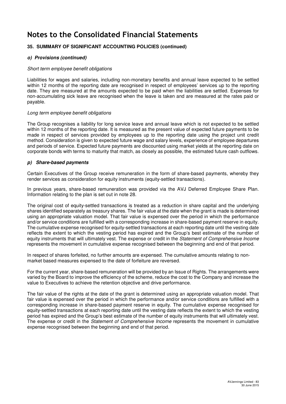## **35. SUMMARY OF SIGNIFICANT ACCOUNTING POLICIES (continued)**

## **o) Provisions (continued)**

### Short term employee benefit obligations

Liabilities for wages and salaries, including non-monetary benefits and annual leave expected to be settled within 12 months of the reporting date are recognised in respect of employees' services up to the reporting date. They are measured at the amounts expected to be paid when the liabilities are settled. Expenses for non-accumulating sick leave are recognised when the leave is taken and are measured at the rates paid or payable.

#### Long term employee benefit obligations

The Group recognises a liability for long service leave and annual leave which is not expected to be settled within 12 months of the reporting date. It is measured as the present value of expected future payments to be made in respect of services provided by employees up to the reporting date using the project unit credit method. Consideration is given to expected future wage and salary levels, experience of employee departures and periods of service. Expected future payments are discounted using market yields at the reporting date on corporate bonds with terms to maturity that match, as closely as possible, the estimated future cash outflows.

#### **p) Share-based payments**

Certain Executives of the Group receive remuneration in the form of share-based payments, whereby they render services as consideration for equity instruments (equity-settled transactions).

In previous years, share-based remuneration was provided via the AVJ Deferred Employee Share Plan. Information relating to the plan is set out in note 28.

The original cost of equity-settled transactions is treated as a reduction in share capital and the underlying shares identified separately as treasury shares. The fair value at the date when the grant is made is determined using an appropriate valuation model. That fair value is expensed over the period in which the performance and/or service conditions are fulfilled with a corresponding increase in share-based payment reserve in equity. The cumulative expense recognised for equity-settled transactions at each reporting date until the vesting date reflects the extent to which the vesting period has expired and the Group's best estimate of the number of equity instruments that will ultimately vest. The expense or credit in the Statement of Comprehensive Income represents the movement in cumulative expense recognised between the beginning and end of that period.

In respect of shares forfeited, no further amounts are expensed. The cumulative amounts relating to nonmarket based measures expensed to the date of forfeiture are reversed.

For the current year, share-based remuneration will be provided by an Issue of Rights. The arrangements were varied by the Board to improve the efficiency of the scheme, reduce the cost to the Company and increase the value to Executives to achieve the retention objective and drive performance.

The fair value of the rights at the date of the grant is determined using an appropriate valuation model. That fair value is expensed over the period in which the performance and/or service conditions are fulfilled with a corresponding increase in share-based payment reserve in equity. The cumulative expense recognised for equity-settled transactions at each reporting date until the vesting date reflects the extent to which the vesting period has expired and the Group's best estimate of the number of equity instruments that will ultimately vest. The expense or credit in the Statement of Comprehensive Income represents the movement in cumulative expense recognised between the beginning and end of that period.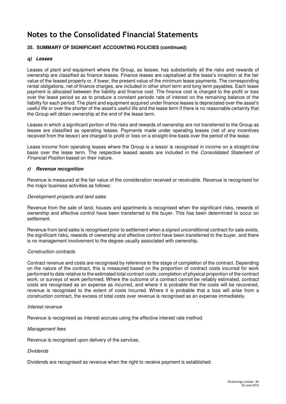## **35. SUMMARY OF SIGNIFICANT ACCOUNTING POLICIES (continued)**

## **q) Leases**

Leases of plant and equipment where the Group, as lessee, has substantially all the risks and rewards of ownership are classified as finance leases. Finance leases are capitalised at the lease's inception at the fair value of the leased property or, if lower, the present value of the minimum lease payments. The corresponding rental obligations, net of finance charges, are included in other short term and long term payables. Each lease payment is allocated between the liability and finance cost. The finance cost is charged to the profit or loss over the lease period so as to produce a constant periodic rate of interest on the remaining balance of the liability for each period. The plant and equipment acquired under finance leases is depreciated over the asset's useful life or over the shorter of the asset's useful life and the lease term if there is no reasonable certainty that the Group will obtain ownership at the end of the lease term.

Leases in which a significant portion of the risks and rewards of ownership are not transferred to the Group as lessee are classified as operating leases. Payments made under operating leases (net of any incentives received from the lessor) are charged to profit or loss on a straight-line basis over the period of the lease.

Lease income from operating leases where the Group is a lessor is recognised in income on a straight-line basis over the lease term. The respective leased assets are included in the Consolidated Statement of Financial Position based on their nature.

#### **r) Revenue recognition**

Revenue is measured at the fair value of the consideration received or receivable. Revenue is recognised for the major business activities as follows:

#### Development projects and land sales

Revenue from the sale of land, houses and apartments is recognised when the significant risks, rewards of ownership and effective control have been transferred to the buyer. This has been determined to occur on settlement.

Revenue from land sales is recognised prior to settlement when a signed unconditional contract for sale exists, the significant risks, rewards of ownership and effective control have been transferred to the buyer, and there is no management involvement to the degree usually associated with ownership.

#### Construction contracts

Contract revenue and costs are recognised by reference to the stage of completion of the contract. Depending on the nature of the contract, this is measured based on the proportion of contract costs incurred for work performed to date relative to the estimated total contract costs; completion of physical proportion of the contract work; or surveys of work performed. Where the outcome of a contract cannot be reliably estimated, contract costs are recognised as an expense as incurred, and where it is probable that the costs will be recovered, revenue is recognised to the extent of costs incurred. Where it is probable that a loss will arise from a construction contract, the excess of total costs over revenue is recognised as an expense immediately.

#### Interest revenue

Revenue is recognised as interest accrues using the effective interest rate method.

#### Management fees

Revenue is recognised upon delivery of the services.

#### Dividends

Dividends are recognised as revenue when the right to receive payment is established.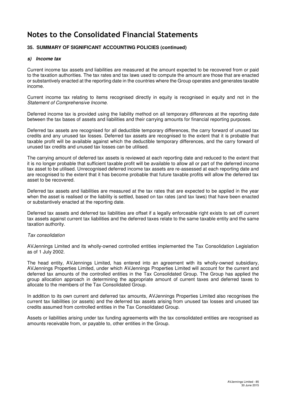## **35. SUMMARY OF SIGNIFICANT ACCOUNTING POLICIES (continued)**

## **s) Income tax**

Current income tax assets and liabilities are measured at the amount expected to be recovered from or paid to the taxation authorities. The tax rates and tax laws used to compute the amount are those that are enacted or substantively enacted at the reporting date in the countries where the Group operates and generates taxable income.

Current income tax relating to items recognised directly in equity is recognised in equity and not in the Statement of Comprehensive Income.

Deferred income tax is provided using the liability method on all temporary differences at the reporting date between the tax bases of assets and liabilities and their carrying amounts for financial reporting purposes.

Deferred tax assets are recognised for all deductible temporary differences, the carry forward of unused tax credits and any unused tax losses. Deferred tax assets are recognised to the extent that it is probable that taxable profit will be available against which the deductible temporary differences, and the carry forward of unused tax credits and unused tax losses can be utilised.

The carrying amount of deferred tax assets is reviewed at each reporting date and reduced to the extent that it is no longer probable that sufficient taxable profit will be available to allow all or part of the deferred income tax asset to be utilised. Unrecognised deferred income tax assets are re-assessed at each reporting date and are recognised to the extent that it has become probable that future taxable profits will allow the deferred tax asset to be recovered.

Deferred tax assets and liabilities are measured at the tax rates that are expected to be applied in the year when the asset is realised or the liability is settled, based on tax rates (and tax laws) that have been enacted or substantively enacted at the reporting date.

Deferred tax assets and deferred tax liabilities are offset if a legally enforceable right exists to set off current tax assets against current tax liabilities and the deferred taxes relate to the same taxable entity and the same taxation authority.

### Tax consolidation

AVJennings Limited and its wholly-owned controlled entities implemented the Tax Consolidation Legislation as of 1 July 2002.

The head entity, AVJennings Limited, has entered into an agreement with its wholly-owned subsidiary, AVJennings Properties Limited, under which AVJennings Properties Limited will account for the current and deferred tax amounts of the controlled entities in the Tax Consolidated Group. The Group has applied the group allocation approach in determining the appropriate amount of current taxes and deferred taxes to allocate to the members of the Tax Consolidated Group.

In addition to its own current and deferred tax amounts, AVJennings Properties Limited also recognises the current tax liabilities (or assets) and the deferred tax assets arising from unused tax losses and unused tax credits assumed from controlled entities in the Tax Consolidated Group.

Assets or liabilities arising under tax funding agreements with the tax consolidated entities are recognised as amounts receivable from, or payable to, other entities in the Group.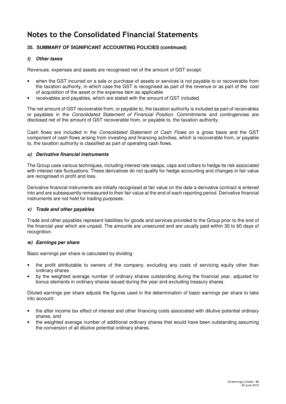## **35. SUMMARY OF SIGNIFICANT ACCOUNTING POLICIES (continued)**

## **t) Other taxes**

Revenues, expenses and assets are recognised net of the amount of GST except:

- when the GST incurred on a sale or purchase of assets or services is not payable to or recoverable from the taxation authority, in which case the GST is recognised as part of the revenue or as part of the cost of acquisition of the asset or the expense item as applicable
- receivables and payables, which are stated with the amount of GST included.

The net amount of GST recoverable from, or payable to, the taxation authority is included as part of receivables or payables in the Consolidated Statement of Financial Position. Commitments and contingencies are disclosed net of the amount of GST recoverable from, or payable to, the taxation authority.

Cash flows are included in the Consolidated Statement of Cash Flows on a gross basis and the GST component of cash flows arising from investing and financing activities, which is recoverable from, or payable to, the taxation authority is classified as part of operating cash flows.

### **u) Derivative financial instruments**

The Group uses various techniques, including interest rate swaps, caps and collars to hedge its risk associated with interest rate fluctuations. These derivatives do not qualify for hedge accounting and changes in fair value are recognised in profit and loss.

Derivative financial instruments are initially recognised at fair value on the date a derivative contract is entered into and are subsequently remeasured to their fair value at the end of each reporting period. Derivative financial instruments are not held for trading purposes.

### **v) Trade and other payables**

Trade and other payables represent liabilities for goods and services provided to the Group prior to the end of the financial year which are unpaid. The amounts are unsecured and are usually paid within 30 to 60 days of recognition.

### **w) Earnings per share**

Basic earnings per share is calculated by dividing:

- the profit attributable to owners of the company, excluding any costs of servicing equity other than ordinary shares
- by the weighted average number of ordinary shares outstanding during the financial year, adjusted for bonus elements in ordinary shares issued during the year and excluding treasury shares.

Diluted earnings per share adjusts the figures used in the determination of basic earnings per share to take into account:

- the after income tax effect of interest and other financing costs associated with dilutive potential ordinary shares, and
- the weighted average number of additional ordinary shares that would have been outstanding assuming the conversion of all dilutive potential ordinary shares.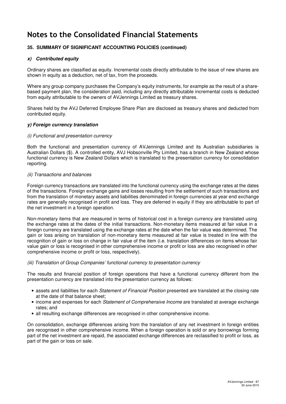## **35. SUMMARY OF SIGNIFICANT ACCOUNTING POLICIES (continued)**

## **x) Contributed equity**

Ordinary shares are classified as equity. Incremental costs directly attributable to the issue of new shares are shown in equity as a deduction, net of tax, from the proceeds.

Where any group company purchases the Company's equity instruments, for example as the result of a sharebased payment plan, the consideration paid, including any directly attributable incremental costs is deducted from equity attributable to the owners of AVJennings Limited as treasury shares.

Shares held by the AVJ Deferred Employee Share Plan are disclosed as treasury shares and deducted from contributed equity.

### **y) Foreign currency translation**

#### (i) Functional and presentation currency

Both the functional and presentation currency of AVJennings Limited and its Australian subsidiaries is Australian Dollars (\$). A controlled entity, AVJ Hobsonville Pty Limited, has a branch in New Zealand whose functional currency is New Zealand Dollars which is translated to the presentation currency for consolidation reporting.

#### (ii) Transactions and balances

Foreign currency transactions are translated into the functional currency using the exchange rates at the dates of the transactions. Foreign exchange gains and losses resulting from the settlement of such transactions and from the translation of monetary assets and liabilities denominated in foreign currencies at year end exchange rates are generally recognised in profit and loss. They are deferred in equity if they are attributable to part of the net investment in a foreign operation.

Non-monetary items that are measured in terms of historical cost in a foreign currency are translated using the exchange rates at the dates of the initial transactions. Non-monetary items measured at fair value in a foreign currency are translated using the exchange rates at the date when the fair value was determined. The gain or loss arising on translation of non-monetary items measured at fair value is treated in line with the recognition of gain or loss on change in fair value of the item (i.e. translation differences on items whose fair value gain or loss is recognised in other comprehensive income or profit or loss are also recognised in other comprehensive income or profit or loss, respectively).

#### (iii) Translation of Group Companies' functional currency to presentation currency

The results and financial position of foreign operations that have a functional currency different from the presentation currency are translated into the presentation currency as follows:

- assets and liabilities for each *Statement of Financial Position* presented are translated at the closing rate at the date of that balance sheet;
- income and expenses for each Statement of Comprehensive Income are translated at average exchange rates; and
- all resulting exchange differences are recognised in other comprehensive income.

On consolidation, exchange differences arising from the translation of any net investment in foreign entities are recognised in other comprehensive income. When a foreign operation is sold or any borrowings forming part of the net investment are repaid, the associated exchange differences are reclassified to profit or loss, as part of the gain or loss on sale.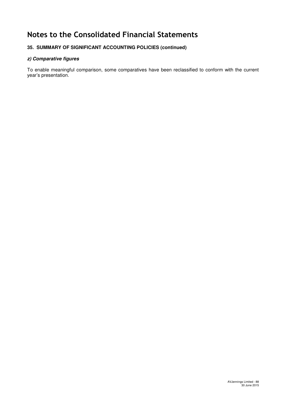## **35. SUMMARY OF SIGNIFICANT ACCOUNTING POLICIES (continued)**

## **z) Comparative figures**

To enable meaningful comparison, some comparatives have been reclassified to conform with the current year's presentation.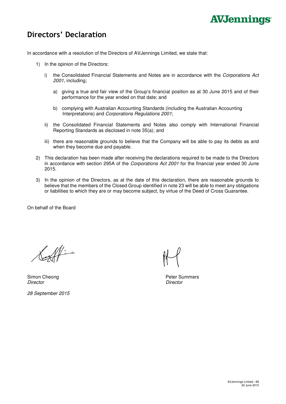# **AVJennings**

## Directors' Declaration

In accordance with a resolution of the Directors of AVJennings Limited, we state that:

- 1) In the opinion of the Directors:
	- i) the Consolidated Financial Statements and Notes are in accordance with the Corporations Act 2001, including;
		- a) giving a true and fair view of the Group's financial position as at 30 June 2015 and of their performance for the year ended on that date; and
		- b) complying with Australian Accounting Standards (including the Australian Accounting Interpretations) and Corporations Regulations 2001;
	- ii) the Consolidated Financial Statements and Notes also comply with International Financial Reporting Standards as disclosed in note 35(a); and
	- iii) there are reasonable grounds to believe that the Company will be able to pay its debts as and when they become due and payable.
- 2) This declaration has been made after receiving the declarations required to be made to the Directors in accordance with section 295A of the Corporations Act 2001 for the financial year ended 30 June 2015.
- 3) In the opinion of the Directors, as at the date of this declaration, there are reasonable grounds to believe that the members of the Closed Group identified in note 23 will be able to meet any obligations or liabilities to which they are or may become subject, by virtue of the Deed of Cross Guarantee.

On behalf of the Board

N

Director Director

28 September 2015

Simon Cheong **Peter Summers Peter Summers**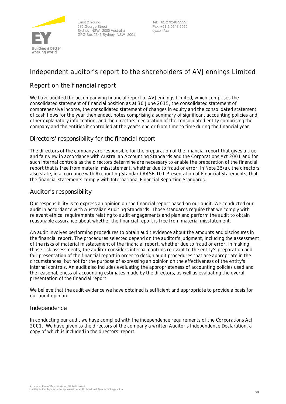

Ernst & Young 680 George Street Sydney NSW 2000 Australia GPO Box 2646 Sydney NSW 2001  Tel: +61 2 9248 5555 Fax: +61 2 9248 5959 ey.com/au

## **Independent auditor's report to the shareholders of AVJennings Limited**

## Report on the financial report

We have audited the accompanying financial report of AVJennings Limited, which comprises the consolidated statement of financial position as at 30 June 2015, the consolidated statement of comprehensive income, the consolidated statement of changes in equity and the consolidated statement of cash flows for the year then ended, notes comprising a summary of significant accounting policies and other explanatory information, and the directors' declaration of the consolidated entity comprising the company and the entities it controlled at the year's end or from time to time during the financial year.

## *Directors' responsibility for the financial report*

The directors of the company are responsible for the preparation of the financial report that gives a true and fair view in accordance with Australian Accounting Standards and the *Corporations Act 2001* and for such internal controls as the directors determine are necessary to enable the preparation of the financial report that is free from material misstatement, whether due to fraud or error. In Note 35(a), the directors also state, in accordance with Accounting Standard AASB 101 *Presentation of Financial Statements*, that the financial statements comply with *International Financial Reporting Standards*.

## *Auditor's responsibility*

Our responsibility is to express an opinion on the financial report based on our audit. We conducted our audit in accordance with Australian Auditing Standards. Those standards require that we comply with relevant ethical requirements relating to audit engagements and plan and perform the audit to obtain reasonable assurance about whether the financial report is free from material misstatement.

An audit involves performing procedures to obtain audit evidence about the amounts and disclosures in the financial report. The procedures selected depend on the auditor's judgment, including the assessment of the risks of material misstatement of the financial report, whether due to fraud or error. In making those risk assessments, the auditor considers internal controls relevant to the entity's preparation and fair presentation of the financial report in order to design audit procedures that are appropriate in the circumstances, but not for the purpose of expressing an opinion on the effectiveness of the entity's internal controls. An audit also includes evaluating the appropriateness of accounting policies used and the reasonableness of accounting estimates made by the directors, as well as evaluating the overall presentation of the financial report.

We believe that the audit evidence we have obtained is sufficient and appropriate to provide a basis for our audit opinion.

## *Independence*

In conducting our audit we have complied with the independence requirements of the *Corporations Act 2001*. We have given to the directors of the company a written Auditor's Independence Declaration, a copy of which is included in the directors' report.